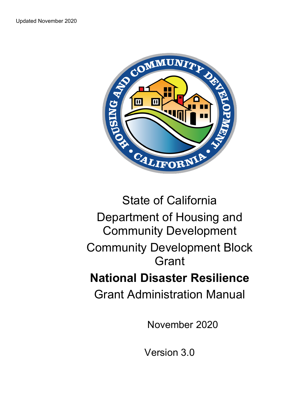

# State of California Department of Housing and Community Development Community Development Block Grant

# **National Disaster Resilience**

Grant Administration Manual

November 2020

Version 3.0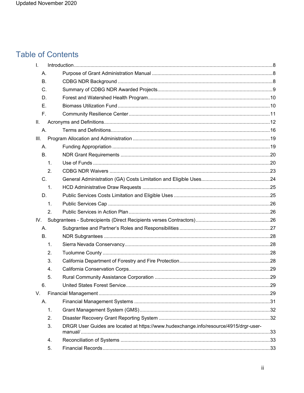# **Table of Contents**

| $\mathsf{L}$   |                                                                                       |  |
|----------------|---------------------------------------------------------------------------------------|--|
| А.             |                                                                                       |  |
| <b>B.</b>      |                                                                                       |  |
| C.             |                                                                                       |  |
| D.             |                                                                                       |  |
| Ε.             |                                                                                       |  |
| F.             |                                                                                       |  |
| П.             |                                                                                       |  |
| А.             |                                                                                       |  |
| Ш.             |                                                                                       |  |
| А.             |                                                                                       |  |
| <b>B.</b>      |                                                                                       |  |
| $\mathbf{1}$ . |                                                                                       |  |
| 2.             |                                                                                       |  |
| C.             |                                                                                       |  |
| 1.             |                                                                                       |  |
| D.             |                                                                                       |  |
| $\mathbf{1}$ . |                                                                                       |  |
| 2.             |                                                                                       |  |
| IV.            |                                                                                       |  |
| А.             |                                                                                       |  |
| <b>B.</b>      |                                                                                       |  |
| 1.             |                                                                                       |  |
| 2.             |                                                                                       |  |
| 3.             |                                                                                       |  |
| 4.             |                                                                                       |  |
| 5.             |                                                                                       |  |
| ნ.             |                                                                                       |  |
| V.             |                                                                                       |  |
| Α.             |                                                                                       |  |
| 1.             |                                                                                       |  |
| 2.             |                                                                                       |  |
| 3.             | DRGR User Guides are located at https://www.hudexchange.info/resource/4915/drgr-user- |  |
| 4.             |                                                                                       |  |
| 5.             |                                                                                       |  |
|                |                                                                                       |  |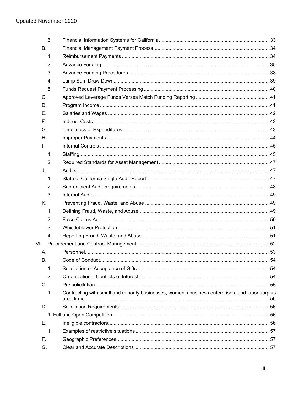| 6.             |                                                                                                 |  |
|----------------|-------------------------------------------------------------------------------------------------|--|
| <b>B.</b>      |                                                                                                 |  |
| 1.             |                                                                                                 |  |
| 2.             |                                                                                                 |  |
| 3.             |                                                                                                 |  |
| 4.             |                                                                                                 |  |
| 5.             |                                                                                                 |  |
| C.             |                                                                                                 |  |
| D.             |                                                                                                 |  |
| Е.             |                                                                                                 |  |
| F.             |                                                                                                 |  |
| G.             |                                                                                                 |  |
| Η.             |                                                                                                 |  |
| $\mathbf{L}$   |                                                                                                 |  |
| 1.             |                                                                                                 |  |
| 2.             |                                                                                                 |  |
| J.             |                                                                                                 |  |
| 1.             |                                                                                                 |  |
| 2.             |                                                                                                 |  |
| 3.             |                                                                                                 |  |
| K.             |                                                                                                 |  |
| 1.             |                                                                                                 |  |
| 2.             |                                                                                                 |  |
| 3.             |                                                                                                 |  |
| 4.             |                                                                                                 |  |
| VI.            |                                                                                                 |  |
| Α.             |                                                                                                 |  |
| В.             |                                                                                                 |  |
| 1.             |                                                                                                 |  |
| 2.             |                                                                                                 |  |
| C.             |                                                                                                 |  |
| $\mathbf{1}$ . | Contracting with small and minority businesses, women's business enterprises, and labor surplus |  |
| D.             |                                                                                                 |  |
|                |                                                                                                 |  |
| Е.             |                                                                                                 |  |
| 1.             |                                                                                                 |  |
| F.             |                                                                                                 |  |
| G.             |                                                                                                 |  |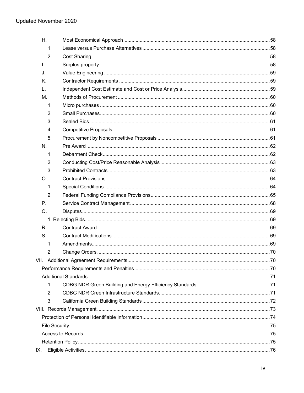| H.             |  |
|----------------|--|
| 1.             |  |
| 2.             |  |
| I.             |  |
| J.             |  |
| K.             |  |
| L.             |  |
| M.             |  |
| 1.             |  |
| 2.             |  |
| 3.             |  |
| 4.             |  |
| 5.             |  |
| N.             |  |
| $\mathbf{1}$ . |  |
| 2.             |  |
| 3.             |  |
| O.             |  |
| 1.             |  |
| 2.             |  |
| Ρ.             |  |
| Q.             |  |
|                |  |
| R.             |  |
| S.             |  |
| 1.             |  |
| 2.             |  |
|                |  |
|                |  |
|                |  |
| 1.             |  |
| 2.             |  |
| 3.             |  |
|                |  |
|                |  |
|                |  |
|                |  |
|                |  |
| IX.            |  |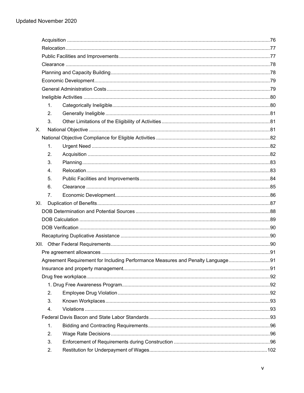|     | 1.             |                                                                                 |  |
|-----|----------------|---------------------------------------------------------------------------------|--|
|     | 2.             |                                                                                 |  |
|     | 3.             |                                                                                 |  |
| Χ.  |                |                                                                                 |  |
|     |                |                                                                                 |  |
|     | 1.             |                                                                                 |  |
|     | 2.             |                                                                                 |  |
|     | 3.             |                                                                                 |  |
|     | $\mathbf{4}$ . |                                                                                 |  |
|     | 5.             |                                                                                 |  |
|     | 6.             |                                                                                 |  |
|     | 7.             |                                                                                 |  |
| XI. |                |                                                                                 |  |
|     |                |                                                                                 |  |
|     |                |                                                                                 |  |
|     |                |                                                                                 |  |
|     |                |                                                                                 |  |
|     |                |                                                                                 |  |
|     |                |                                                                                 |  |
|     |                | Agreement Requirement for Including Performance Measures and Penalty Language91 |  |
|     |                |                                                                                 |  |
|     |                |                                                                                 |  |
|     |                |                                                                                 |  |
|     | 2.             |                                                                                 |  |
|     | 3.             |                                                                                 |  |
|     | 4.             |                                                                                 |  |
|     |                |                                                                                 |  |
|     | 1.             |                                                                                 |  |
|     | 2.             |                                                                                 |  |
|     | 3.             |                                                                                 |  |
|     | 2.             |                                                                                 |  |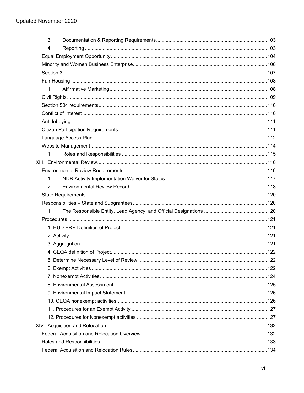| 3.             |  |
|----------------|--|
| 4.             |  |
|                |  |
|                |  |
|                |  |
|                |  |
| 1 <sub>1</sub> |  |
|                |  |
|                |  |
|                |  |
|                |  |
|                |  |
|                |  |
|                |  |
| 1 <sub>1</sub> |  |
|                |  |
|                |  |
| $\mathbf{1}$ . |  |
| 2.             |  |
|                |  |
|                |  |
| 1.             |  |
|                |  |
|                |  |
|                |  |
|                |  |
|                |  |
|                |  |
|                |  |
|                |  |
|                |  |
|                |  |
|                |  |
|                |  |
|                |  |
|                |  |
|                |  |
|                |  |
|                |  |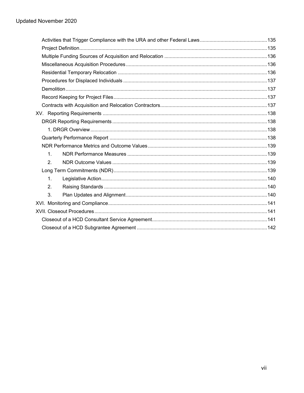| 1 <sub>1</sub> |  |  |
|----------------|--|--|
| 2.             |  |  |
|                |  |  |
| 1.             |  |  |
| 2.             |  |  |
| 3.             |  |  |
|                |  |  |
|                |  |  |
|                |  |  |
|                |  |  |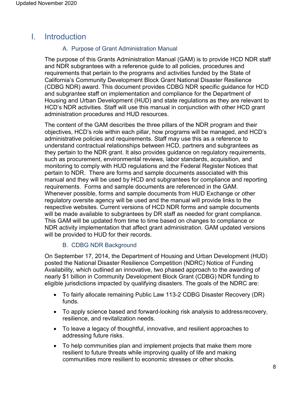## <span id="page-7-1"></span><span id="page-7-0"></span>I. Introduction

#### A. Purpose of Grant Administration Manual

The purpose of this Grants Administration Manual (GAM) is to provide HCD NDR staff and NDR subgrantees with a reference guide to all policies, procedures and requirements that pertain to the programs and activities funded by the State of California's Community Development Block Grant National Disaster Resilience (CDBG NDR) award. This document provides CDBG NDR specific guidance for HCD and subgrantee staff on implementation and compliance for the Department of Housing and Urban Development (HUD) and state regulations as they are relevant to HCD's NDR activities. Staff will use this manual in conjunction with other HCD grant administration procedures and HUD resources.

The content of the GAM describes the three pillars of the NDR program and their objectives, HCD's role within each pillar, how programs will be managed, and HCD's administrative policies and requirements. Staff may use this as a reference to understand contractual relationships between HCD, partners and subgrantees as they pertain to the NDR grant. It also provides guidance on regulatory requirements, such as procurement, environmental reviews, labor standards, acquisition, and monitoring to comply with HUD regulations and the Federal Register Notices that pertain to NDR. There are forms and sample documents associated with this manual and they will be used by HCD and subgrantees for compliance and reporting requirements. Forms and sample documents are referenced in the GAM. Whenever possible, forms and sample documents from HUD Exchange or other regulatory oversite agency will be used and the manual will provide links to the respective websites. Current versions of HCD NDR forms and sample documents will be made available to subgrantees by DR staff as needed for grant compliance. This GAM will be updated from time to time based on changes to compliance or NDR activity implementation that affect grant administration. GAM updated versions will be provided to HUD for their records.

#### B. CDBG NDR Background

<span id="page-7-2"></span>On September 17, 2014, the Department of Housing and Urban Development (HUD) posted the National Disaster Resilience Competition (NDRC) Notice of Funding Availability, which outlined an innovative, two phased approach to the awarding of nearly \$1 billion in Community Development Block Grant (CDBG) NDR funding to eligible jurisdictions impacted by qualifying disasters. The goals of the NDRC are:

- To fairly allocate remaining Public Law 113-2 CDBG Disaster Recovery (DR) funds.
- To apply science based and forward-looking risk analysis to addressrecovery, resilience, and revitalization needs.
- To leave a legacy of thoughtful, innovative, and resilient approaches to addressing future risks.
- To help communities plan and implement projects that make them more resilient to future threats while improving quality of life and making communities more resilient to economic stresses or other shocks.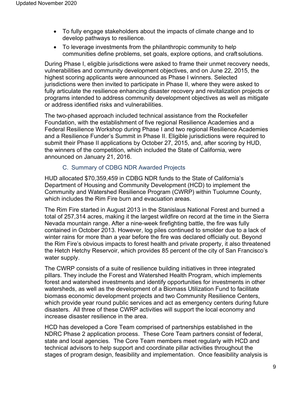- To fully engage stakeholders about the impacts of climate change and to develop pathways to resilience.
- To leverage investments from the philanthropic community to help communities define problems, set goals, explore options, and craftsolutions.

During Phase I, eligible jurisdictions were asked to frame their unmet recovery needs, vulnerabilities and community development objectives, and on June 22, 2015, the highest scoring applicants were announced as Phase I winners. Selected jurisdictions were then invited to participate in Phase II, where they were asked to fully articulate the resilience enhancing disaster recovery and revitalization projects or programs intended to address community development objectives as well as mitigate or address identified risks and vulnerabilities.

The two-phased approach included technical assistance from the Rockefeller Foundation, with the establishment of five regional Resilience Academies and a Federal Resilience Workshop during Phase I and two regional Resilience Academies and a Resilience Funder's Summit in Phase II. Eligible jurisdictions were required to submit their Phase II applications by October 27, 2015, and, after scoring by HUD, the winners of the competition, which included the State of California, were announced on January 21, 2016.

#### C. Summary of CDBG NDR Awarded Projects

<span id="page-8-0"></span>HUD allocated \$70,359,459 in CDBG NDR funds to the State of California's Department of Housing and Community Development (HCD) to implement the Community and Watershed Resilience Program (CWRP) within Tuolumne County, which includes the Rim Fire burn and evacuation areas.

The Rim Fire started in August 2013 in the Stanislaus National Forest and burned a total of 257,314 acres, making it the largest wildfire on record at the time in the Sierra Nevada mountain range. After a nine-week firefighting battle, the fire was fully contained in October 2013. However, log piles continued to smolder due to a lack of winter rains for more than a year before the fire was declared officially out. Beyond the Rim Fire's obvious impacts to forest health and private property, it also threatened the Hetch Hetchy Reservoir, which provides 85 percent of the city of San Francisco's water supply.

The CWRP consists of a suite of resilience building initiatives in three integrated pillars. They include the Forest and Watershed Health Program, which implements forest and watershed investments and identify opportunities for investments in other watersheds, as well as the development of a Biomass Utilization Fund to facilitate biomass economic development projects and two Community Resilience Centers, which provide year round public services and act as emergency centers during future disasters. All three of these CWRP activities will support the local economy and increase disaster resilience in the area.

HCD has developed a Core Team comprised of partnerships established in the NDRC Phase 2 application process. These Core Team partners consist of federal, state and local agencies. The Core Team members meet regularly with HCD and technical advisors to help support and coordinate pillar activities throughout the stages of program design, feasibility and implementation. Once feasibility analysis is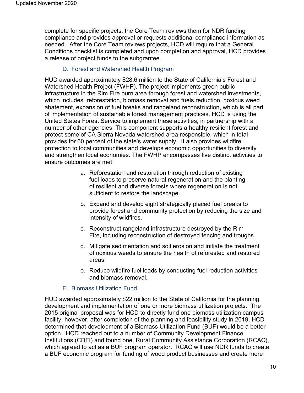complete for specific projects, the Core Team reviews them for NDR funding compliance and provides approval or requests additional compliance information as needed. After the Core Team reviews projects, HCD will require that a General Conditions checklist is completed and upon completion and approval, HCD provides a release of project funds to the subgrantee.

#### D. Forest and Watershed Health Program

<span id="page-9-0"></span>HUD awarded approximately \$28.6 million to the State of California's Forest and Watershed Health Project (FWHP). The project implements green public infrastructure in the Rim Fire burn area through forest and watershed investments, which includes reforestation, biomass removal and fuels reduction, noxious weed abatement, expansion of fuel breaks and rangeland reconstruction, which is all part of implementation of sustainable forest management practices. HCD is using the United States Forest Service to implement these activities, in partnership with a number of other agencies. This component supports a healthy resilient forest and protect some of CA Sierra Nevada watershed area responsible, which in total provides for 60 percent of the state's water supply. It also provides wildfire protection to local communities and develops economic opportunities to diversify and strengthen local economies. The FWHP encompasses five distinct activities to ensure outcomes are met:

- a. Reforestation and restoration through reduction of existing fuel loads to preserve natural regeneration and the planting of resilient and diverse forests where regeneration is not sufficient to restore the landscape.
- b. Expand and develop eight strategically placed fuel breaks to provide forest and community protection by reducing the size and intensity of wildfires.
- c. Reconstruct rangeland infrastructure destroyed by the Rim Fire, including reconstruction of destroyed fencing and troughs.
- d. Mitigate sedimentation and soil erosion and initiate the treatment of noxious weeds to ensure the health of reforested and restored areas.
- e. Reduce wildfire fuel loads by conducting fuel reduction activities and biomass removal.

#### E. Biomass Utilization Fund

<span id="page-9-1"></span>HUD awarded approximately \$22 million to the State of California for the planning, development and implementation of one or more biomass utilization projects. The 2015 original proposal was for HCD to directly fund one biomass utilization campus facility, however, after completion of the planning and feasibility study in 2019, HCD determined that development of a Biomass Utilization Fund (BUF) would be a better option. HCD reached out to a number of Community Development Finance Institutions (CDFI) and found one, Rural Community Assistance Corporation (RCAC), which agreed to act as a BUF program operator. RCAC will use NDR funds to create a BUF economic program for funding of wood product businesses and create more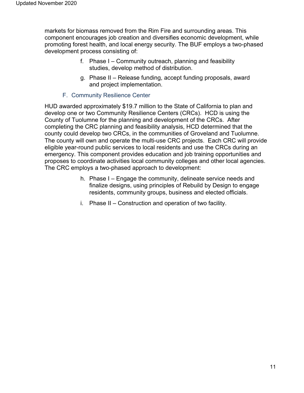markets for biomass removed from the Rim Fire and surrounding areas. This component encourages job creation and diversifies economic development, while promoting forest health, and local energy security. The BUF employs a two-phased development process consisting of:

- f. Phase I Community outreach, planning and feasibility studies, develop method of distribution.
- g. Phase II Release funding, accept funding proposals, award and project implementation.

#### F. Community Resilience Center

<span id="page-10-0"></span>HUD awarded approximately \$19.7 million to the State of California to plan and develop one or two Community Resilience Centers (CRCs). HCD is using the County of Tuolumne for the planning and development of the CRCs. After completing the CRC planning and feasibility analysis, HCD determined that the county could develop two CRCs, in the communities of Groveland and Tuolumne. The county will own and operate the multi-use CRC projects. Each CRC will provide eligible year-round public services to local residents and use the CRCs during an emergency. This component provides education and job training opportunities and proposes to coordinate activities local community colleges and other local agencies. The CRC employs a two-phased approach to development:

- h. Phase I Engage the community, delineate service needs and finalize designs, using principles of Rebuild by Design to engage residents, community groups, business and elected officials.
- i. Phase II Construction and operation of two facility.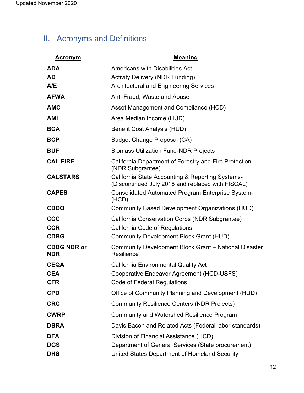# <span id="page-11-0"></span>II. Acronyms and Definitions

| <u>Acronvm</u>                   | <b>Meaning</b>                                                                                        |
|----------------------------------|-------------------------------------------------------------------------------------------------------|
| <b>ADA</b>                       | Americans with Disabilities Act                                                                       |
| <b>AD</b>                        | <b>Activity Delivery (NDR Funding)</b>                                                                |
| A/E                              | <b>Architectural and Engineering Services</b>                                                         |
| <b>AFWA</b>                      | Anti-Fraud, Waste and Abuse                                                                           |
| <b>AMC</b>                       | Asset Management and Compliance (HCD)                                                                 |
| <b>AMI</b>                       | Area Median Income (HUD)                                                                              |
| <b>BCA</b>                       | <b>Benefit Cost Analysis (HUD)</b>                                                                    |
| <b>BCP</b>                       | <b>Budget Change Proposal (CA)</b>                                                                    |
| <b>BUF</b>                       | <b>Biomass Utilization Fund-NDR Projects</b>                                                          |
| <b>CAL FIRE</b>                  | California Department of Forestry and Fire Protection<br>(NDR Subgrantee)                             |
| <b>CALSTARS</b>                  | California State Accounting & Reporting Systems-<br>(Discontinued July 2018 and replaced with FISCAL) |
| <b>CAPES</b>                     | <b>Consolidated Automated Program Enterprise System-</b><br>(HCD)                                     |
| <b>CBDO</b>                      | <b>Community Based Development Organizations (HUD)</b>                                                |
| <b>CCC</b>                       | California Conservation Corps (NDR Subgrantee)                                                        |
| <b>CCR</b>                       | California Code of Regulations                                                                        |
| <b>CDBG</b>                      | <b>Community Development Block Grant (HUD)</b>                                                        |
| <b>CDBG NDR or</b><br><b>NDR</b> | Community Development Block Grant - National Disaster<br>Resilience                                   |
| <b>CEQA</b>                      | <b>California Environmental Quality Act</b>                                                           |
| <b>CEA</b>                       | Cooperative Endeavor Agreement (HCD-USFS)                                                             |
| <b>CFR</b>                       | <b>Code of Federal Regulations</b>                                                                    |
| <b>CPD</b>                       | Office of Community Planning and Development (HUD)                                                    |
| <b>CRC</b>                       | <b>Community Resilience Centers (NDR Projects)</b>                                                    |
| <b>CWRP</b>                      | <b>Community and Watershed Resilience Program</b>                                                     |
| <b>DBRA</b>                      | Davis Bacon and Related Acts (Federal labor standards)                                                |
| <b>DFA</b>                       | Division of Financial Assistance (HCD)                                                                |
| <b>DGS</b>                       | Department of General Services (State procurement)                                                    |
| <b>DHS</b>                       | United States Department of Homeland Security                                                         |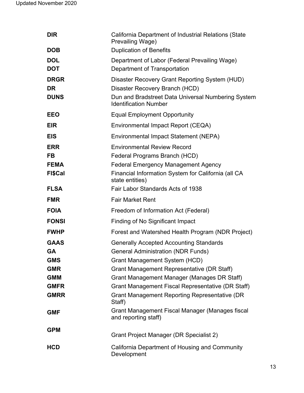| <b>DIR</b>                              | California Department of Industrial Relations (State<br>Prevailing Wage)                                                                                               |
|-----------------------------------------|------------------------------------------------------------------------------------------------------------------------------------------------------------------------|
| <b>DOB</b>                              | <b>Duplication of Benefits</b>                                                                                                                                         |
| <b>DOL</b><br><b>DOT</b>                | Department of Labor (Federal Prevailing Wage)<br>Department of Transportation                                                                                          |
| <b>DRGR</b><br><b>DR</b><br><b>DUNS</b> | Disaster Recovery Grant Reporting System (HUD)<br>Disaster Recovery Branch (HCD)<br>Dun and Bradstreet Data Universal Numbering System<br><b>Identification Number</b> |
| <b>EEO</b>                              | <b>Equal Employment Opportunity</b>                                                                                                                                    |
| <b>EIR</b>                              | Environmental Impact Report (CEQA)                                                                                                                                     |
| <b>EIS</b>                              | Environmental Impact Statement (NEPA)                                                                                                                                  |
| <b>ERR</b>                              | <b>Environmental Review Record</b>                                                                                                                                     |
| <b>FB</b>                               | Federal Programs Branch (HCD)                                                                                                                                          |
| <b>FEMA</b>                             | <b>Federal Emergency Management Agency</b>                                                                                                                             |
| <b>FI\$Cal</b>                          | Financial Information System for California (all CA<br>state entities)                                                                                                 |
| <b>FLSA</b>                             | Fair Labor Standards Acts of 1938                                                                                                                                      |
| <b>FMR</b>                              | <b>Fair Market Rent</b>                                                                                                                                                |
| <b>FOIA</b>                             | Freedom of Information Act (Federal)                                                                                                                                   |
| <b>FONSI</b>                            | Finding of No Significant Impact                                                                                                                                       |
| <b>FWHP</b>                             | Forest and Watershed Health Program (NDR Project)                                                                                                                      |
| <b>GAAS</b>                             | <b>Generally Accepted Accounting Standards</b>                                                                                                                         |
| GА                                      | <b>General Administration (NDR Funds)</b>                                                                                                                              |
| <b>GMS</b>                              | <b>Grant Management System (HCD)</b>                                                                                                                                   |
| <b>GMR</b>                              | <b>Grant Management Representative (DR Staff)</b>                                                                                                                      |
| <b>GMM</b>                              | Grant Management Manager (Manages DR Staff)                                                                                                                            |
| <b>GMFR</b>                             | Grant Management Fiscal Representative (DR Staff)                                                                                                                      |
| <b>GMRR</b>                             | <b>Grant Management Reporting Representative (DR</b><br>Staff)                                                                                                         |
| <b>GMF</b>                              | Grant Management Fiscal Manager (Manages fiscal<br>and reporting staff)                                                                                                |
| <b>GPM</b>                              | Grant Project Manager (DR Specialist 2)                                                                                                                                |
| <b>HCD</b>                              | California Department of Housing and Community<br>Development                                                                                                          |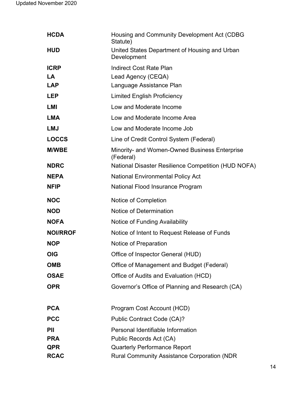| <b>HCDA</b>     | Housing and Community Development Act (CDBG<br>Statute)      |
|-----------------|--------------------------------------------------------------|
| <b>HUD</b>      | United States Department of Housing and Urban<br>Development |
| <b>ICRP</b>     | <b>Indirect Cost Rate Plan</b>                               |
| LA              | Lead Agency (CEQA)                                           |
| <b>LAP</b>      | Language Assistance Plan                                     |
| <b>LEP</b>      | <b>Limited English Proficiency</b>                           |
| <b>LMI</b>      | Low and Moderate Income                                      |
| <b>LMA</b>      | Low and Moderate Income Area                                 |
| <b>LMJ</b>      | Low and Moderate Income Job                                  |
| <b>LOCCS</b>    | Line of Credit Control System (Federal)                      |
| <b>M/WBE</b>    | Minority- and Women-Owned Business Enterprise<br>(Federal)   |
| <b>NDRC</b>     | National Disaster Resilience Competition (HUD NOFA)          |
| <b>NEPA</b>     | <b>National Environmental Policy Act</b>                     |
| <b>NFIP</b>     | National Flood Insurance Program                             |
| <b>NOC</b>      | Notice of Completion                                         |
| <b>NOD</b>      | Notice of Determination                                      |
| <b>NOFA</b>     | Notice of Funding Availability                               |
| <b>NOI/RROF</b> | Notice of Intent to Request Release of Funds                 |
| <b>NOP</b>      | Notice of Preparation                                        |
| <b>OIG</b>      | Office of Inspector General (HUD)                            |
| <b>OMB</b>      | Office of Management and Budget (Federal)                    |
| <b>OSAE</b>     | Office of Audits and Evaluation (HCD)                        |
| <b>OPR</b>      | Governor's Office of Planning and Research (CA)              |
| <b>PCA</b>      | Program Cost Account (HCD)                                   |
| <b>PCC</b>      | Public Contract Code (CA)?                                   |
| PII             | Personal Identifiable Information                            |
| <b>PRA</b>      | Public Records Act (CA)                                      |
| <b>QPR</b>      | <b>Quarterly Performance Report</b>                          |
| <b>RCAC</b>     | <b>Rural Community Assistance Corporation (NDR)</b>          |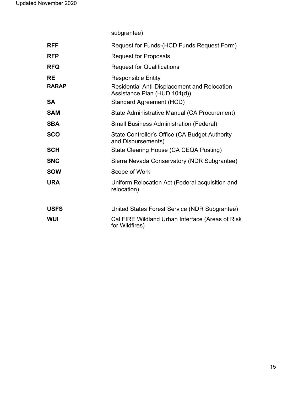subgrantee)

| <b>RFF</b>   | Request for Funds-(HCD Funds Request Form)                                          |
|--------------|-------------------------------------------------------------------------------------|
| <b>RFP</b>   | <b>Request for Proposals</b>                                                        |
| <b>RFQ</b>   | <b>Request for Qualifications</b>                                                   |
| <b>RE</b>    | <b>Responsible Entity</b>                                                           |
| <b>RARAP</b> | <b>Residential Anti-Displacement and Relocation</b><br>Assistance Plan (HUD 104(d)) |
| <b>SA</b>    | Standard Agreement (HCD)                                                            |
| <b>SAM</b>   | State Administrative Manual (CA Procurement)                                        |
| <b>SBA</b>   | <b>Small Business Administration (Federal)</b>                                      |
| <b>SCO</b>   | State Controller's Office (CA Budget Authority<br>and Disbursements)                |
| <b>SCH</b>   | State Clearing House (CA CEQA Posting)                                              |
| <b>SNC</b>   | Sierra Nevada Conservatory (NDR Subgrantee)                                         |
| <b>SOW</b>   | Scope of Work                                                                       |
| <b>URA</b>   | Uniform Relocation Act (Federal acquisition and<br>relocation)                      |
| <b>USFS</b>  | United States Forest Service (NDR Subgrantee)                                       |
| <b>WUI</b>   | Cal FIRE Wildland Urban Interface (Areas of Risk<br>for Wildfires)                  |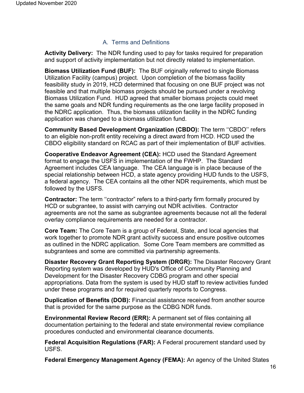#### A. Terms and Definitions

<span id="page-15-0"></span>**Activity Delivery:** The NDR funding used to pay for tasks required for preparation and support of activity implementation but not directly related to implementation.

**Biomass Utilization Fund (BUF):** The BUF originally referred to single Biomass Utilization Facility (campus) project. Upon completion of the biomass facility feasibility study in 2019, HCD determined that focusing on one BUF project was not feasible and that multiple biomass projects should be pursued under a revolving Biomass Utilization Fund. HUD agreed that smaller biomass projects could meet the same goals and NDR funding requirements as the one large facility proposed in the NDRC application. Thus, the biomass utilization facility in the NDRC funding application was changed to a biomass utilization fund.

**Community Based Development Organization (CBDO):** The term ''CBDO'' refers to an eligible non-profit entity receiving a direct award from HCD. HCD used the CBDO eligibility standard on RCAC as part of their implementation of BUF activities.

**Cooperative Endeavor Agreement (CEA):** HCD used the Standard Agreement format to engage the USFS in implementation of the FWHP. The Standard Agreement includes CEA language. The CEA language is in place because of the special relationship between HCD, a state agency providing HUD funds to the USFS, a federal agency. The CEA contains all the other NDR requirements, which must be followed by the USFS.

**Contractor:** The term ''contractor" refers to a third-party firm formally procured by HCD or subgrantee, to assist with carrying out NDR activities. Contractor agreements are not the same as subgrantee agreements because not all the federal overlay compliance requirements are needed for a contractor.

**Core Team:** The Core Team is a group of Federal, State, and local agencies that work together to promote NDR grant activity success and ensure positive outcomes as outlined in the NDRC application. Some Core Team members are committed as subgrantees and some are committed via partnership agreements.

**Disaster Recovery Grant Reporting System (DRGR):** The Disaster Recovery Grant Reporting system was developed by HUD's Office of Community Planning and Development for the Disaster Recovery CDBG program and other special appropriations. Data from the system is used by HUD staff to review activities funded under these programs and for required quarterly reports to Congress.

**Duplication of Benefits (DOB):** Financial assistance received from another source that is provided for the same purpose as the CDBG NDR funds.

**Environmental Review Record (ERR):** A permanent set of files containing all documentation pertaining to the federal and state environmental review compliance procedures conducted and environmental clearance documents.

**Federal Acquisition Regulations (FAR):** A Federal procurement standard used by USFS.

**Federal Emergency Management Agency (FEMA):** An agency of the United States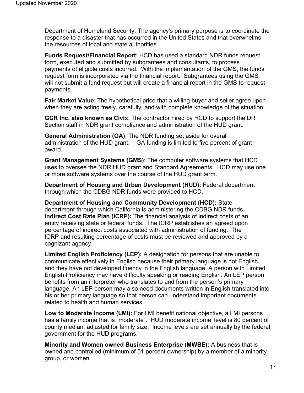Department of Homeland Security. The agency's primary purpose is to coordinate the response to a disaster that has occurred in the United States and that overwhelms the resources of local and state authorities.

**Funds Request/Financial Report**: HCD has used a standard NDR funds request form, executed and submitted by subgrantees and consultants, to process payments of eligible costs incurred. With the implementation of the GMS, the funds request form is incorporated via the financial report. Subgrantees using the GMS will not submit a fund request but will create a financial report in the GMS to request payments.

**Fair Market Value**: The hypothetical price that a willing buyer and seller agree upon when they are acting freely, carefully, and with complete knowledge of the situation.

**GCR Inc. also known as Civix**: The contractor hired by HCD to support the DR Section staff in NDR grant compliance and administration of the HUD grant.

**General Administration (GA)**: The NDR funding set aside for overall administration of the HUD grant. GA funding is limited to five percent of grant award.

**Grant Management Systems (GMS)**: The computer software systems that HCD uses to oversee the NDR HUD grant and Standard Agreements. HCD may use one or more software systems over the course of the HUD grant term.

**Department of Housing and Urban Development (HUD):** Federal department through which the CDBG NDR funds were provided to HCD.

**Department of Housing and Community Development (HCD):** State department through which California is administering the CDBG NDR funds. **Indirect Cost Rate Plan (ICRP):** The financial analysis of indirect costs of an entity receiving state or federal funds. The ICRP establishes an agreed upon percentage of indirect costs associated with administration of funding. The ICRP and resulting percentage of costs must be reviewed and approved by a cognizant agency.

**Limited English Proficiency (LEP):** A designation for persons that are unable to communicate effectively in English because their primary language is not English, and they have not developed fluency in the English language. A person with Limited English Proficiency may have difficulty speaking or reading English. An LEP person benefits from an interpreter who translates to and from the person's primary language. An LEP person may also need documents written in English translated into his or her primary language so that person can understand important documents related to health and human services.

**Low to Moderate Income (LMI):** For LMI benefit national objective, a LMI persons has a family income that is "moderate". HUD moderate income' level is 80 percent of county median, adjusted for family size. Income levels are set annually by the federal government for the HUD programs.

**Minority and Women owned Business Enterprise (MWBE):** A business that is owned and controlled (minimum of 51 percent ownership) by a member of a minority group, or women.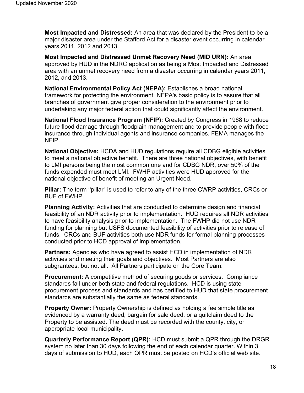**Most Impacted and Distressed:** An area that was declared by the President to be a major disaster area under the Stafford Act for a disaster event occurring in calendar years 2011, 2012 and 2013.

**Most Impacted and Distressed Unmet Recovery Need (MID URN):** An area approved by HUD in the NDRC application as being a Most Impacted and Distressed area with an unmet recovery need from a disaster occurring in calendar years 2011, 2012, and 2013.

**National Environmental Policy Act (NEPA):** Establishes a broad national framework for protecting the environment. NEPA's basic policy is to assure that all branches of government give proper consideration to the environment prior to undertaking any major federal action that could significantly affect the environment.

**National Flood Insurance Program (NFIP):** Created by Congress in 1968 to reduce future flood damage through floodplain management and to provide people with flood insurance through individual agents and insurance companies. FEMA manages the NFIP.

**National Objective:** HCDA and HUD regulations require all CDBG eligible activities to meet a national objective benefit. There are three national objectives, with benefit to LMI persons being the most common one and for CDBG NDR, over 50% of the funds expended must meet LMI. FWHP activities were HUD approved for the national objective of benefit of meeting an Urgent Need.

**Pillar:** The term ''pillar" is used to refer to any of the three CWRP activities, CRCs or BUF of FWHP.

**Planning Activity:** Activities that are conducted to determine design and financial feasibility of an NDR activity prior to implementation. HUD requires all NDR activities to have feasibility analysis prior to implementation. The FWHP did not use NDR funding for planning but USFS documented feasibility of activities prior to release of funds. CRCs and BUF activities both use NDR funds for formal planning processes conducted prior to HCD approval of implementation.

**Partners:** Agencies who have agreed to assist HCD in implementation of NDR activities and meeting their goals and objectives. Most Partners are also subgrantees, but not all. All Partners participate on the Core Team.

**Procurement:** A competitive method of securing goods or services. Compliance standards fall under both state and federal regulations. HCD is using state procurement process and standards and has certified to HUD that state procurement standards are substantially the same as federal standards.

**Property Owner:** Property Ownership is defined as holding a fee simple title as evidenced by a warranty deed, bargain for sale deed, or a quitclaim deed to the Property to be assisted. The deed must be recorded with the county, city, or appropriate local municipality.

**Quarterly Performance Report (QPR):** HCD must submit a QPR through the DRGR system no later than 30 days following the end of each calendar quarter. Within 3 days of submission to HUD, each QPR must be posted on HCD's official web site.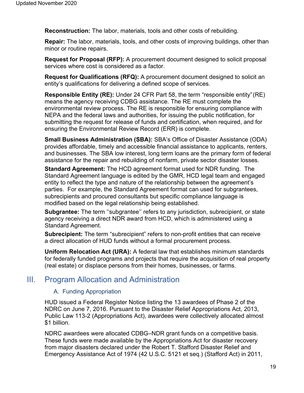**Reconstruction:** The labor, materials, tools and other costs of rebuilding.

**Repair:** The labor, materials, tools, and other costs of improving buildings, other than minor or routine repairs.

**Request for Proposal (RFP):** A procurement document designed to solicit proposal services where cost is considered as a factor.

**Request for Qualifications (RFQ):** A procurement document designed to solicit an entity's qualifications for delivering a defined scope of services.

**Responsible Entity (RE):** Under 24 CFR Part 58, the term "responsible entity"(RE) means the agency receiving CDBG assistance. The RE must complete the environmental review process. The RE is responsible for ensuring compliance with NEPA and the federal laws and authorities, for issuing the public notification, for submitting the request for release of funds and certification, when required, and for ensuring the Environmental Review Record (ERR) is complete.

**Small Business Administration (SBA):** SBA's Office of Disaster Assistance (ODA) provides affordable, timely and accessible financial assistance to applicants, renters, and businesses. The SBA low interest, long term loans are the primary form of federal assistance for the repair and rebuilding of nonfarm, private sector disaster losses.

**Standard Agreement:** The HCD agreement format used for NDR funding. The Standard Agreement language is edited by the GMR, HCD legal team and engaged entity to reflect the type and nature of the relationship between the agreement's parties. For example, the Standard Agreement format can used for subgrantees, subrecipients and procured consultants but specific compliance language is modified based on the legal relationship being established.

**Subgrantee:** The term ''subgrantee'' refers to any jurisdiction, subrecipient, or state agency receiving a direct NDR award from HCD, which is administered using a Standard Agreement.

**Subrecipient:** The term "subrecipient" refers to non-profit entities that can receive a direct allocation of HUD funds without a formal procurement process.

**Uniform Relocation Act (URA):** A federal law that establishes minimum standards for federally funded programs and projects that require the acquisition of real property (real estate) or displace persons from their homes, businesses, or farms.

### <span id="page-18-1"></span><span id="page-18-0"></span>III. Program Allocation and Administration

#### A. Funding Appropriation

HUD issued a Federal Register Notice listing the 13 awardees of Phase 2 of the NDRC on June 7, 2016. Pursuant to the Disaster Relief Appropriations Act, 2013, Public Law 113-2 (Appropriations Act), awardees were collectively allocated almost \$1 billion.

NDRC awardees were allocated CDBG–NDR grant funds on a competitive basis. These funds were made available by the Appropriations Act for disaster recovery from major disasters declared under the Robert T. Stafford Disaster Relief and Emergency Assistance Act of 1974 (42 U.S.C. 5121 et seq.) (Stafford Act) in 2011,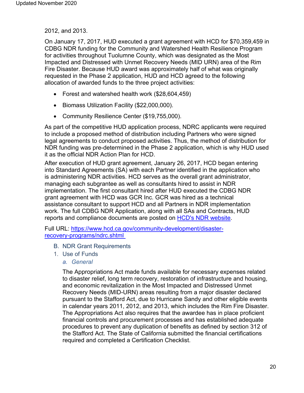2012, and 2013.

On January 17, 2017, HUD executed a grant agreement with HCD for \$70,359,459 in CDBG NDR funding for the Community and Watershed Health Resilience Program for activities throughout Tuolumne County, which was designated as the Most Impacted and Distressed with Unmet Recovery Needs (MID URN) area of the Rim Fire Disaster. Because HUD award was approximately half of what was originally requested in the Phase 2 application, HUD and HCD agreed to the following allocation of awarded funds to the three project activities:

- Forest and watershed health work (\$28,604,459)
- Biomass Utilization Facility (\$22,000,000).
- Community Resilience Center (\$19,755,000).

As part of the competitive HUD application process, NDRC applicants were required to include a proposed method of distribution including Partners who were signed legal agreements to conduct proposed activities. Thus, the method of distribution for NDR funding was pre-determined in the Phase 2 application, which is why HUD used it as the official NDR Action Plan for HCD.

After execution of HUD grant agreement, January 26, 2017, HCD began entering into Standard Agreements (SA) with each Partner identified in the application who is administering NDR activities. HCD serves as the overall grant administrator, managing each subgrantee as well as consultants hired to assist in NDR implementation. The first consultant hired after HUD executed the CDBG NDR grant agreement with HCD was GCR Inc. GCR was hired as a technical assistance consultant to support HCD and all Partners in NDR implementation work. The full CDBG NDR Application, along with all SAs and Contracts, HUD reports and compliance documents are posted on **HCD's NDR website**.

<span id="page-19-1"></span><span id="page-19-0"></span>Full URL: https://www.hcd.ca.gov/community-development/disasterrecovery-programs/ndrc.shtml

- B. NDR Grant Requirements
- 1. Use of Funds
	- *a. General*

The Appropriations Act made funds available for necessary expenses related to disaster relief, long term recovery, restoration of infrastructure and housing, and economic revitalization in the Most Impacted and Distressed Unmet Recovery Needs (MID-URN) areas resulting from a major disaster declared pursuant to the Stafford Act, due to Hurricane Sandy and other eligible events in calendar years 2011, 2012, and 2013, which includes the Rim Fire Disaster. The Appropriations Act also requires that the awardee has in place proficient financial controls and procurement processes and has established adequate procedures to prevent any duplication of benefits as defined by section 312 of the Stafford Act. The State of California submitted the financial certifications required and completed a Certification Checklist.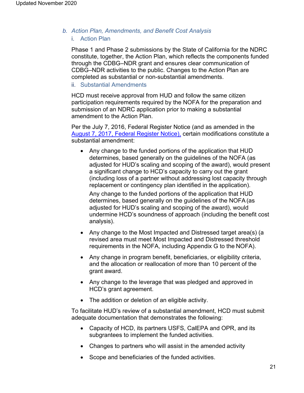#### *b. Action Plan, Amendments, and Benefit Cost Analysis* i. Action Plan

Phase 1 and Phase 2 submissions by the State of California for the NDRC constitute, together, the Action Plan, which reflects the components funded through the CDBG–NDR grant and ensures clear communication of CDBG–NDR activities to the public. Changes to the Action Plan are completed as substantial or non-substantial amendments.

#### ii. Substantial Amendments

HCD must receive approval from HUD and follow the same citizen participation requirements required by the NOFA for the preparation and submission of an NDRC application prior to making a substantial amendment to the Action Plan.

Per the July 7, 2016, Federal Register Notice (and as amended in the [August 7, 2017, Federal Register Notice\),](https://www.hcd.ca.gov/community-development/disaster-recovery-programs/docs/federal_register_notice-2017-16411_ndr_waiver_approvals-posted_8-7-17.pdf) certain modifications constitute a substantial amendment:

• Any change to the funded portions of the application that HUD determines, based generally on the guidelines of the NOFA (as adjusted for HUD's scaling and scoping of the award), would present a significant change to HCD's capacity to carry out the grant (including loss of a partner without addressing lost capacity through replacement or contingency plan identified in the application).

Any change to the funded portions of the application that HUD determines, based generally on the guidelines of the NOFA(as adjusted for HUD's scaling and scoping of the award), would undermine HCD's soundness of approach (including the benefit cost analysis).

- Any change to the Most Impacted and Distressed target area(s) (a revised area must meet Most Impacted and Distressed threshold requirements in the NOFA, including Appendix G to the NOFA).
- Any change in program benefit, beneficiaries, or eligibility criteria, and the allocation or reallocation of more than 10 percent of the grant award.
- Any change to the leverage that was pledged and approved in HCD's grant agreement.
- The addition or deletion of an eligible activity.

To facilitate HUD's review of a substantial amendment, HCD must submit adequate documentation that demonstrates the following:

- Capacity of HCD, its partners USFS, CalEPA and OPR, and its subgrantees to implement the funded activities.
- Changes to partners who will assist in the amended activity
- Scope and beneficiaries of the funded activities.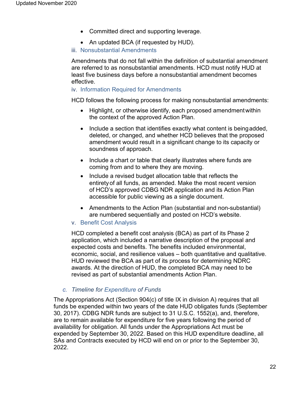- Committed direct and supporting leverage.
- An updated BCA (if requested by HUD).
- iii. Nonsubstantial Amendments

Amendments that do not fall within the definition of substantial amendment are referred to as nonsubstantial amendments. HCD must notify HUD at least five business days before a nonsubstantial amendment becomes effective.

#### iv. Information Required for Amendments

HCD follows the following process for making nonsubstantial amendments:

- Highlight, or otherwise identify, each proposed amendmentwithin the context of the approved Action Plan.
- Include a section that identifies exactly what content is being added, deleted, or changed, and whether HCD believes that the proposed amendment would result in a significant change to its capacity or soundness of approach.
- Include a chart or table that clearly illustrates where funds are coming from and to where they are moving.
- Include a revised budget allocation table that reflects the entiretyof all funds, as amended. Make the most recent version of HCD's approved CDBG NDR application and its Action Plan accessible for public viewing as a single document.
- Amendments to the Action Plan (substantial and non-substantial) are numbered sequentially and posted on HCD's website.
- v. Benefit Cost Analysis

HCD completed a benefit cost analysis (BCA) as part of its Phase 2 application, which included a narrative description of the proposal and expected costs and benefits. The benefits included environmental, economic, social, and resilience values – both quantitative and qualitative. HUD reviewed the BCA as part of its process for determining NDRC awards. At the direction of HUD, the completed BCA may need to be revised as part of substantial amendments Action Plan.

#### *c. Timeline for Expenditure of Funds*

The Appropriations Act (Section 904(c) of title IX in division A) requires that all funds be expended within two years of the date HUD obligates funds (September 30, 2017). CDBG NDR funds are subject to 31 U.S.C. 1552(a), and, therefore, are to remain available for expenditure for five years following the period of availability for obligation. All funds under the Appropriations Act must be expended by September 30, 2022. Based on this HUD expenditure deadline, all SAs and Contracts executed by HCD will end on or prior to the September 30, 2022.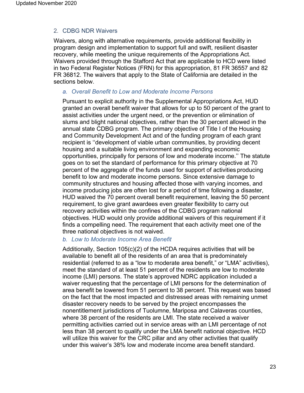#### <span id="page-22-0"></span>2. CDBG NDR Waivers

Waivers, along with alternative requirements, provide additional flexibility in program design and implementation to support full and swift, resilient disaster recovery, while meeting the unique requirements of the Appropriations Act. Waivers provided through the Stafford Act that are applicable to HCD were listed in two Federal Register Notices (FRN) for this appropriation, 81 FR 36557 and 82 FR 36812. The waivers that apply to the State of California are detailed in the sections below.

#### *a. Overall Benefit to Low and Moderate Income Persons*

Pursuant to explicit authority in the Supplemental Appropriations Act, HUD granted an overall benefit waiver that allows for up to 50 percent of the grant to assist activities under the urgent need, or the prevention or elimination of slums and blight national objectives, rather than the 30 percent allowed in the annual state CDBG program. The primary objective of Title I of the Housing and Community Development Act and of the funding program of each grant recipient is ''development of viable urban communities, by providing decent housing and a suitable living environment and expanding economic opportunities, principally for persons of low and moderate income.'' The statute goes on to set the standard of performance for this primary objective at 70 percent of the aggregate of the funds used for support of activities producing benefit to low and moderate income persons. Since extensive damage to community structures and housing affected those with varying incomes, and income producing jobs are often lost for a period of time following a disaster, HUD waived the 70 percent overall benefit requirement, leaving the 50 percent requirement, to give grant awardees even greater flexibility to carry out recovery activities within the confines of the CDBG program national objectives. HUD would only provide additional waivers of this requirement if it finds a compelling need. The requirement that each activity meet one of the three national objectives is not waived.

#### *b. Low to Moderate Income Area Benefit*

Additionally, Section 105(c)(2) of the HCDA requires activities that will be available to benefit all of the residents of an area that is predominately residential (referred to as a "low to moderate area benefit," or "LMA" activities), meet the standard of at least 51 percent of the residents are low to moderate income (LMI) persons. The state's approved NDRC application included a waiver requesting that the percentage of LMI persons for the determination of area benefit be lowered from 51 percent to 38 percent. This request was based on the fact that the most impacted and distressed areas with remaining unmet disaster recovery needs to be served by the project encompasses the nonentitlement jurisdictions of Tuolumne, Mariposa and Calaveras counties, where 38 percent of the residents are LMI. The state received a waiver permitting activities carried out in service areas with an LMI percentage of not less than 38 percent to qualify under the LMA benefit national objective. HCD will utilize this waiver for the CRC pillar and any other activities that qualify under this waiver's 38% low and moderate income area benefit standard.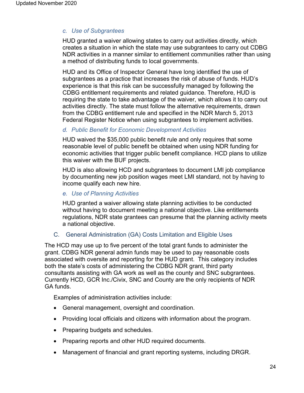#### *c. Use of Subgrantees*

HUD granted a waiver allowing states to carry out activities directly, which creates a situation in which the state may use subgrantees to carry out CDBG NDR activities in a manner similar to entitlement communities rather than using a method of distributing funds to local governments.

HUD and its Office of Inspector General have long identified the use of subgrantees as a practice that increases the risk of abuse of funds. HUD's experience is that this risk can be successfully managed by following the CDBG entitlement requirements and related guidance. Therefore, HUD is requiring the state to take advantage of the waiver, which allows it to carry out activities directly. The state must follow the alternative requirements, drawn from the CDBG entitlement rule and specified in the NDR March 5, 2013 Federal Register Notice when using subgrantees to implement activities.

#### *d. Public Benefit for Economic Development Activities*

HUD waived the \$35,000 public benefit rule and only requires that some reasonable level of public benefit be obtained when using NDR funding for economic activities that trigger public benefit compliance. HCD plans to utilize this waiver with the BUF projects.

HUD is also allowing HCD and subgrantees to document LMI job compliance by documenting new job position wages meet LMI standard, not by having to income qualify each new hire.

#### *e. Use of Planning Activities*

HUD granted a waiver allowing state planning activities to be conducted without having to document meeting a national objective. Like entitlements regulations, NDR state grantees can presume that the planning activity meets a national objective.

#### <span id="page-23-0"></span>C. General Administration (GA) Costs Limitation and Eligible Uses

The HCD may use up to five percent of the total grant funds to administer the grant. CDBG NDR general admin funds may be used to pay reasonable costs associated with oversite and reporting for the HUD grant. This category includes both the state's costs of administering the CDBG NDR grant, third party consultants assisting with GA work as well as the county and SNC subgrantees. Currently HCD, GCR Inc./Civix, SNC and County are the only recipients of NDR GA funds.

Examples of administration activities include:

- General management, oversight and coordination.
- Providing local officials and citizens with information about the program.
- Preparing budgets and schedules.
- Preparing reports and other HUD required documents.
- Management of financial and grant reporting systems, including DRGR.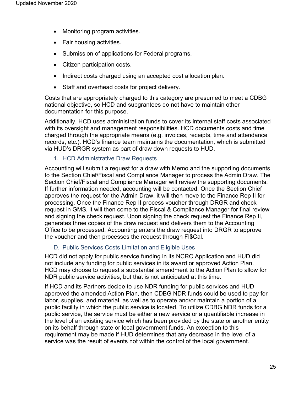- Monitoring program activities.
- Fair housing activities.
- Submission of applications for Federal programs.
- Citizen participation costs.
- Indirect costs charged using an accepted cost allocation plan.
- Staff and overhead costs for project delivery.

Costs that are appropriately charged to this category are presumed to meet a CDBG national objective, so HCD and subgrantees do not have to maintain other documentation for this purpose.

Additionally, HCD uses administration funds to cover its internal staff costs associated with its oversight and management responsibilities. HCD documents costs and time charged through the appropriate means (e.g. invoices, receipts, time and attendance records, etc.). HCD's finance team maintains the documentation, which is submitted via HUD's DRGR system as part of draw down requests to HUD.

#### 1. HCD Administrative Draw Requests

<span id="page-24-0"></span>Accounting will submit a request for a draw with Memo and the supporting documents to the Section Chief/Fiscal and Compliance Manager to process the Admin Draw. The Section Chief/Fiscal and Compliance Manager will review the supporting documents. If further information needed, accounting will be contacted. Once the Section Chief approves the request for the Admin Draw, it will then move to the Finance Rep II for processing. Once the Finance Rep II process voucher through DRGR and check request in GMS, it will then come to the Fiscal & Compliance Manager for final review and signing the check request. Upon signing the check request the Finance Rep II, generates three copies of the draw request and delivers them to the Accounting Office to be processed. Accounting enters the draw request into DRGR to approve the voucher and then processes the request through FI\$Cal.

#### D. Public Services Costs Limitation and Eligible Uses

<span id="page-24-1"></span>HCD did not apply for public service funding in its NCRC Application and HUD did not include any funding for public services in its award or approved Action Plan. HCD may choose to request a substantial amendment to the Action Plan to allow for NDR public service activities, but that is not anticipated at this time.

If HCD and its Partners decide to use NDR funding for public services and HUD approved the amended Action Plan, then CDBG NDR funds could be used to pay for labor, supplies, and material, as well as to operate and/or maintain a portion of a public facility in which the public service is located. To utilize CDBG NDR funds for a public service, the service must be either a new service or a quantifiable increase in the level of an existing service which has been provided by the state or another entity on its behalf through state or local government funds. An exception to this requirement may be made if HUD determines that any decrease in the level of a service was the result of events not within the control of the local government.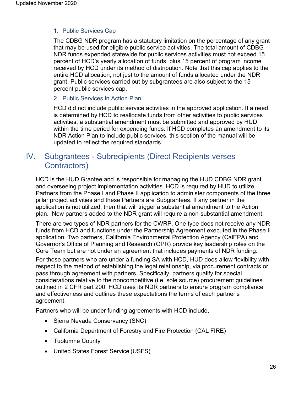#### <span id="page-25-0"></span>1. Public Services Cap

The CDBG NDR program has a statutory limitation on the percentage of any grant that may be used for eligible public service activities. The total amount of CDBG NDR funds expended statewide for public services activities must not exceed 15 percent of HCD's yearly allocation of funds, plus 15 percent of program income received by HCD under its method of distribution. Note that this cap applies to the entire HCD allocation, not just to the amount of funds allocated under the NDR grant. Public services carried out by subgrantees are also subject to the 15 percent public services cap.

#### <span id="page-25-1"></span>2. Public Services in Action Plan

HCD did not include public service activities in the approved application. If a need is determined by HCD to reallocate funds from other activities to public services activities, a substantial amendment must be submitted and approved by HUD within the time period for expending funds. If HCD completes an amendment to its NDR Action Plan to include public services, this section of the manual will be updated to reflect the required standards.

## <span id="page-25-2"></span>IV. Subgrantees - Subrecipients (Direct Recipients verses Contractors)

HCD is the HUD Grantee and is responsible for managing the HUD CDBG NDR grant and overseeing project implementation activities. HCD is required by HUD to utilize Partners from the Phase I and Phase II application to administer components of the three pillar project activities and these Partners are Subgrantees. If any partner in the application is not utilized, then that will trigger a substantial amendment to the Action plan. New partners added to the NDR grant will require a non-substantial amendment.

There are two types of NDR partners for the CWRP. One type does not receive any NDR funds from HCD and functions under the Partnership Agreement executed in the Phase II application. Two partners, California Environmental Protection Agency (CalEPA) and Governor's Office of Planning and Research (OPR) provide key leadership roles on the Core Team but are not under an agreement that includes payments of NDR funding.

For those partners who are under a funding SA with HCD, HUD does allow flexibility with respect to the method of establishing the legal relationship, via procurement contracts or pass through agreement with partners. Specifically, partners qualify for special considerations relative to the noncompetitive (i.e. sole source) procurement guidelines outlined in 2 CFR part 200. HCD uses its NDR partners to ensure program compliance and effectiveness and outlines these expectations the terms of each partner's agreement.

Partners who will be under funding agreements with HCD include,

- Sierra Nevada Conservancy (SNC)
- California Department of Forestry and Fire Protection (CAL FIRE)
- Tuolumne County
- United States Forest Service (USFS)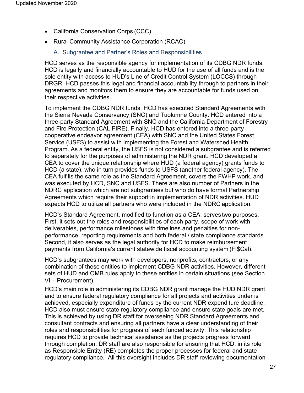- California Conservation Corps (CCC)
- <span id="page-26-0"></span>• Rural Community Assistance Corporation (RCAC)
	- A. Subgrantee and Partner's Roles and Responsibilities

HCD serves as the responsible agency for implementation of its CDBG NDR funds. HCD is legally and financially accountable to HUD for the use of all funds and is the sole entity with access to HUD's Line of Credit Control System (LOCCS) through DRGR. HCD passes this legal and financial accountability through to partners in their agreements and monitors them to ensure they are accountable for funds used on their respective activities.

To implement the CDBG NDR funds, HCD has executed Standard Agreements with the Sierra Nevada Conservancy (SNC) and Tuolumne County. HCD entered into a three-party Standard Agreement with SNC and the California Department of Forestry and Fire Protection (CAL FIRE). Finally, HCD has entered into a three-party cooperative endeavor agreement (CEA) with SNC and the United States Forest Service (USFS) to assist with implementing the Forest and Watershed Health Program. As a federal entity, the USFS is not considered a subgrantee and is referred to separately for the purposes of administering the NDR grant. HCD developed a CEA to cover the unique relationship where HUD (a federal agency) grants funds to HCD (a state), who in turn provides funds to USFS (another federal agency). The CEA fulfills the same role as the Standard Agreement, covers the FWHP work, and was executed by HCD, SNC and USFS. There are also number of Partners in the NDRC application which are not subgrantees but who do have formal Partnership Agreements which require their support in implementation of NDR activities. HUD expects HCD to utilize all partners who were included in the NDRC application.

HCD's Standard Agreement, modified to function as a CEA, serves two purposes. First, it sets out the roles and responsibilities of each party, scope of work with deliverables, performance milestones with timelines and penalties for nonperformance, reporting requirements and both federal / state compliance standards. Second, it also serves as the legal authority for HCD to make reimbursement payments from California's current statewide fiscal accounting system (FI\$Cal).

HCD's subgrantees may work with developers, nonprofits, contractors, or any combination of these entities to implement CDBG NDR activities. However, different sets of HUD and OMB rules apply to these entities in certain situations (see Section VI – Procurement).

HCD's main role in administering its CDBG NDR grant manage the HUD NDR grant and to ensure federal regulatory compliance for all projects and activities under is achieved, especially expenditure of funds by the current NDR expenditure deadline. HCD also must ensure state regulatory compliance and ensure state goals are met. This is achieved by using DR staff for overseeing NDR Standard Agreements and consultant contracts and ensuring all partners have a clear understanding of their roles and responsibilities for progress of each funded activity. This relationship requires HCD to provide technical assistance as the projects progress forward through completion. DR staff are also responsible for ensuring that HCD, in its role as Responsible Entity (RE) completes the proper processes for federal and state regulatory compliance. All this oversight includes DR staff reviewing documentation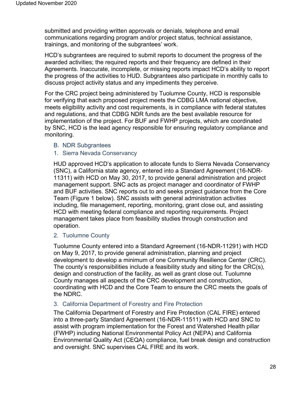submitted and providing written approvals or denials, telephone and email communications regarding program and/or project status, technical assistance, trainings, and monitoring of the subgrantees' work.

HCD's subgrantees are required to submit reports to document the progress of the awarded activities; the required reports and their frequency are defined in their Agreements. Inaccurate, incomplete, or missing reports impact HCD's ability to report the progress of the activities to HUD. Subgrantees also participate in monthly calls to discuss project activity status and any impediments they perceive.

For the CRC project being administered by Tuolumne County, HCD is responsible for verifying that each proposed project meets the CDBG LMA national objective, meets eligibility activity and cost requirements, is in compliance with federal statutes and regulations, and that CDBG NDR funds are the best available resource for implementation of the project. For BUF and FWHP projects, which are coordinated by SNC, HCD is the lead agency responsible for ensuring regulatory compliance and monitoring.

- <span id="page-27-0"></span>B. NDR Subgrantees
- <span id="page-27-1"></span>1. Sierra Nevada Conservancy

HUD approved HCD's application to allocate funds to Sierra Nevada Conservancy (SNC), a California state agency, entered into a Standard Agreement (16-NDR-11311) with HCD on May 30, 2017, to provide general administration and project management support. SNC acts as project manager and coordinator of FWHP and BUF activities. SNC reports out to and seeks project guidance from the Core Team (Figure 1 below). SNC assists with general administration activities including, file management, reporting, monitoring, grant close out, and assisting HCD with meeting federal compliance and reporting requirements. Project management takes place from feasibility studies through construction and operation.

<span id="page-27-2"></span>2. Tuolumne County

Tuolumne County entered into a Standard Agreement (16-NDR-11291) with HCD on May 9, 2017, to provide general administration, planning and project development to develop a minimum of one Community Resilience Center (CRC). The county's responsibilities include a feasibility study and siting for the CRC(s), design and construction of the facility, as well as grant close out. Tuolumne County manages all aspects of the CRC development and construction, coordinating with HCD and the Core Team to ensure the CRC meets the goals of the NDRC.

#### <span id="page-27-3"></span>3. California Department of Forestry and Fire Protection

The California Department of Forestry and Fire Protection (CAL FIRE) entered into a three-party Standard Agreement (16-NDR-11511) with HCD and SNC to assist with program implementation for the Forest and Watershed Health pillar (FWHP) including National Environmental Policy Act (NEPA) and California Environmental Quality Act (CEQA) compliance, fuel break design and construction and oversight. SNC supervises CAL FIRE and its work.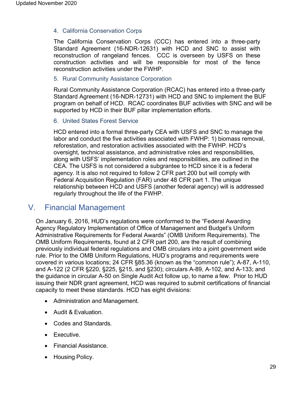#### <span id="page-28-0"></span>4. California Conservation Corps

The California Conservation Corps (CCC) has entered into a three-party Standard Agreement (16-NDR-12631) with HCD and SNC to assist with reconstruction of rangeland fences. CCC is overseen by USFS on these construction activities and will be responsible for most of the fence reconstruction activities under the FWHP.

#### <span id="page-28-1"></span>5. Rural Community Assistance Corporation

Rural Community Assistance Corporation (RCAC) has entered into a three-party Standard Agreement (16-NDR-12731) with HCD and SNC to implement the BUF program on behalf of HCD. RCAC coordinates BUF activities with SNC and will be supported by HCD in their BUF pillar implementation efforts.

#### <span id="page-28-2"></span>6. United States Forest Service

HCD entered into a formal three-party CEA with USFS and SNC to manage the labor and conduct the five activities associated with FWHP: 1) biomass removal, reforestation, and restoration activities associated with the FWHP. HCD's oversight, technical assistance, and administrative roles and responsibilities, along with USFS' implementation roles and responsibilities, are outlined in the CEA. The USFS is not considered a subgrantee to HCD since it is a federal agency. It is also not required to follow 2 CFR part 200 but will comply with Federal Acquisition Regulation (FAR) under 48 CFR part 1. The unique relationship between HCD and USFS (another federal agency) will is addressed regularly throughout the life of the FWHP.

### <span id="page-28-3"></span>V. Financial Management

On January 6, 2016, HUD's regulations were conformed to the "Federal Awarding Agency Regulatory Implementation of Office of Management and Budget's Uniform Administrative Requirements for Federal Awards" (OMB Uniform Requirements). The OMB Uniform Requirements, found at 2 CFR part 200, are the result of combining previously individual federal regulations and OMB circulars into a joint government wide rule. Prior to the OMB Uniform Regulations, HUD's programs and requirements were covered in various locations; 24 CFR §85.36 (known as the "common rule"); A-87, A-110, and A-122 (2 CFR §220, §225, §215, and §230); circulars A-89, A-102, and A-133; and the guidance in circular A-50 on Single Audit Act follow up, to name a few. Prior to HUD issuing their NDR grant agreement, HCD was required to submit certifications of financial capacity to meet these standards. HCD has eight divisions:

- Administration and Management.
- Audit & Evaluation.
- Codes and Standards.
- Executive.
- Financial Assistance.
- Housing Policy.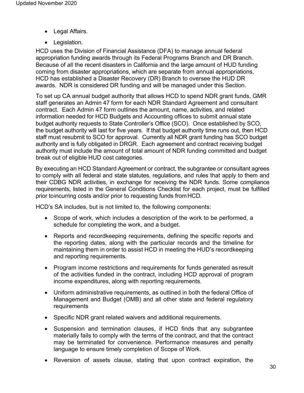- Legal Affairs.
- Legislation.

HCD uses the Division of Financial Assistance (DFA) to manage annual federal appropriation funding awards through its Federal Programs Branch and DR Branch. Because of all the recent disasters in California and the large amount of HUD funding coming from disaster appropriations, which are separate from annual appropriations, HCD has established a Disaster Recovery (DR) Branch to oversee the HUD DR awards. NDR is considered DR funding and will be managed under this Section.

To set up CA annual budget authority that allows HCD to spend NDR grant funds, GMR staff generates an Admin 47 form for each NDR Standard Agreement and consultant contract. Each Admin 47 form outlines the amount, name, activities, and related information needed for HCD Budgets and Accounting offices to submit annual state budget authority requests to State Controller's Office (SCO). Once established by SCO, the budget authority will last for five years. If that budget authority time runs out, then HCD staff must resubmit to SCO for approval. Currently all NDR grant funding has SCO budget authority and is fully obligated in DRGR. Each agreement and contract receiving budget authority must include the amount of total amount of NDR funding committed and budget break out of eligible HUD cost categories.

By executing an HCD Standard Agreement or contract, the subgrantee or consultant agrees to comply with all federal and state statutes, regulations, and rules that apply to them and their CDBG NDR activities, in exchange for receiving the NDR funds. Some compliance requirements, listed in the General Conditions Checklist for each project, must be fulfilled prior toincurring costs and/or prior to requesting funds from HCD.

HCD's SA includes, but is not limited to, the following components:

- Scope of work, which includes a description of the work to be performed, a schedule for completing the work, and a budget.
- Reports and recordkeeping requirements, defining the specific reports and the reporting dates, along with the particular records and the timeline for maintaining them in order to assist HCD in meeting the HUD's recordkeeping and reporting requirements.
- Program income restrictions and requirements for funds generated asresult of the activities funded in the contract, including HCD approval of program income expenditures, along with reporting requirements.
- Uniform administrative requirements, as outlined in both the federal Office of Management and Budget (OMB) and all other state and federal regulatory requirements
- Specific NDR grant related waivers and additional requirements.
- Suspension and termination clauses, if HCD finds that any subgrantee materially fails to comply with the terms of the contract, and that the contract may be terminated for convenience. Performance measures and penalty language to ensure timely completion of Scope of Work.
- Reversion of assets clause, stating that upon contract expiration, the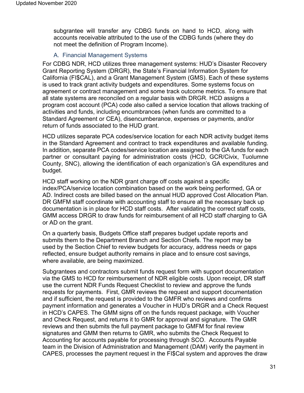subgrantee will transfer any CDBG funds on hand to HCD, along with accounts receivable attributed to the use of the CDBG funds (where they do not meet the definition of Program Income).

#### A. Financial Management Systems

<span id="page-30-0"></span>For CDBG NDR, HCD utilizes three management systems: HUD's Disaster Recovery Grant Reporting System (DRGR), the State's Financial Information System for California (FI\$CAL), and a Grant Management System (GMS). Each of these systems is used to track grant activity budgets and expenditures. Some systems focus on agreement or contract management and some track outcome metrics. To ensure that all state systems are reconciled on a regular basis with DRGR. HCD assigns a program cost account (PCA) code also called a service location that allows tracking of activities and funds, including encumbrances (when funds are committed to a Standard Agreement or CEA), disencumberance, expenses or payments, and/or return of funds associated to the HUD grant.

HCD utilizes separate PCA codes/service location for each NDR activity budget items in the Standard Agreement and contract to track expenditures and available funding. In addition, separate PCA codes/service location are assigned to the GA funds for each partner or consultant paying for administration costs (HCD, GCR/Civix, Tuolumne County, SNC), allowing the identification of each organization's GA expenditures and budget.

HCD staff working on the NDR grant charge off costs against a specific index/PCA/service location combination based on the work being performed, GA or AD. Indirect costs are billed based on the annual HUD approved Cost Allocation Plan. DR GMFM staff coordinate with accounting staff to ensure all the necessary back up documentation is in place for HCD staff costs. After validating the correct staff costs, GMM access DRGR to draw funds for reimbursement of all HCD staff charging to GA or AD on the grant.

On a quarterly basis, Budgets Office staff prepares budget update reports and submits them to the Department Branch and Section Chiefs. The report may be used by the Section Chief to review budgets for accuracy, address needs or gaps reflected, ensure budget authority remains in place and to ensure cost savings, where available, are being maximized.

Subgrantees and contractors submit funds request form with support documentation via the GMS to HCD for reimbursement of NDR eligible costs. Upon receipt, DR staff use the current NDR Funds Request Checklist to review and approve the funds requests for payments. First, GMR reviews the request and support documentation and if sufficient, the request is provided to the GMFR who reviews and confirms payment information and generates a Voucher in HUD's DRGR and a Check Request in HCD's CAPES. The GMM signs off on the funds request package, with Voucher and Check Request, and returns it to GMR for approval and signature. The GMR reviews and then submits the full payment package to GMFM for final review signatures and GMM then returns to GMR, who submits the Check Request to Accounting for accounts payable for processing through SCO. Accounts Payable team in the Division of Administration and Management (DAM) verify the payment in CAPES, processes the payment request in the FI\$Cal system and approves the draw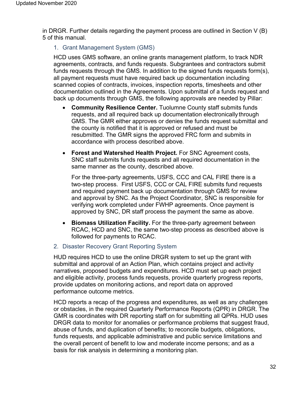<span id="page-31-0"></span>in DRGR. Further details regarding the payment process are outlined in Section V (B) 5 of this manual.

1. Grant Management System (GMS)

HCD uses GMS software, an online grants management platform, to track NDR agreements, contracts, and funds requests. Subgrantees and contractors submit funds requests through the GMS. In addition to the signed funds requests form(s), all payment requests must have required back up documentation including scanned copies of contracts, invoices, inspection reports, timesheets and other documentation outlined in the Agreements. Upon submittal of a funds request and back up documents through GMS, the following approvals are needed by Pillar:

- **Community Resilience Center.** Tuolumne County staff submits funds requests, and all required back up documentation electronically through GMS. The GMR either approves or denies the funds request submittal and the county is notified that it is approved or refused and must be resubmitted. The GMR signs the approved FRC form and submits in accordance with process described above.
- **Forest and Watershed Health Project.** For SNC Agreement costs, SNC staff submits funds requests and all required documentation in the same manner as the county, described above.

For the three-party agreements, USFS, CCC and CAL FIRE there is a two-step process. First USFS, CCC or CAL FIRE submits fund requests and required payment back up documentation through GMS for review and approval by SNC. As the Project Coordinator, SNC is responsible for verifying work completed under FWHP agreements. Once payment is approved by SNC, DR staff process the payment the same as above.

- **Biomass Utilization Facility.** For the three-party agreement between RCAC, HCD and SNC, the same two-step process as described above is followed for payments to RCAC.
- <span id="page-31-1"></span>2. Disaster Recovery Grant Reporting System

HUD requires HCD to use the online DRGR system to set up the grant with submittal and approval of an Action Plan, which contains project and activity narratives, proposed budgets and expenditures. HCD must set up each project and eligible activity, process funds requests, provide quarterly progress reports, provide updates on monitoring actions, and report data on approved performance outcome metrics.

HCD reports a recap of the progress and expenditures, as well as any challenges or obstacles, in the required Quarterly Performance Reports (QPR) in DRGR. The GMR is coordinates with DR reporting staff on for submitting all QPRs. HUD uses DRGR data to monitor for anomalies or performance problems that suggest fraud, abuse of funds, and duplication of benefits; to reconcile budgets, obligations, funds requests, and applicable administrative and public service limitations and the overall percent of benefit to low and moderate income persons; and as a basis for risk analysis in determining a monitoring plan.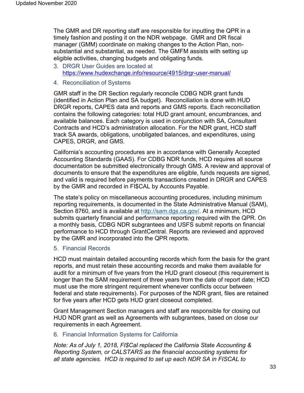The GMR and DR reporting staff are responsible for inputting the QPR in a timely fashion and posting it on the NDR webpage. GMR and DR fiscal manager (GMM) coordinate on making changes to the Action Plan, nonsubstantial and substantial, as needed. The GMFM assists with setting up eligible activities, changing budgets and obligating funds.

- <span id="page-32-0"></span>3. DRGR User Guides are located at <https://www.hudexchange.info/resource/4915/drgr-user-manual/>
- <span id="page-32-1"></span>4. Reconciliation of Systems

GMR staff in the DR Section regularly reconcile CDBG NDR grant funds (identified in Action Plan and SA budget). Reconciliation is done with HUD DRGR reports, CAPES data and reports and GMS reports. Each reconciliation contains the following categories: total HUD grant amount, encumbrances, and available balances. Each category is used in conjunction with SA, Consultant Contracts and HCD's administration allocation. For the NDR grant, HCD staff track SA awards, obligations, unobligated balances, and expenditures, using CAPES, DRGR, and GMS.

California's accounting procedures are in accordance with Generally Accepted Accounting Standards (GAAS). For CDBG NDR funds, HCD requires all source documentation be submitted electronically through GMS. A review and approval of documents to ensure that the expenditures are eligible, funds requests are signed, and valid is required before payments transactions created in DRGR and CAPES by the GMR and recorded in FI\$CAL by Accounts Payable.

The state's policy on miscellaneous accounting procedures, including minimum reporting requirements, is documented in the State Administrative Manual (SAM), Section 8760, and is available at [http://sam.dgs.ca.gov/.](http://sam.dgs.ca.gov/) At a minimum, HCD submits quarterly financial and performance reporting required with the QPR. On a monthly basis, CDBG NDR subgrantees and USFS submit reports on financial performance to HCD through GrantCentral. Reports are reviewed and approved by the GMR and incorporated into the QPR reports.

#### <span id="page-32-2"></span>5. Financial Records

HCD must maintain detailed accounting records which form the basis for the grant reports, and must retain these accounting records and make them available for audit for a minimum of five years from the HUD grant closeout (this requirement is longer than the SAM requirement of three years from the date of report date; HCD must use the more stringent requirement whenever conflicts occur between federal and state requirements). For purposes of the NDR grant, files are retained for five years after HCD gets HUD grant closeout completed.

Grant Management Section managers and staff are responsible for closing out HUD NDR grant as well as Agreements with subgrantees, based on close our requirements in each Agreement.

#### <span id="page-32-3"></span>6. Financial Information Systems for California

*Note: As of July 1, 2018, FI\$Cal replaced the California State Accounting & Reporting System, or CALSTARS as the financial accounting systems for all state agencies. HCD is required to set up each NDR SA in FISCAL to*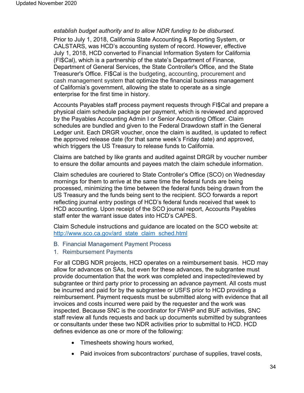#### *establish budget authority and to allow NDR funding to be disbursed.*

Prior to July 1, 2018, California State Accounting & Reporting System, or CALSTARS, was HCD's accounting system of record. However, effective July 1, 2018, HCD converted to Financial Information System for California (FI\$Cal), which is a partnership of the state's Department of Finance, Department of General Services, the State Controller's Office, and the State Treasurer's Office. FI\$Cal is the budgeting, accounting, procurement and cash management system that optimize the financial business management of California's government, allowing the state to operate as a single enterprise for the first time in history.

Accounts Payables staff process payment requests through FI\$Cal and prepare a physical claim schedule package per payment, which is reviewed and approved by the Payables Accounting Admin I or Senior Accounting Officer. Claim schedules are bundled and given to the Federal Drawdown staff in the General Ledger unit. Each DRGR voucher, once the claim is audited, is updated to reflect the approved release date (for that same week's Friday date) and approved, which triggers the US Treasury to release funds to California.

Claims are batched by like grants and audited against DRGR by voucher number to ensure the dollar amounts and payees match the claim schedule information.

Claim schedules are couriered to State Controller's Office (SCO) on Wednesday mornings for them to arrive at the same time the federal funds are being processed, minimizing the time between the federal funds being drawn from the US Treasury and the funds being sent to the recipient. SCO forwards a report reflecting journal entry postings of HCD's federal funds received that week to HCD accounting. Upon receipt of the SCO journal report, Accounts Payables staff enter the warrant issue dates into HCD's CAPES.

Claim Schedule instructions and guidance are located on the SCO website at: http://www.sco.ca.gov/ard state claim sched.html

- <span id="page-33-0"></span>B. Financial Management Payment Process
- <span id="page-33-1"></span>1. Reimbursement Payments

For all CDBG NDR projects, HCD operates on a reimbursement basis. HCD may allow for advances on SAs, but even for these advances, the subgrantee must provide documentation that the work was completed and inspected/reviewed by subgrantee or third party prior to processing an advance payment. All costs must be incurred and paid for by the subgrantee or USFS prior to HCD providing a reimbursement. Payment requests must be submitted along with evidence that all invoices and costs incurred were paid by the requester and the work was inspected. Because SNC is the coordinator for FWHP and BUF activities, SNC staff review all funds requests and back up documents submitted by subgrantees or consultants under these two NDR activities prior to submittal to HCD. HCD defines evidence as one or more of the following:

- Timesheets showing hours worked,
- Paid invoices from subcontractors' purchase of supplies, travel costs,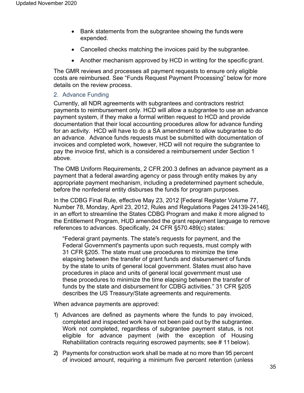- Bank statements from the subgrantee showing the funds were expended.
- Cancelled checks matching the invoices paid by the subgrantee.
- Another mechanism approved by HCD in writing for the specific grant.

The GMR reviews and processes all payment requests to ensure only eligible costs are reimbursed. See "Funds Request Payment Processing" below for more details on the review process.

#### <span id="page-34-0"></span>2. Advance Funding

Currently, all NDR agreements with subgrantees and contractors restrict payments to reimbursement only. HCD will allow a subgrantee to use an advance payment system, if they make a formal written request to HCD and provide documentation that their local accounting procedures allow for advance funding for an activity. HCD will have to do a SA amendment to allow subgrantee to do an advance. Advance funds requests must be submitted with documentation of invoices and completed work, however, HCD will not require the subgrantee to pay the invoice first, which is a considered a reimbursement under Section 1 above.

The OMB Uniform Requirements, 2 CFR 200.3 defines an advance payment as a payment that a federal awarding agency or pass through entity makes by any appropriate payment mechanism, including a predetermined payment schedule, before the nonfederal entity disburses the funds for program purposes.

In the CDBG Final Rule, effective May 23, 2012 [Federal Register Volume 77, Number 78, Monday, April 23, 2012, Rules and Regulations Pages 24139-24146], in an effort to streamline the States CDBG Program and make it more aligned to the Entitlement Program, HUD amended the grant repayment language to remove references to advances. Specifically, 24 CFR §570.489(c) states:

"Federal grant payments. The state's requests for payment, and the Federal Government's payments upon such requests, must comply with 31 CFR §205. The state must use procedures to minimize the time elapsing between the transfer of grant funds and disbursement of funds by the state to units of general local government. States must also have procedures in place and units of general local government must use these procedures to minimize the time elapsing between the transfer of funds by the state and disbursement for CDBG activities." 31 CFR §205 describes the US Treasury/State agreements and requirements.

When advance payments are approved:

- 1) Advances are defined as payments where the funds to pay invoiced, completed and inspected work have not been paid out by the subgrantee. Work not completed, regardless of subgrantee payment status, is not eligible for advance payment (with the exception of Housing Rehabilitation contracts requiring escrowed payments; see # 11 below).
- 2) Payments for construction work shall be made at no more than 95 percent of invoiced amount, requiring a minimum five percent retention (unless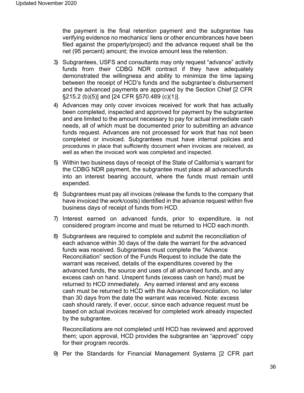the payment is the final retention payment and the subgrantee has verifying evidence no mechanics' liens or other encumbrances have been filed against the property/project) and the advance request shall be the net (95 percent) amount; the invoice amount less the retention.

- 3) Subgrantees, USFS and consultants may only request "advance" activity funds from their CDBG NDR contract if they have adequately demonstrated the willingness and ability to minimize the time lapsing between the receipt of HCD's funds and the subgrantee's disbursement and the advanced payments are approved by the Section Chief [2 CFR §215.2 (b)(5)] and [24 CFR §570.489 (c)(1)].
- 4) Advances may only cover invoices received for work that has actually been completed, inspected and approved for payment by the subgrantee and are limited to the amount necessary to pay for actual immediate cash needs, all of which must be documented prior to submitting an advance funds request. Advances are not processed for work that has not been completed or invoiced. Subgrantees must have internal policies and procedures in place that sufficiently document when invoices are received, as well as when the invoiced work was completed and inspected.
- 5) Within two business days of receipt of the State of California's warrant for the CDBG NDR payment, the subgrantee must place all advancedfunds into an interest bearing account, where the funds must remain until expended.
- 6) Subgrantees must pay all invoices (release the funds to the company that have invoiced the work/costs) identified in the advance request within five business days of receipt of funds from HCD.
- 7) Interest earned on advanced funds, prior to expenditure, is not considered program income and must be returned to HCD each month.
- 8) Subgrantees are required to complete and submit the reconciliation of each advance within 30 days of the date the warrant for the advanced funds was received. Subgrantees must complete the "Advance Reconciliation" section of the Funds Request to include the date the warrant was received, details of the expenditures covered by the advanced funds, the source and uses of all advanced funds, and any excess cash on hand. Unspent funds (excess cash on hand) must be returned to HCD immediately. Any earned interest and any excess cash must be returned to HCD with the Advance Reconciliation, no later than 30 days from the date the warrant was received. Note: excess cash should rarely, if ever, occur, since each advance request must be based on actual invoices received for completed work already inspected by the subgrantee.

Reconciliations are not completed until HCD has reviewed and approved them; upon approval, HCD provides the subgrantee an "approved" copy for their program records.

9) Per the Standards for Financial Management Systems [2 CFR part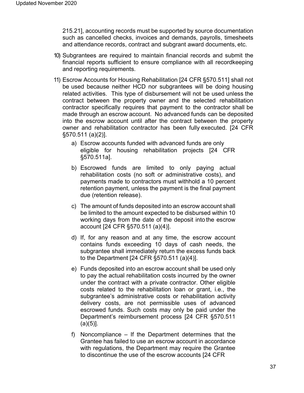215.21], accounting records must be supported by source documentation such as cancelled checks, invoices and demands, payrolls, timesheets and attendance records, contract and subgrant award documents, etc.

- 10) Subgrantees are required to maintain financial records and submit the financial reports sufficient to ensure compliance with all recordkeeping and reporting requirements.
- 11) Escrow Accounts for Housing Rehabilitation [24 CFR §570.511] shall not be used because neither HCD nor subgrantees will be doing housing related activities. This type of disbursement will not be used unless the contract between the property owner and the selected rehabilitation contractor specifically requires that payment to the contractor shall be made through an escrow account. No advanced funds can be deposited into the escrow account until after the contract between the property owner and rehabilitation contractor has been fully executed. [24 CFR §570.511 (a)(2)].
	- a) Escrow accounts funded with advanced funds are only eligible for housing rehabilitation projects [24 CFR §570.511a].
	- b) Escrowed funds are limited to only paying actual rehabilitation costs (no soft or administrative costs), and payments made to contractors must withhold a 10 percent retention payment, unless the payment is the final payment due (retention release).
	- c) The amount of funds deposited into an escrow account shall be limited to the amount expected to be disbursed within 10 working days from the date of the deposit into the escrow account [24 CFR §570.511 (a)(4)].
	- d) If, for any reason and at any time, the escrow account contains funds exceeding 10 days of cash needs, the subgrantee shall immediately return the excess funds back to the Department [24 CFR §570.511 (a)(4)].
	- e) Funds deposited into an escrow account shall be used only to pay the actual rehabilitation costs incurred by the owner under the contract with a private contractor. Other eligible costs related to the rehabilitation loan or grant, i.e., the subgrantee's administrative costs or rehabilitation activity delivery costs, are not permissible uses of advanced escrowed funds. Such costs may only be paid under the Department's reimbursement process [24 CFR §570.511  $(a)(5)$ ].
	- f) Noncompliance If the Department determines that the Grantee has failed to use an escrow account in accordance with regulations, the Department may require the Grantee to discontinue the use of the escrow accounts [24 CFR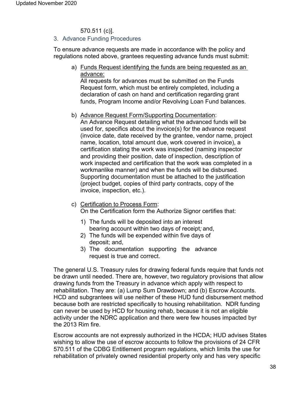# 570.511 (c)].

#### 3. Advance Funding Procedures

To ensure advance requests are made in accordance with the policy and regulations noted above, grantees requesting advance funds must submit:

a) Funds Request identifying the funds are being requested as an advance:

All requests for advances must be submitted on the Funds Request form, which must be entirely completed, including a declaration of cash on hand and certification regarding grant funds, Program Income and/or Revolving Loan Fund balances.

b) Advance Request Form/Supporting Documentation:

An Advance Request detailing what the advanced funds will be used for, specifics about the invoice(s) for the advance request (invoice date, date received by the grantee, vendor name, project name, location, total amount due, work covered in invoice), a certification stating the work was inspected (naming inspector and providing their position, date of inspection, description of work inspected and certification that the work was completed in a workmanlike manner) and when the funds will be disbursed. Supporting documentation must be attached to the justification (project budget, copies of third party contracts, copy of the invoice, inspection, etc.).

- c) Certification to Process Form: On the Certification form the Authorize Signor certifies that:
	- 1) The funds will be deposited into an interest bearing account within two days of receipt*;* and,
	- 2) The funds will be expended within five days of deposit; and,
	- 3) The documentation supporting the advance request is true and correct.

The general U.S. Treasury rules for drawing federal funds require that funds not be drawn until needed. There are, however, two regulatory provisions that allow drawing funds from the Treasury in advance which apply with respect to rehabilitation. They are: (a) Lump Sum Drawdown; and (b) Escrow Accounts. HCD and subgrantees will use neither of these HUD fund disbursement method because both are restricted specifically to housing rehabilitation. NDR funding can never be used by HCD for housing rehab, because it is not an eligible activity under the NDRC application and there were few houses impacted byr the 2013 Rim fire.

Escrow accounts are not expressly authorized in the HCDA; HUD advises States wishing to allow the use of escrow accounts to follow the provisions of 24 CFR 570.511 of the CDBG Entitlement program regulations, which limits the use for rehabilitation of privately owned residential property only and has very specific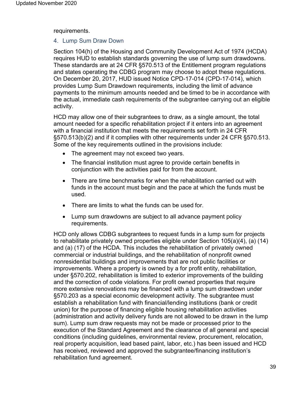requirements.

#### 4. Lump Sum Draw Down

Section 104(h) of the Housing and Community Development Act of 1974 (HCDA) requires HUD to establish standards governing the use of lump sum drawdowns. These standards are at 24 CFR §570.513 of the Entitlement program regulations and states operating the CDBG program may choose to adopt these regulations. On December 20, 2017, HUD issued Notice CPD-17-014 (CPD-17-014), which provides Lump Sum Drawdown requirements, including the limit of advance payments to the minimum amounts needed and be timed to be in accordance with the actual, immediate cash requirements of the subgrantee carrying out an eligible activity.

HCD may allow one of their subgrantees to draw, as a single amount, the total amount needed for a specific rehabilitation project if it enters into an agreement with a financial institution that meets the requirements set forth in 24 CFR §570.513(b)(2) and if it complies with other requirements under 24 CFR §570.513. Some of the key requirements outlined in the provisions include:

- The agreement may not exceed two years.
- The financial institution must agree to provide certain benefits in conjunction with the activities paid for from the account.
- There are time benchmarks for when the rehabilitation carried out with funds in the account must begin and the pace at which the funds must be used.
- There are limits to what the funds can be used for.
- Lump sum drawdowns are subject to all advance payment policy requirements.

HCD only allows CDBG subgrantees to request funds in a lump sum for projects to rehabilitate privately owned properties eligible under Section 105(a)(4), (a) (14) and (a) (17) of the HCDA. This includes the rehabilitation of privately owned commercial or industrial buildings, and the rehabilitation of nonprofit owned nonresidential buildings and improvements that are not public facilities or improvements. Where a property is owned by a for profit entity, rehabilitation, under §570.202, rehabilitation is limited to exterior improvements of the building and the correction of code violations. For profit owned properties that require more extensive renovations may be financed with a lump sum drawdown under §570.203 as a special economic development activity. The subgrantee must establish a rehabilitation fund with financial/lending institutions (bank or credit union) for the purpose of financing eligible housing rehabilitation activities (administration and activity delivery funds are not allowed to be drawn in the lump sum). Lump sum draw requests may not be made or processed prior to the execution of the Standard Agreement and the clearance of all general and special conditions (including guidelines, environmental review, procurement, relocation, real property acquisition, lead based paint, labor, etc.) has been issued and HCD has received, reviewed and approved the subgrantee/financing institution's rehabilitation fund agreement.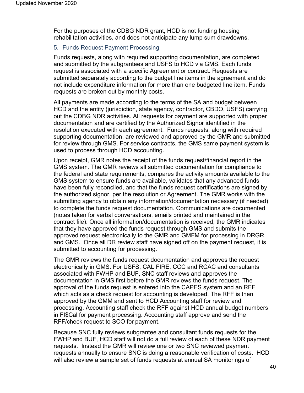For the purposes of the CDBG NDR grant, HCD is not funding housing rehabilitation activities, and does not anticipate any lump sum drawdowns.

## 5. Funds Request Payment Processing

Funds requests, along with required supporting documentation, are completed and submitted by the subgrantees and USFS to HCD via GMS. Each funds request is associated with a specific Agreement or contract. Requests are submitted separately according to the budget line items in the agreement and do not include expenditure information for more than one budgeted line item. Funds requests are broken out by monthly costs.

All payments are made according to the terms of the SA and budget between HCD and the entity (jurisdiction, state agency, contractor, CBDO, USFS) carrying out the CDBG NDR activities. All requests for payment are supported with proper documentation and are certified by the Authorized Signor identified in the resolution executed with each agreement. Funds requests, along with required supporting documentation, are reviewed and approved by the GMR and submitted for review through GMS. For service contracts, the GMS same payment system is used to process through HCD accounting.

Upon receipt, GMR notes the receipt of the funds request/financial report in the GMS system. The GMR reviews all submitted documentation for compliance to the federal and state requirements, compares the activity amounts available to the GMS system to ensure funds are available, validates that any advanced funds have been fully reconciled, and that the funds request certifications are signed by the authorized signor, per the resolution or Agreement. The GMR works with the submitting agency to obtain any information/documentation necessary (if needed) to complete the funds request documentation. Communications are documented (notes taken for verbal conversations, emails printed and maintained in the contract file). Once all information/documentation is received, the GMR indicates that they have approved the funds request through GMS and submits the approved request electronically to the GMR and GMFM for processing in DRGR and GMS. Once all DR review staff have signed off on the payment request, it is submitted to accounting for processing.

The GMR reviews the funds request documentation and approves the request electronically in GMS. For USFS, CAL FIRE, CCC and RCAC and consultants associated with FWHP and BUF, SNC staff reviews and approves the documentation in GMS first before the GMR reviews the funds request. The approval of the funds request is entered into the CAPES system and an RFF which acts as a check request for accounting is developed. The RFF is then approved by the GMM and sent to HCD Accounting staff for review and processing. Accounting staff check the RFF against HCD annual budget numbers in FI\$Cal for payment processing. Accounting staff approve and send the RFF/check request to SCO for payment.

Because SNC fully reviews subgrantee and consultant funds requests for the FWHP and BUF, HCD staff will not do a full review of each of these NDR payment requests. Instead the GMR will review one or two SNC reviewed payment requests annually to ensure SNC is doing a reasonable verification of costs. HCD will also review a sample set of funds requests at annual SA monitorings of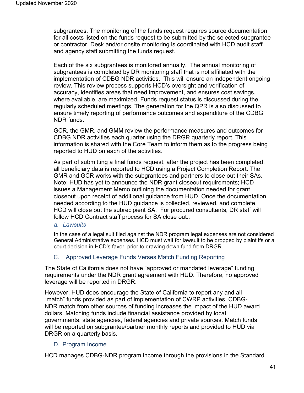subgrantees. The monitoring of the funds request requires source documentation for all costs listed on the funds request to be submitted by the selected subgrantee or contractor. Desk and/or onsite monitoring is coordinated with HCD audit staff and agency staff submitting the funds request.

Each of the six subgrantees is monitored annually. The annual monitoring of subgrantees is completed by DR monitoring staff that is not affiliated with the implementation of CDBG NDR activities. This will ensure an independent ongoing review. This review process supports HCD's oversight and verification of accuracy, identifies areas that need improvement, and ensures cost savings, where available, are maximized. Funds request status is discussed during the regularly scheduled meetings. The generation for the QPR is also discussed to ensure timely reporting of performance outcomes and expenditure of the CDBG NDR funds.

GCR, the GMR, and GMM review the performance measures and outcomes for CDBG NDR activities each quarter using the DRGR quarterly report. This information is shared with the Core Team to inform them as to the progress being reported to HUD on each of the activities.

As part of submitting a final funds request, after the project has been completed, all beneficiary data is reported to HCD using a Project Completion Report. The GMR and GCR works with the subgrantees and partners to close out their SAs. Note: HUD has yet to announce the NDR grant closeout requirements; HCD issues a Management Memo outlining the documentation needed for grant closeout upon receipt of additional guidance from HUD. Once the documentation needed according to the HUD guidance is collected, reviewed, and complete, HCD will close out the subrecipient SA. For procured consultants, DR staff will follow HCD Contract staff process for SA close out..

*a. Lawsuits*

In the case of a legal suit filed against the NDR program legal expenses are not considered General Administrative expenses. HCD must wait for lawsuit to be dropped by plaintiffs or a court decision in HCD's favor, prior to drawing down fund from DRGR.

# C. Approved Leverage Funds Verses Match Funding Reporting

The State of California does not have "approved or mandated leverage" funding requirements under the NDR grant agreement with HUD. Therefore, no approved leverage will be reported in DRGR.

However, HUD does encourage the State of California to report any and all "match" funds provided as part of implementation of CWRP activities. CDBG-NDR match from other sources of funding increases the impact of the HUD award dollars. Matching funds include financial assistance provided by local governments, state agencies, federal agencies and private sources. Match funds will be reported on subgrantee/partner monthly reports and provided to HUD via DRGR on a quarterly basis.

# D. Program Income

HCD manages CDBG-NDR program income through the provisions in the Standard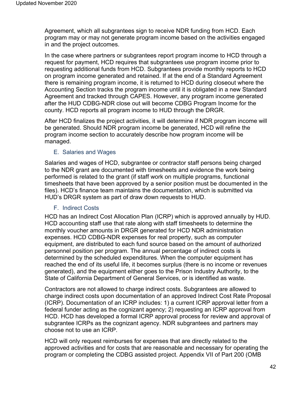Agreement, which all subgrantees sign to receive NDR funding from HCD. Each program may or may not generate program income based on the activities engaged in and the project outcomes.

In the case where partners or subgrantees report program income to HCD through a request for payment, HCD requires that subgrantees use program income prior to requesting additional funds from HCD. Subgrantees provide monthly reports to HCD on program income generated and retained. If at the end of a Standard Agreement there is remaining program income, it is returned to HCD during closeout where the Accounting Section tracks the program income until it is obligated in a new Standard Agreement and tracked through CAPES. However, any program income generated after the HUD CDBG-NDR close out will become CDBG Program Income for the county. HCD reports all program income to HUD through the DRGR.

After HCD finalizes the project activities, it will determine if NDR program income will be generated. Should NDR program income be generated, HCD will refine the program income section to accurately describe how program income will be managed.

#### E. Salaries and Wages

Salaries and wages of HCD, subgrantee or contractor staff persons being charged to the NDR grant are documented with timesheets and evidence the work being performed is related to the grant (if staff work on multiple programs, functional timesheets that have been approved by a senior position must be documented in the files). HCD's finance team maintains the documentation, which is submitted via HUD's DRGR system as part of draw down requests to HUD.

#### F. Indirect Costs

HCD has an Indirect Cost Allocation Plan (ICRP) which is approved annually by HUD. HCD accounting staff use that rate along with staff timesheets to determine the monthly voucher amounts in DRGR generated for HCD NDR administration expenses. HCD CDBG-NDR expenses for real property, such as computer equipment, are distributed to each fund source based on the amount of authorized personnel position per program. The annual percentage of indirect costs is determined by the scheduled expenditures. When the computer equipment has reached the end of its useful life, it becomes surplus (there is no income or revenues generated), and the equipment either goes to the Prison Industry Authority, to the State of California Department of General Services, or is identified as waste.

Contractors are not allowed to charge indirect costs. Subgrantees are allowed to charge indirect costs upon documentation of an approved Indirect Cost Rate Proposal (ICRP). Documentation of an ICRP includes: 1) a current ICRP approval letter from a federal funder acting as the cognizant agency; 2) requesting an ICRP approval from HCD. HCD has developed a formal ICRP approval process for review and approval of subgrantee ICRPs as the cognizant agency. NDR subgrantees and partners may choose not to use an ICRP.

HCD will only request reimburses for expenses that are directly related to the approved activities and for costs that are reasonable and necessary for operating the program or completing the CDBG assisted project. Appendix VII of Part 200 (OMB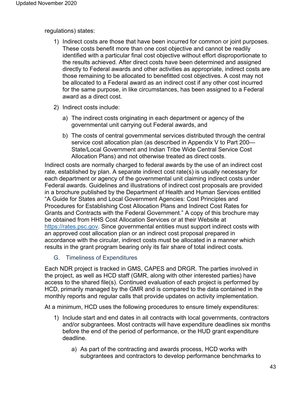regulations) states:

- 1) Indirect costs are those that have been incurred for common or joint purposes. These costs benefit more than one cost objective and cannot be readily identified with a particular final cost objective without effort disproportionate to the results achieved. After direct costs have been determined and assigned directly to Federal awards and other activities as appropriate, indirect costs are those remaining to be allocated to benefitted cost objectives. A cost may not be allocated to a Federal award as an indirect cost if any other cost incurred for the same purpose, in like circumstances, has been assigned to a Federal award as a direct cost.
- 2) Indirect costs include:
	- a) The indirect costs originating in each department or agency of the governmental unit carrying out Federal awards, and
	- b) The costs of central governmental services distributed through the central service cost allocation plan (as described in Appendix V to Part 200— State/Local Government and Indian Tribe Wide Central Service Cost Allocation Plans) and not otherwise treated as direct costs.

Indirect costs are normally charged to federal awards by the use of an indirect cost rate, established by plan. A separate indirect cost rate(s) is usually necessary for each department or agency of the governmental unit claiming indirect costs under Federal awards. Guidelines and illustrations of indirect cost proposals are provided in a brochure published by the Department of Health and Human Services entitled "A Guide for States and Local Government Agencies: Cost Principles and Procedures for Establishing Cost Allocation Plans and Indirect Cost Rates for Grants and Contracts with the Federal Government." A copy of this brochure may be obtained from HHS Cost Allocation Services or at their Website at https://rates.psc.gov. Since governmental entities must support indirect costs with an approved cost allocation plan or an indirect cost proposal prepared in accordance with the circular, indirect costs must be allocated in a manner which results in the grant program bearing only its fair share of total indirect costs.

# G. Timeliness of Expenditures

Each NDR project is tracked in GMS, CAPES and DRGR. The parties involved in the project, as well as HCD staff (GMR, along with other interested parties) have access to the shared file(s). Continued evaluation of each project is performed by HCD, primarily managed by the GMR and is compared to the data contained in the monthly reports and regular calls that provide updates on activity implementation.

At a minimum, HCD uses the following procedures to ensure timely expenditures:

- 1) Include start and end dates in all contracts with local governments, contractors and/or subgrantees. Most contracts will have expenditure deadlines six months before the end of the period of performance, or the HUD grant expenditure deadline.
	- a) As part of the contracting and awards process, HCD works with subgrantees and contractors to develop performance benchmarks to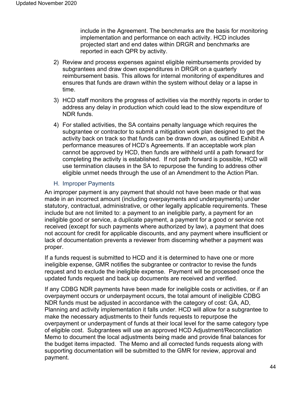include in the Agreement. The benchmarks are the basis for monitoring implementation and performance on each activity. HCD includes projected start and end dates within DRGR and benchmarks are reported in each QPR by activity.

- 2) Review and process expenses against eligible reimbursements provided by subgrantees and draw down expenditures in DRGR on a quarterly reimbursement basis. This allows for internal monitoring of expenditures and ensures that funds are drawn within the system without delay or a lapse in time.
- 3) HCD staff monitors the progress of activities via the monthly reports in order to address any delay in production which could lead to the slow expenditure of NDR funds.
- 4) For stalled activities, the SA contains penalty language which requires the subgrantee or contractor to submit a mitigation work plan designed to get the activity back on track so that funds can be drawn down, as outlined Exhibit A performance measures of HCD's Agreements. If an acceptable work plan cannot be approved by HCD, then funds are withheld until a path forward for completing the activity is established. If not path forward is possible, HCD will use termination clauses in the SA to repurpose the funding to address other eligible unmet needs through the use of an Amendment to the Action Plan.

# H. Improper Payments

An improper payment is any payment that should not have been made or that was made in an incorrect amount (including overpayments and underpayments) under statutory, contractual, administrative, or other legally applicable requirements. These include but are not limited to: a payment to an ineligible party, a payment for an ineligible good or service, a duplicate payment, a payment for a good or service not received (except for such payments where authorized by law), a payment that does not account for credit for applicable discounts, and any payment where insufficient or lack of documentation prevents a reviewer from discerning whether a payment was proper.

If a funds request is submitted to HCD and it is determined to have one or more ineligible expense, GMR notifies the subgrantee or contractor to revise the funds request and to exclude the ineligible expense. Payment will be processed once the updated funds request and back up documents are received and verified.

If any CDBG NDR payments have been made for ineligible costs or activities, or if an overpayment occurs or underpayment occurs, the total amount of ineligible CDBG NDR funds must be adjusted in accordance with the category of cost: GA, AD, Planning and activity implementation it falls under. HCD will allow for a subgrantee to make the necessary adjustments to their funds requests to repurpose the overpayment or underpayment of funds at their local level for the same category type of eligible cost. Subgrantees will use an approved HCD Adjustment/Reconciliation Memo to document the local adjustments being made and provide final balances for the budget items impacted. The Memo and all corrected funds requests along with supporting documentation will be submitted to the GMR for review, approval and payment.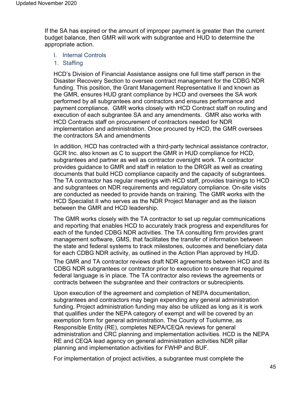If the SA has expired or the amount of improper payment is greater than the current budget balance, then GMR will work with subgrantee and HUD to determine the appropriate action.

- I. Internal Controls
- 1. Staffing

HCD's Division of Financial Assistance assigns one full time staff person in the Disaster Recovery Section to oversee contract management for the CDBG NDR funding. This position, the Grant Management Representative II and known as the GMR, ensures HUD grant compliance by HCD and oversees the SA work performed by all subgrantees and contractors and ensures performance and payment compliance. GMR works closely with HCD Contract staff on routing and execution of each subgrantee SA and any amendments. GMR also works with HCD Contracts staff on procurement of contractors needed for NDR implementation and administration. Once procured by HCD, the GMR oversees the contractors SA and amendments

In addition, HCD has contracted with a third-party technical assistance contractor, GCR Inc. also known as C to support the GMR in HUD compliance for HCD, subgrantees and partner as well as contractor oversight work. TA contractor provides guidance to GMR and staff in relation to the DRGR as well as creating documents that build HCD compliance capacity and the capacity of subgrantees. The TA contractor has regular meetings with HCD staff, provides trainings to HCD and subgrantees on NDR requirements and regulatory compliance. On-site visits are conducted as needed to provide hands on training. The GMR works with the HCD Specialist II who serves as the NDR Project Manager and as the liaison between the GMR and HCD leadership.

The GMR works closely with the TA contractor to set up regular communications and reporting that enables HCD to accurately track progress and expenditures for each of the funded CDBG NDR activities. The TA consulting firm provides grant management software, GMS, that facilitates the transfer of information between the state and federal systems to track milestones, outcomes and beneficiary data for each CDBG NDR activity, as outlined in the Action Plan approved by HUD.

The GMR and TA contractor reviews draft NDR agreements between HCD and its CDBG NDR subgrantees or contractor prior to execution to ensure that required federal language is in place. The TA contractor also reviews the agreements or contracts between the subgrantee and their contractors or subrecipients.

Upon execution of the agreement and completion of NEPA documentation, subgrantees and contractors may begin expending any general administration funding. Project administration funding may also be utilized as long as it is work that qualifies under the NEPA category of exempt and will be covered by an exemption form for general administration. The County of Tuolumne, as Responsible Entity (RE), completes NEPA/CEQA reviews for general administration and CRC planning and implementation activities. HCD is the NEPA RE and CEQA lead agency on general administration activities NDR pillar planning and implementation activities for FWHP and BUF.

For implementation of project activities, a subgrantee must complete the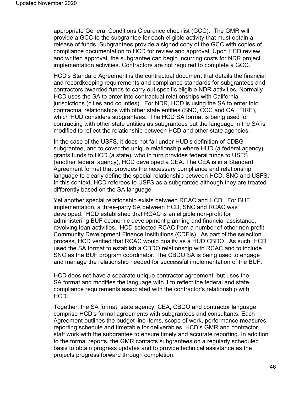appropriate General Conditions Clearance checklist (GCC). The GMR will provide a GCC to the subgrantee for each eligible activity that must obtain a release of funds. Subgrantees provide a signed copy of the GCC with copies of compliance documentation to HCD for review and approval. Upon HCD review and written approval, the subgrantee can begin incurring costs for NDR project implementation activities. Contractors are not required to complete a GCC.

HCD's Standard Agreement is the contractual document that details the financial and recordkeeping requirements and compliance standards for subgrantees and contractors awarded funds to carry out specific eligible NDR activities. Normally HCD uses the SA to enter into contractual relationships with California jurisdictions (cities and counties). For NDR, HCD is using the SA to enter into contractual relationships with other state entities (SNC, CCC and CAL FIRE), which HUD considers subgrantees. The HCD SA format is being used for contracting with other state entities as subgrantees but the language in the SA is modified to reflect the relationship between HCD and other state agencies.

In the case of the USFS, it does not fall under HUD's definition of CDBG subgrantee, and to cover the unique relationship where HUD (a federal agency) grants funds to HCD (a state), who in turn provides federal funds to USFS (another federal agency), HCD developed a CEA. The CEA is in a Standard Agreement format that provides the necessary compliance and relationship language to clearly define the special relationship between HCD, SNC and USFS. In this context, HCD referees to USFS as a subgrantee although they are treated differently based on the SA language.

Yet another special relationship exists between RCAC and HCD. For BUF implementation, a three-party SA between HCD, SNC and RCAC was developed. HCD established that RCAC is an eligible non-profit for administering BUF economic development planning and financial assistance, revolving loan activities. HCD selected RCAC from a number of other non-profit Community Development Finance Institutions (CDFIs). As part of the selection process, HCD verified that RCAC would qualify as a HUD CBDO. As such, HCD used the SA format to establish a CBDO relationship with RCAC and to include SNC as the BUF program coordinator. The CBDO SA is being used to engage and manage the relationship needed for successful implementation of the BUF.

HCD does not have a separate unique contractor agreement, but uses the SA format and modifies the language with it to reflect the federal and state compliance requirements associated with the contractor's relationship with HCD.

Together, the SA format, state agency, CEA, CBDO and contractor language comprise HCD's formal agreements with subgrantees and consultants. Each Agreement outlines the budget line items, scope of work, performance measures, reporting schedule and timetable for deliverables. HCD's GMR and contractor staff work with the subgrantee to ensure timely and accurate reporting. In addition to the formal reports, the GMR contacts subgrantees on a regularly scheduled basis to obtain progress updates and to provide technical assistance as the projects progress forward through completion.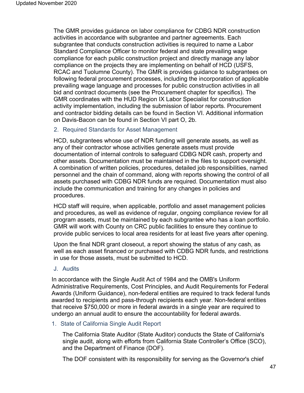The GMR provides guidance on labor compliance for CDBG NDR construction activities in accordance with subgrantee and partner agreements. Each subgrantee that conducts construction activities is required to name a Labor Standard Compliance Officer to monitor federal and state prevailing wage compliance for each public construction project and directly manage any labor compliance on the projects they are implementing on behalf of HCD (USFS, RCAC and Tuolumne County). The GMR is provides guidance to subgrantees on following federal procurement processes, including the incorporation of applicable prevailing wage language and processes for public construction activities in all bid and contract documents (see the Procurement chapter for specifics). The GMR coordinates with the HUD Region IX Labor Specialist for construction activity implementation, including the submission of labor reports. Procurement and contractor bidding details can be found in Section VI. Additional information on Davis-Bacon can be found in Section VI part O, 2b.

#### 2. Required Standards for Asset Management

HCD, subgrantees whose use of NDR funding will generate assets, as well as any of their contractor whose activities generate assets must provide documentation of internal controls to safeguard CDBG NDR cash, property and other assets. Documentation must be maintained in the files to support oversight. A combination of written policies, procedures, detailed job responsibilities, named personnel and the chain of command, along with reports showing the control of all assets purchased with CDBG NDR funds are required. Documentation must also include the communication and training for any changes in policies and procedures.

HCD staff will require, when applicable, portfolio and asset management policies and procedures, as well as evidence of regular, ongoing compliance review for all program assets, must be maintained by each subgrantee who has a loan portfolio. GMR will work with County on CRC public facilities to ensure they continue to provide public services to local area residents for at least five years after opening.

Upon the final NDR grant closeout, a report showing the status of any cash, as well as each asset financed or purchased with CDBG NDR funds, and restrictions in use for those assets, must be submitted to HCD.

#### J. Audits

In accordance with the Single Audit Act of 1984 and the OMB's Uniform Administrative Requirements, Cost Principles, and Audit Requirements for Federal Awards (Uniform Guidance), non-federal entities are required to track federal funds awarded to recipients and pass-through recipients each year. Non-federal entities that receive \$750,000 or more in federal awards in a single year are required to undergo an annual audit to ensure the accountability for federal awards.

#### 1. State of California Single Audit Report

The California State Auditor (State Auditor) conducts the State of California's single audit, along with efforts from California State Controller's Office (SCO), and the Department of Finance (DOF).

The DOF consistent with its responsibility for serving as the Governor's chief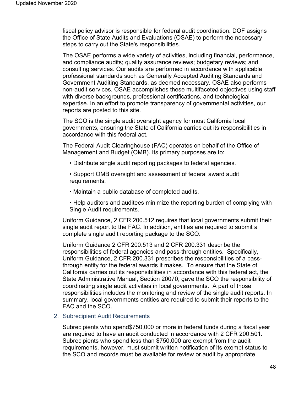fiscal policy advisor is responsible for federal audit coordination. DOF assigns the Office of State Audits and Evaluations (OSAE) to perform the necessary steps to carry out the State's responsibilities.

The OSAE performs a wide variety of activities, including financial, performance, and compliance audits; quality assurance reviews; budgetary reviews; and consulting services. Our audits are performed in accordance with applicable professional standards such as Generally Accepted Auditing Standards and Government Auditing Standards, as deemed necessary. OSAE also performs non-audit services. OSAE accomplishes these multifaceted objectives using staff with diverse backgrounds, professional certifications, and technological expertise. In an effort to promote transparency of governmental activities, our reports are posted to this site.

The SCO is the single audit oversight agency for most California local governments, ensuring the State of California carries out its responsibilities in accordance with this federal act.

The Federal Audit Clearinghouse (FAC) operates on behalf of the Office of Management and Budget (OMB). Its primary purposes are to:

• Distribute single audit reporting packages to federal agencies.

• Support OMB oversight and assessment of federal award audit requirements.

- Maintain a public database of completed audits.
- Help auditors and auditees minimize the reporting burden of complying with Single Audit requirements.

Uniform Guidance, 2 CFR 200.512 requires that local governments submit their single audit report to the FAC. In addition, entities are required to submit a complete single audit reporting package to the SCO.

Uniform Guidance 2 CFR 200.513 and 2 CFR 200.331 describe the responsibilities of federal agencies and pass-through entities. Specifically, Uniform Guidance, 2 CFR 200.331 prescribes the responsibilities of a passthrough entity for the federal awards it makes. To ensure that the State of California carries out its responsibilities in accordance with this federal act, the State Administrative Manual, Section 20070, gave the SCO the responsibility of coordinating single audit activities in local governments. A part of those responsibilities includes the monitoring and review of the single audit reports. In summary, local governments entities are required to submit their reports to the FAC and the SCO.

#### 2. Subrecipient Audit Requirements

Subrecipients who spend\$750,000 or more in federal funds during a fiscal year are required to have an audit conducted in accordance with 2 CFR 200.501. Subrecipients who spend less than \$750,000 are exempt from the audit requirements, however, must submit written notification of its exempt status to the SCO and records must be available for review or audit by appropriate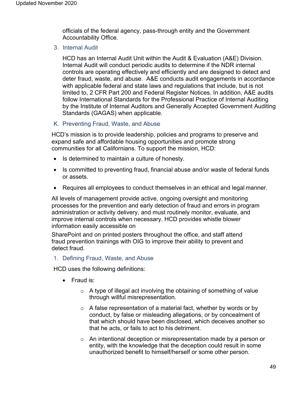officials of the federal agency, pass-through entity and the Government Accountability Office.

3. Internal Audit

HCD has an Internal Audit Unit within the Audit & Evaluation (A&E) Division. Internal Audit will conduct periodic audits to determine if the NDR internal controls are operating effectively and efficiently and are designed to detect and deter fraud, waste, and abuse. A&E conducts audit engagements in accordance with applicable federal and state laws and regulations that include, but is not limited to, 2 CFR Part 200 and Federal Register Notices. In addition, A&E audits follow International Standards for the Professional Practice of Internal Auditing by the Institute of Internal Auditors and Generally Accepted Government Auditing Standards (GAGAS) when applicable.

K. Preventing Fraud, Waste, and Abuse

HCD's mission is to provide leadership, policies and programs to preserve and expand safe and affordable housing opportunities and promote strong communities for all Californians. To support the mission, HCD:

- Is determined to maintain a culture of honesty.
- Is committed to preventing fraud, financial abuse and/or waste of federal funds or assets.
- Requires all employees to conduct themselves in an ethical and legal manner.

All levels of management provide active, ongoing oversight and monitoring processes for the prevention and early detection of fraud and errors in program administration or activity delivery, and must routinely monitor, evaluate, and improve internal controls when necessary. HCD provides whistle blower information easily accessible on

SharePoint and on printed posters throughout the office, and staff attend fraud prevention trainings with OIG to improve their ability to prevent and detect fraud.

1. Defining Fraud, Waste, and Abuse

HCD uses the following definitions:

- Fraud is:
	- $\circ$  A type of illegal act involving the obtaining of something of value through willful misrepresentation.
	- $\circ$  A false representation of a material fact, whether by words or by conduct, by false or misleading allegations, or by concealment of that which should have been disclosed, which deceives another so that he acts, or fails to act to his detriment.
	- $\circ$  An intentional deception or misrepresentation made by a person or entity, with the knowledge that the deception could result in some unauthorized benefit to himself/herself or some other person.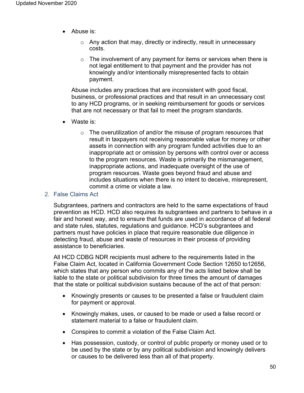- Abuse is:
	- $\circ$  Any action that may, directly or indirectly, result in unnecessary costs.
	- $\circ$  The involvement of any payment for items or services when there is not legal entitlement to that payment and the provider has not knowingly and/or intentionally misrepresented facts to obtain payment.

Abuse includes any practices that are inconsistent with good fiscal, business, or professional practices and that result in an unnecessary cost to any HCD programs, or in seeking reimbursement for goods or services that are not necessary or that fail to meet the program standards.

- Waste is:
	- o The overutilization of and/or the misuse of program resources that result in taxpayers not receiving reasonable value for money or other assets in connection with any program funded activities due to an inappropriate act or omission by persons with control over or access to the program resources. Waste is primarily the mismanagement, inappropriate actions, and inadequate oversight of the use of program resources. Waste goes beyond fraud and abuse and includes situations when there is no intent to deceive, misrepresent, commit a crime or violate a law.

## 2. False Claims Act

Subgrantees, partners and contractors are held to the same expectations of fraud prevention as HCD. HCD also requires its subgrantees and partners to behave in a fair and honest way, and to ensure that funds are used in accordance of all federal and state rules, statutes, regulations and guidance. HCD's subgrantees and partners must have policies in place that require reasonable due diligence in detecting fraud, abuse and waste of resources in their process of providing assistance to beneficiaries.

All HCD CDBG NDR recipients must adhere to the requirements listed in the False Claim Act, located in California Government Code Section 12650 to12656, which states that any person who commits any of the acts listed below shall be liable to the state or political subdivision for three times the amount of damages that the state or political subdivision sustains because of the act of that person:

- Knowingly presents or causes to be presented a false or fraudulent claim for payment or approval.
- Knowingly makes, uses, or caused to be made or used a false record or statement material to a false or fraudulent claim.
- Conspires to commit a violation of the False Claim Act.
- Has possession, custody, or control of public property or money used or to be used by the state or by any political subdivision and knowingly delivers or causes to be delivered less than all of that property.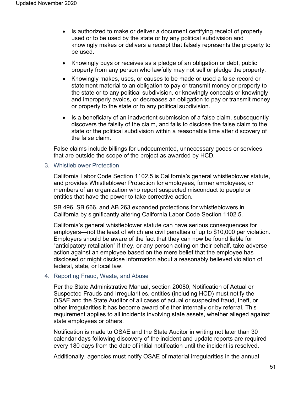- Is authorized to make or deliver a document certifying receipt of property used or to be used by the state or by any political subdivision and knowingly makes or delivers a receipt that falsely represents the property to be used.
- Knowingly buys or receives as a pledge of an obligation or debt, public property from any person who lawfully may not sell or pledge theproperty.
- Knowingly makes, uses, or causes to be made or used a false record or statement material to an obligation to pay or transmit money or property to the state or to any political subdivision, or knowingly conceals or knowingly and improperly avoids, or decreases an obligation to pay or transmit money or property to the state or to any political subdivision.
- Is a beneficiary of an inadvertent submission of a false claim, subsequently discovers the falsity of the claim, and fails to disclose the false claim to the state or the political subdivision within a reasonable time after discovery of the false claim.

False claims include billings for undocumented, unnecessary goods or services that are outside the scope of the project as awarded by HCD.

3. Whistleblower Protection

California Labor Code Section 1102.5 is California's general whistleblower statute, and provides Whistleblower Protection for employees, former employees, or members of an organization who report suspected misconduct to people or entities that have the power to take corrective action.

SB 496, SB 666, and AB 263 expanded protections for whistleblowers in California by significantly altering California Labor Code Section 1102.5.

California's general whistleblower statute can have serious consequences for employers—not the least of which are civil penalties of up to \$10,000 per violation. Employers should be aware of the fact that they can now be found liable for "anticipatory retaliation" if they, or any person acting on their behalf, take adverse action against an employee based on the mere belief that the employee has disclosed or might disclose information about a reasonably believed violation of federal, state, or local law.

#### 4. Reporting Fraud, Waste, and Abuse

Per the State Administrative Manual, section 20080, Notification of Actual or Suspected Frauds and Irregularities, entities (including HCD) must notify the OSAE and the State Auditor of all cases of actual or suspected fraud, theft, or other irregularities it has become award of either internally or by referral. This requirement applies to all incidents involving state assets, whether alleged against state employees or others.

Notification is made to OSAE and the State Auditor in writing not later than 30 calendar days following discovery of the incident and update reports are required every 180 days from the date of initial notification until the incident is resolved.

Additionally, agencies must notify OSAE of material irregularities in the annual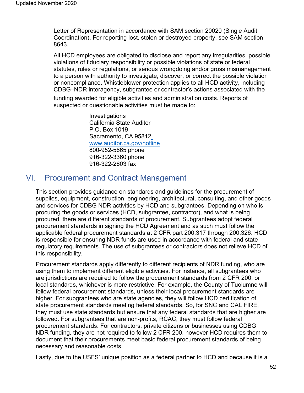Letter of Representation in accordance with SAM section 20020 (Single Audit Coordination). For reporting lost, stolen or destroyed property, see SAM section 8643.

All HCD employees are obligated to disclose and report any irregularities, possible violations of fiduciary responsibility or possible violations of state or federal statutes, rules or regulations, or serious wrongdoing and/or gross mismanagement to a person with authority to investigate, discover, or correct the possible violation or noncompliance. Whistleblower protection applies to all HCD activity, including CDBG–NDR interagency, subgrantee or contractor's actions associated with the

funding awarded for eligible activities and administration costs. Reports of suspected or questionable activities must be made to:

> **Investigations** California State Auditor P.O. Box 1019 Sacramento, CA 9581[2](http://www.auditor.ca.gov/hotline) [www.auditor.ca.gov/hotline](http://www.auditor.ca.gov/hotline) 800-952-5665 phone 916-322-3360 phone 916-322-2603 fax

# VI. Procurement and Contract Management

This section provides guidance on standards and guidelines for the procurement of supplies, equipment, construction, engineering, architectural, consulting, and other goods and services for CDBG NDR activities by HCD and subgrantees. Depending on who is procuring the goods or services (HCD, subgrantee, contractor), and what is being procured, there are different standards of procurement. Subgrantees adopt federal procurement standards in signing the HCD Agreement and as such must follow the applicable federal procurement standards at 2 CFR part 200.317 through 200.326. HCD is responsible for ensuring NDR funds are used in accordance with federal and state regulatory requirements. The use of subgrantees or contractors does not relieve HCD of this responsibility.

Procurement standards apply differently to different recipients of NDR funding, who are using them to implement different eligible activities. For instance, all subgrantees who are jurisdictions are required to follow the procurement standards from 2 CFR 200, or local standards, whichever is more restrictive. For example, the County of Tuolumne will follow federal procurement standards, unless their local procurement standards are higher. For subgrantees who are state agencies, they will follow HCD certification of state procurement standards meeting federal standards. So, for SNC and CAL FIRE, they must use state standards but ensure that any federal standards that are higher are followed. For subgrantees that are non-profits, RCAC, they must follow federal procurement standards. For contractors, private citizens or businesses using CDBG NDR funding, they are not required to follow 2 CFR 200, however HCD requires them to document that their procurements meet basic federal procurement standards of being necessary and reasonable costs.

Lastly, due to the USFS' unique position as a federal partner to HCD and because it is a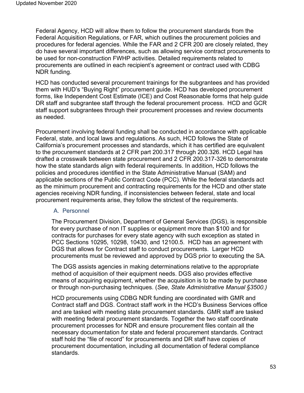Federal Agency, HCD will allow them to follow the procurement standards from the Federal Acquisition Regulations, or FAR, which outlines the procurement policies and procedures for federal agencies. While the FAR and 2 CFR 200 are closely related, they do have several important differences, such as allowing service contract procurements to be used for non-construction FWHP activities. Detailed requirements related to procurements are outlined in each recipient's agreement or contract used with CDBG NDR funding.

HCD has conducted several procurement trainings for the subgrantees and has provided them with HUD's "Buying Right" procurement guide. HCD has developed procurement forms, like Independent Cost Estimate (ICE) and Cost Reasonable forms that help guide DR staff and subgrantee staff through the federal procurement process. HCD and GCR staff support subgrantees through their procurement processes and review documents as needed.

Procurement involving federal funding shall be conducted in accordance with applicable Federal, state, and local laws and regulations. As such, HCD follows the State of California's procurement processes and standards, which it has certified are equivalent to the procurement standards at 2 CFR part 200.317 through 200.326. HCD Legal has drafted a crosswalk between state procurement and 2 CFR 200.317-326 to demonstrate how the state standards align with federal requirements. In addition, HCD follows the policies and procedures identified in the State Administrative Manual (SAM) and applicable sections of the Public Contract Code (PCC). While the federal standards act as the minimum procurement and contracting requirements for the HCD and other state agencies receiving NDR funding, if inconsistencies between federal, state and local procurement requirements arise, they follow the strictest of the requirements.

# A. Personnel

The Procurement Division, Department of General Services (DGS), is responsible for every purchase of non IT supplies or equipment more than \$100 and for contracts for purchases for every state agency with such exception as stated in PCC Sections 10295, 10298, 10430, and 12100.5. HCD has an agreement with DGS that allows for Contract staff to conduct procurements. Larger HCD procurements must be reviewed and approved by DGS prior to executing the SA.

The DGS assists agencies in making determinations relative to the appropriate method of acquisition of their equipment needs. DGS also provides effective means of acquiring equipment, whether the acquisition is to be made by purchase or through non-purchasing techniques. (*See, State Administrative Manual §3500.)*

HCD procurements using CDBG NDR funding are coordinated with GMR and Contract staff and DGS. Contract staff work in the HCD's Business Services office and are tasked with meeting state procurement standards. GMR staff are tasked with meeting federal procurement standards. Together the two staff coordinate procurement processes for NDR and ensure procurement files contain all the necessary documentation for state and federal procurement standards. Contract staff hold the "file of record" for procurements and DR staff have copies of procurement documentation, including all documentation of federal compliance standards.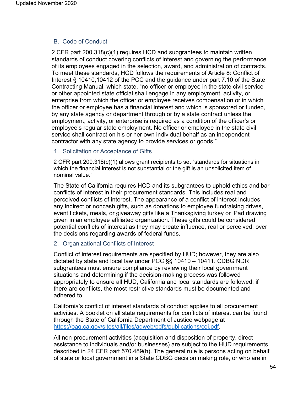# B. Code of Conduct

2 CFR part 200.318(c)(1) requires HCD and subgrantees to maintain written standards of conduct covering conflicts of interest and governing the performance of its employees engaged in the selection, award, and administration of contracts. To meet these standards, HCD follows the requirements of Article 8: Conflict of Interest § 10410,10412 of the PCC and the guidance under part 7.10 of the State Contracting Manual, which state, "no officer or employee in the state civil service or other appointed state official shall engage in any employment, activity, or enterprise from which the officer or employee receives compensation or in which the officer or employee has a financial interest and which is sponsored or funded, by any state agency or department through or by a state contract unless the employment, activity, or enterprise is required as a condition of the officer's or employee's regular state employment. No officer or employee in the state civil service shall contract on his or her own individual behalf as an independent contractor with any state agency to provide services or goods."

1. Solicitation or Acceptance of Gifts

2 CFR part 200.318(c)(1) allows grant recipients to set "standards for situations in which the financial interest is not substantial or the gift is an unsolicited item of nominal value."

The State of California requires HCD and its subgrantees to uphold ethics and bar conflicts of interest in their procurement standards. This includes real and perceived conflicts of interest. The appearance of a conflict of interest includes any indirect or noncash gifts, such as donations to employee fundraising drives, event tickets, meals, or giveaway gifts like a Thanksgiving turkey or iPad drawing given in an employee affiliated organization. These gifts could be considered potential conflicts of interest as they may create influence, real or perceived, over the decisions regarding awards of federal funds.

# 2. Organizational Conflicts of Interest

Conflict of interest requirements are specified by HUD; however, they are also dictated by state and local law under PCC §§ 10410 – 10411. CDBG NDR subgrantees must ensure compliance by reviewing their local government situations and determining if the decision-making process was followed appropriately to ensure all HUD, California and local standards are followed; if there are conflicts, the most restrictive standards must be documented and adhered to.

California's conflict of interest standards of conduct applies to all procurement activities. A booklet on all state requirements for conflicts of interest can be found through the State of California Department of Justice webpage at https://oag.ca.gov/sites/all/files/agweb/pdfs/publications/coi.pdf.

All non-procurement activities (acquisition and disposition of property, direct assistance to individuals and/or businesses) are subject to the HUD requirements described in 24 CFR part 570.489(h). The general rule is persons acting on behalf of state or local government in a State CDBG decision making role, or who are in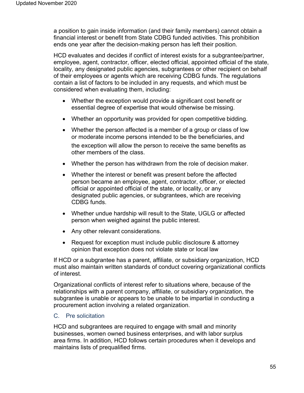a position to gain inside information (and their family members) cannot obtain a financial interest or benefit from State CDBG funded activities. This prohibition ends one year after the decision-making person has left their position.

HCD evaluates and decides if conflict of interest exists for a subgrantee/partner, employee, agent, contractor, officer, elected official, appointed official of the state, locality, any designated public agencies, subgrantees or other recipient on behalf of their employees or agents which are receiving CDBG funds. The regulations contain a list of factors to be included in any requests, and which must be considered when evaluating them, including:

- Whether the exception would provide a significant cost benefit or essential degree of expertise that would otherwise be missing.
- Whether an opportunity was provided for open competitive bidding.
- Whether the person affected is a member of a group or class of low or moderate income persons intended to be the beneficiaries, and the exception will allow the person to receive the same benefits as other members of the class.
- Whether the person has withdrawn from the role of decision maker.
- Whether the interest or benefit was present before the affected person became an employee, agent, contractor, officer, or elected official or appointed official of the state, or locality, or any designated public agencies, or subgrantees, which are receiving CDBG funds.
- Whether undue hardship will result to the State, UGLG or affected person when weighed against the public interest.
- Any other relevant considerations.
- Request for exception must include public disclosure & attorney opinion that exception does not violate state or local law

If HCD or a subgrantee has a parent, affiliate, or subsidiary organization, HCD must also maintain written standards of conduct covering organizational conflicts of interest.

Organizational conflicts of interest refer to situations where, because of the relationships with a parent company, affiliate, or subsidiary organization, the subgrantee is unable or appears to be unable to be impartial in conducting a procurement action involving a related organization.

# C. Pre solicitation

HCD and subgrantees are required to engage with small and minority businesses, women owned business enterprises, and with labor surplus area firms. In addition, HCD follows certain procedures when it develops and maintains lists of prequalified firms.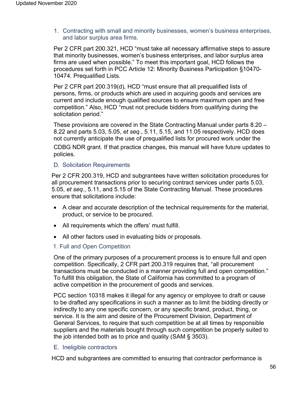1. Contracting with small and minority businesses, women's business enterprises, and labor surplus area firms.

Per 2 CFR part 200.321, HCD "must take all necessary affirmative steps to assure that minority businesses, women's business enterprises, and labor surplus area firms are used when possible." To meet this important goal, HCD follows the procedures set forth in PCC Article 12: Minority Business Participation §10470- 10474. Prequalified Lists.

Per 2 CFR part 200.319(d), HCD "must ensure that all prequalified lists of persons, firms, or products which are used in acquiring goods and services are current and include enough qualified sources to ensure maximum open and free competition." Also, HCD "must not preclude bidders from qualifying during the solicitation period."

These provisions are covered in the State Contracting Manual under parts 8.20 – 8.22 and parts 5.03, 5.05, *et seq.*, 5.11, 5.15, and 11.05 respectively. HCD does not currently anticipate the use of prequalified lists for procured work under the CDBG NDR grant. If that practice changes, this manual will have future updates to policies.

# D. Solicitation Requirements

Per 2 CFR 200.319, HCD and subgrantees have written solicitation procedures for all procurement transactions prior to securing contract services under parts 5.03, 5.05, *et seq.*, 5.11, and 5.15 of the State Contracting Manual. These procedures ensure that solicitations include:

- A clear and accurate description of the technical requirements for the material, product, or service to be procured.
- All requirements which the offers' must fulfill.
- All other factors used in evaluating bids or proposals.

# 1. Full and Open Competition

One of the primary purposes of a procurement process is to ensure full and open competition. Specifically, 2 CFR part 200.319 requires that, "all procurement transactions must be conducted in a manner providing full and open competition." To fulfill this obligation, the State of California has committed to a program of active competition in the procurement of goods and services.

PCC section 10318 makes it illegal for any agency or employee to draft or cause to be drafted any specifications in such a manner as to limit the bidding directly or indirectly to any one specific concern, or any specific brand, product, thing, or service. It is the aim and desire of the Procurement Division, Department of General Services, to require that such competition be at all times by responsible suppliers and the materials bought through such competition be properly suited to the job intended both as to price and quality (SAM § 3503).

# E. Ineligible contractors

HCD and subgrantees are committed to ensuring that contractor performance is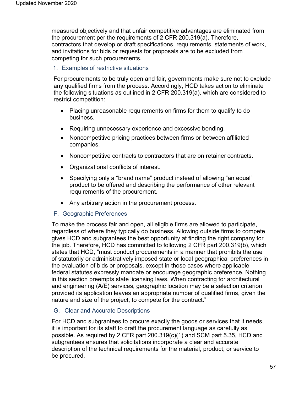measured objectively and that unfair competitive advantages are eliminated from the procurement per the requirements of 2 CFR 200.319(a). Therefore, contractors that develop or draft specifications, requirements, statements of work, and invitations for bids or requests for proposals are to be excluded from competing for such procurements.

## 1. Examples of restrictive situations

For procurements to be truly open and fair, governments make sure not to exclude any qualified firms from the process. Accordingly, HCD takes action to eliminate the following situations as outlined in 2 CFR 200.319(a), which are considered to restrict competition:

- Placing unreasonable requirements on firms for them to qualify to do business.
- Requiring unnecessary experience and excessive bonding.
- Noncompetitive pricing practices between firms or between affiliated companies.
- Noncompetitive contracts to contractors that are on retainer contracts.
- Organizational conflicts of interest.
- Specifying only a "brand name" product instead of allowing "an equal" product to be offered and describing the performance of other relevant requirements of the procurement.
- Any arbitrary action in the procurement process.

#### F. Geographic Preferences

To make the process fair and open, all eligible firms are allowed to participate, regardless of where they typically do business. Allowing outside firms to compete gives HCD and subgrantees the best opportunity at finding the right company for the job. Therefore, HCD has committed to following 2 CFR part 200.319(b), which states that HCD, "must conduct procurements in a manner that prohibits the use of statutorily or administratively imposed state or local geographical preferences in the evaluation of bids or proposals, except in those cases where applicable federal statutes expressly mandate or encourage geographic preference. Nothing in this section preempts state licensing laws. When contracting for architectural and engineering (A/E) services, geographic location may be a selection criterion provided its application leaves an appropriate number of qualified firms, given the nature and size of the project, to compete for the contract."

# G. Clear and Accurate Descriptions

For HCD and subgrantees to procure exactly the goods or services that it needs, it is important for its staff to draft the procurement language as carefully as possible. As required by 2 CFR part 200.319(c)(1) and SCM part 5.35, HCD and subgrantees ensures that solicitations incorporate a clear and accurate description of the technical requirements for the material, product, or service to be procured.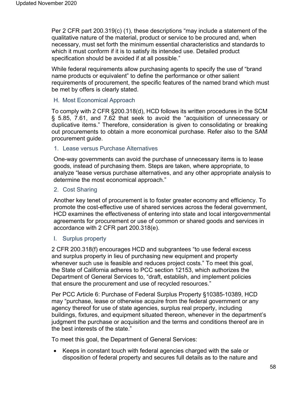Per 2 CFR part 200.319(c) (1), these descriptions "may include a statement of the qualitative nature of the material, product or service to be procured and, when necessary, must set forth the minimum essential characteristics and standards to which it must conform if it is to satisfy its intended use. Detailed product specification should be avoided if at all possible."

While federal requirements allow purchasing agents to specify the use of "brand name products or equivalent" to define the performance or other salient requirements of procurement, the specific features of the named brand which must be met by offers is clearly stated.

## H. Most Economical Approach

To comply with 2 CFR §200.318(d), HCD follows its written procedures in the SCM § 5.85, 7.61, and 7.62 that seek to avoid the "acquisition of unnecessary or duplicative items." Therefore, consideration is given to consolidating or breaking out procurements to obtain a more economical purchase. Refer also to the SAM procurement guide.

#### 1. Lease versus Purchase Alternatives

One-way governments can avoid the purchase of unnecessary items is to lease goods, instead of purchasing them. Steps are taken, where appropriate, to analyze "lease versus purchase alternatives, and any other appropriate analysis to determine the most economical approach."

#### 2. Cost Sharing

Another key tenet of procurement is to foster greater economy and efficiency. To promote the cost-effective use of shared services across the federal government, HCD examines the effectiveness of entering into state and local intergovernmental agreements for procurement or use of common or shared goods and services in accordance with 2 CFR part 200.318(e).

#### I. Surplus property

2 CFR 200.318(f) encourages HCD and subgrantees "to use federal excess and surplus property in lieu of purchasing new equipment and property whenever such use is feasible and reduces project costs." To meet this goal, the State of California adheres to PCC section 12153, which authorizes the Department of General Services to, "draft, establish, and implement policies that ensure the procurement and use of recycled resources."

Per PCC Article 6: Purchase of Federal Surplus Property §10385-10389, HCD may "purchase, lease or otherwise acquire from the federal government or any agency thereof for use of state agencies, surplus real property, including buildings, fixtures, and equipment situated thereon, whenever in the department's judgment the purchase or acquisition and the terms and conditions thereof are in the best interests of the state."

To meet this goal, the Department of General Services:

• Keeps in constant touch with federal agencies charged with the sale or disposition of federal property and secures full details as to the nature and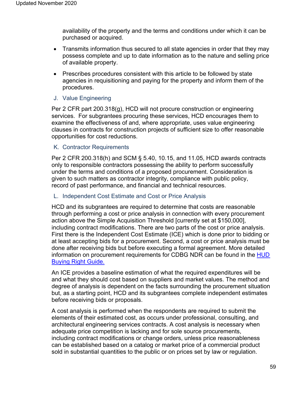availability of the property and the terms and conditions under which it can be purchased or acquired.

- Transmits information thus secured to all state agencies in order that they may possess complete and up to date information as to the nature and selling price of available property.
- Prescribes procedures consistent with this article to be followed by state agencies in requisitioning and paying for the property and inform them of the procedures.

# J. Value Engineering

Per 2 CFR part 200.318(g), HCD will not procure construction or engineering services. For subgrantees procuring these services, HCD encourages them to examine the effectiveness of and, where appropriate, uses value engineering clauses in contracts for construction projects of sufficient size to offer reasonable opportunities for cost reductions.

## K. Contractor Requirements

Per 2 CFR 200.318(h) and SCM § 5.40, 10.15, and 11.05, HCD awards contracts only to responsible contractors possessing the ability to perform successfully under the terms and conditions of a proposed procurement. Consideration is given to such matters as contractor integrity, compliance with public policy, record of past performance, and financial and technical resources.

#### L. Independent Cost Estimate and Cost or Price Analysis

HCD and its subgrantees are required to determine that costs are reasonable through performing a cost or price analysis in connection with every procurement action above the Simple Acquisition Threshold [currently set at \$150,000], including contract modifications. There are two parts of the cost or price analysis. First there is the Independent Cost Estimate (ICE) which is done prior to bidding or at least accepting bids for a procurement. Second, a cost or price analysis must be done after receiving bids but before executing a formal agreement. More detailed information on procurement requirements for CDBG NDR can be found in the [HUD](https://www.hudexchange.info/resource/5614/buying-right-cdbg-dr-and-procurement-a-guide-to-recovery/)  [Buying Right Guide.](https://www.hudexchange.info/resource/5614/buying-right-cdbg-dr-and-procurement-a-guide-to-recovery/)

An ICE provides a baseline estimation of what the required expenditures will be and what they should cost based on suppliers and market values. The method and degree of analysis is dependent on the facts surrounding the procurement situation but, as a starting point, HCD and its subgrantees complete independent estimates before receiving bids or proposals.

A cost analysis is performed when the respondents are required to submit the elements of their estimated cost, as occurs under professional, consulting, and architectural engineering services contracts. A cost analysis is necessary when adequate price competition is lacking and for sole source procurements, including contract modifications or change orders, unless price reasonableness can be established based on a catalog or market price of a commercial product sold in substantial quantities to the public or on prices set by law or regulation.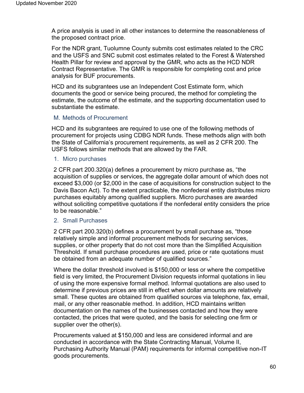A price analysis is used in all other instances to determine the reasonableness of the proposed contract price.

For the NDR grant, Tuolumne County submits cost estimates related to the CRC and the USFS and SNC submit cost estimates related to the Forest & Watershed Health Pillar for review and approval by the GMR, who acts as the HCD NDR Contract Representative. The GMR is responsible for completing cost and price analysis for BUF procurements.

HCD and its subgrantees use an Independent Cost Estimate form, which documents the good or service being procured, the method for completing the estimate, the outcome of the estimate, and the supporting documentation used to substantiate the estimate.

#### M. Methods of Procurement

HCD and its subgrantees are required to use one of the following methods of procurement for projects using CDBG NDR funds. These methods align with both the State of California's procurement requirements, as well as 2 CFR 200. The USFS follows similar methods that are allowed by the FAR.

#### 1. Micro purchases

2 CFR part 200.320(a) defines a procurement by micro purchase as, "the acquisition of supplies or services, the aggregate dollar amount of which does not exceed \$3,000 (or \$2,000 in the case of acquisitions for construction subject to the Davis Bacon Act). To the extent practicable, the nonfederal entity distributes micro purchases equitably among qualified suppliers. Micro purchases are awarded without soliciting competitive quotations if the nonfederal entity considers the price to be reasonable."

#### 2. Small Purchases

2 CFR part 200.320(b) defines a procurement by small purchase as, "those relatively simple and informal procurement methods for securing services, supplies, or other property that do not cost more than the Simplified Acquisition Threshold. If small purchase procedures are used, price or rate quotations must be obtained from an adequate number of qualified sources."

Where the dollar threshold involved is \$150,000 or less or where the competitive field is very limited, the Procurement Division requests informal quotations in lieu of using the more expensive formal method. Informal quotations are also used to determine if previous prices are still in effect when dollar amounts are relatively small. These quotes are obtained from qualified sources via telephone, fax, email, mail, or any other reasonable method. In addition, HCD maintains written documentation on the names of the businesses contacted and how they were contacted, the prices that were quoted, and the basis for selecting one firm or supplier over the other(s).

Procurements valued at \$150,000 and less are considered informal and are conducted in accordance with the State Contracting Manual, Volume II, Purchasing Authority Manual (PAM) requirements for informal competitive non-IT goods procurements.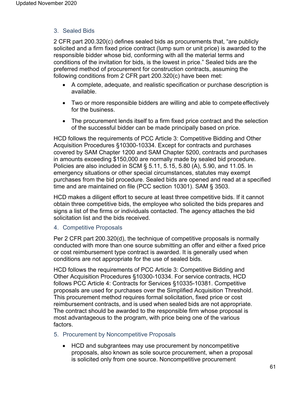# 3. Sealed Bids

2 CFR part 200.320(c) defines sealed bids as procurements that, "are publicly solicited and a firm fixed price contract (lump sum or unit price) is awarded to the responsible bidder whose bid, conforming with all the material terms and conditions of the invitation for bids, is the lowest in price." Sealed bids are the preferred method of procurement for construction contracts, assuming the following conditions from 2 CFR part 200.320(c) have been met:

- A complete, adequate, and realistic specification or purchase description is available.
- Two or more responsible bidders are willing and able to compete effectively for the business.
- The procurement lends itself to a firm fixed price contract and the selection of the successful bidder can be made principally based on price.

HCD follows the requirements of PCC Article 3: Competitive Bidding and Other Acquisition Procedures §10300-10334. Except for contracts and purchases covered by SAM Chapter 1200 and SAM Chapter 5200, contracts and purchases in amounts exceeding \$150,000 are normally made by sealed bid procedure. Policies are also included in SCM § 5.11, 5.15, 5.80 (A), 5.90, and 11.05. In emergency situations or other special circumstances, statutes may exempt purchases from the bid procedure. Sealed bids are opened and read at a specified time and are maintained on file (PCC section 10301). SAM § 3503.

HCD makes a diligent effort to secure at least three competitive bids. If it cannot obtain three competitive bids, the employee who solicited the bids prepares and signs a list of the firms or individuals contacted. The agency attaches the bid solicitation list and the bids received.

4. Competitive Proposals

Per 2 CFR part 200.320(d), the technique of competitive proposals is normally conducted with more than one source submitting an offer and either a fixed price or cost reimbursement type contract is awarded. It is generally used when conditions are not appropriate for the use of sealed bids.

HCD follows the requirements of PCC Article 3: Competitive Bidding and Other Acquisition Procedures §10300-10334. For service contracts, HCD follows PCC Article 4: Contracts for Services §10335-10381. Competitive proposals are used for purchases over the Simplified Acquisition Threshold. This procurement method requires formal solicitation, fixed price or cost reimbursement contracts, and is used when sealed bids are not appropriate. The contract should be awarded to the responsible firm whose proposal is most advantageous to the program, with price being one of the various factors.

- 5. Procurement by Noncompetitive Proposals
	- HCD and subgrantees may use procurement by noncompetitive proposals, also known as sole source procurement, when a proposal is solicited only from one source. Noncompetitive procurement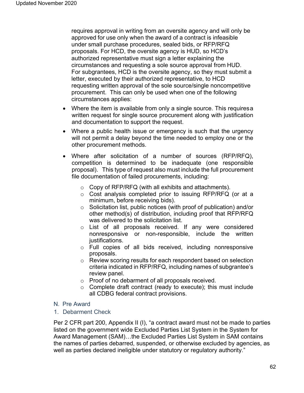requires approval in writing from an oversite agency and will only be approved for use only when the award of a contract is infeasible under small purchase procedures, sealed bids, or RFP/RFQ proposals. For HCD, the oversite agency is HUD, so HCD's authorized representative must sign a letter explaining the circumstances and requesting a sole source approval from HUD. For subgrantees, HCD is the oversite agency, so they must submit a letter, executed by their authorized representative, to HCD requesting written approval of the sole source/single noncompetitive procurement. This can only be used when one of the following circumstances applies:

- Where the item is available from only a single source. This requiresa written request for single source procurement along with justification and documentation to support the request.
- Where a public health issue or emergency is such that the urgency will not permit a delay beyond the time needed to employ one or the other procurement methods.
- Where after solicitation of a number of sources (RFP/RFQ), competition is determined to be inadequate (one responsible proposal). This type of request also must include the full procurement file documentation of failed procurements, including:
	- o Copy of RFP/RFQ (with all exhibits and attachments).
	- o Cost analysis completed prior to issuing RFP/RFQ (or at a minimum, before receiving bids).
	- o Solicitation list, public notices (with proof of publication) and/or other method(s) of distribution, including proof that RFP/RFQ was delivered to the solicitation list.
	- o List of all proposals received. If any were considered nonresponsive or non-responsible, include the written justifications.
	- o Full copies of all bids received, including nonresponsive proposals.
	- o Review scoring results for each respondent based on selection criteria indicated in RFP/RFQ, including names of subgrantee's review panel.
	- o Proof of no debarment of all proposals received.
	- o Complete draft contract (ready to execute); this must include all CDBG federal contract provisions.

# N. Pre Award

1. Debarment Check

Per 2 CFR part 200, Appendix II (I), "a contract award must not be made to parties listed on the government wide Excluded Parties List System in the System for Award Management (SAM)…the Excluded Parties List System in SAM contains the names of parties debarred, suspended, or otherwise excluded by agencies, as well as parties declared ineligible under statutory or regulatory authority."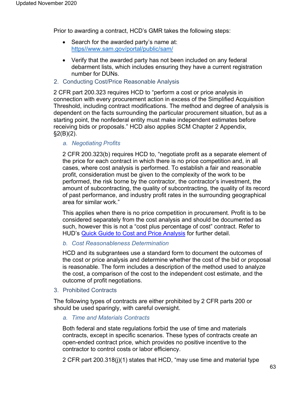Prior to awarding a contract, HCD's GMR takes the following steps:

- Search for the awarded party's name at: http[s//www.sam.gov/portal/public/sam/](http://www.sam.gov/portal/public/SAM/)
- Verify that the awarded party has not been included on any federal debarment lists, which includes ensuring they have a current registration number for DUNs.
- 2. Conducting Cost/Price Reasonable Analysis

2 CFR part 200.323 requires HCD to "perform a cost or price analysis in connection with every procurement action in excess of the Simplified Acquisition Threshold, including contract modifications. The method and degree of analysis is dependent on the facts surrounding the particular procurement situation, but as a starting point, the nonfederal entity must make independent estimates before receiving bids or proposals." HCD also applies SCM Chapter 2 Appendix,  $\S2(B)(2)$ .

## *a. Negotiating Profits*

2 CFR 200.323(b) requires HCD to, "negotiate profit as a separate element of the price for each contract in which there is no price competition and, in all cases, where cost analysis is performed. To establish a fair and reasonable profit, consideration must be given to the complexity of the work to be performed, the risk borne by the contractor, the contractor's investment, the amount of subcontracting, the quality of subcontracting, the quality of its record of past performance, and industry profit rates in the surrounding geographical area for similar work."

This applies when there is no price competition in procurement. Profit is to be considered separately from the cost analysis and should be documented as such, however this is not a "cost plus percentage of cost" contract. Refer to HUD's [Quick Guide to Cost and Price Analysis](https://www.hud.gov/program_offices/cpo/grantees/cstprice) for further detail.

#### *b. Cost Reasonableness Determination*

HCD and its subgrantees use a standard form to document the outcomes of the cost or price analysis and determine whether the cost of the bid or proposal is reasonable. The form includes a description of the method used to analyze the cost, a comparison of the cost to the independent cost estimate, and the outcome of profit negotiations.

3. Prohibited Contracts

The following types of contracts are either prohibited by 2 CFR parts 200 or should be used sparingly, with careful oversight.

*a. Time and Materials Contracts*

Both federal and state regulations forbid the use of time and materials contracts, except in specific scenarios. These types of contracts create an open-ended contract price, which provides no positive incentive to the contractor to control costs or labor efficiency.

2 CFR part 200.318(j)(1) states that HCD, "may use time and material type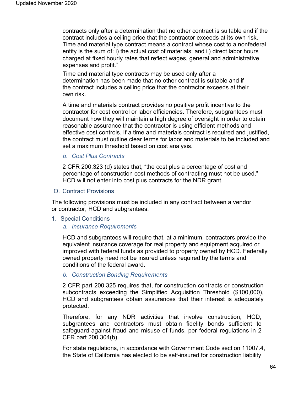contracts only after a determination that no other contract is suitable and if the contract includes a ceiling price that the contractor exceeds at its own risk. Time and material type contract means a contract whose cost to a nonfederal entity is the sum of: i) the actual cost of materials; and ii) direct labor hours charged at fixed hourly rates that reflect wages, general and administrative expenses and profit."

Time and material type contracts may be used only after a determination has been made that no other contract is suitable and if the contract includes a ceiling price that the contractor exceeds at their own risk.

A time and materials contract provides no positive profit incentive to the contractor for cost control or labor efficiencies. Therefore, subgrantees must document how they will maintain a high degree of oversight in order to obtain reasonable assurance that the contractor is using efficient methods and effective cost controls. If a time and materials contract is required and justified, the contract must outline clear terms for labor and materials to be included and set a maximum threshold based on cost analysis.

#### *b. Cost Plus Contracts*

2 CFR 200.323 (d) states that, "the cost plus a percentage of cost and percentage of construction cost methods of contracting must not be used." HCD will not enter into cost plus contracts for the NDR grant.

O. Contract Provisions

The following provisions must be included in any contract between a vendor or contractor, HCD and subgrantees.

1. Special Conditions

#### *a. Insurance Requirements*

HCD and subgrantees will require that, at a minimum, contractors provide the equivalent insurance coverage for real property and equipment acquired or improved with federal funds as provided to property owned by HCD. Federally owned property need not be insured unless required by the terms and conditions of the federal award.

#### *b. Construction Bonding Requirements*

2 CFR part 200.325 requires that, for construction contracts or construction subcontracts exceeding the Simplified Acquisition Threshold (\$100,000), HCD and subgrantees obtain assurances that their interest is adequately protected.

Therefore, for any NDR activities that involve construction, HCD, subgrantees and contractors must obtain fidelity bonds sufficient to safeguard against fraud and misuse of funds, per federal regulations in 2 CFR part 200.304(b).

For state regulations, in accordance with Government Code section 11007.4, the State of California has elected to be self-insured for construction liability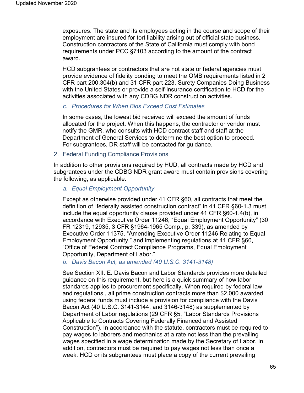exposures. The state and its employees acting in the course and scope of their employment are insured for tort liability arising out of official state business. Construction contractors of the State of California must comply with bond requirements under PCC §7103 according to the amount of the contract award.

HCD subgrantees or contractors that are not state or federal agencies must provide evidence of fidelity bonding to meet the OMB requirements listed in 2 CFR part 200.304(b) and 31 CFR part 223, Surety Companies Doing Business with the United States or provide a self-insurance certification to HCD for the activities associated with any CDBG NDR construction activities.

#### *c. Procedures for When Bids Exceed Cost Estimates*

In some cases, the lowest bid received will exceed the amount of funds allocated for the project. When this happens, the contractor or vendor must notify the GMR, who consults with HCD contract staff and staff at the Department of General Services to determine the best option to proceed. For subgrantees, DR staff will be contacted for guidance.

#### 2. Federal Funding Compliance Provisions

In addition to other provisions required by HUD, all contracts made by HCD and subgrantees under the CDBG NDR grant award must contain provisions covering the following, as applicable.

#### *a. Equal Employment Opportunity*

Except as otherwise provided under 41 CFR §60, all contracts that meet the definition of "federally assisted construction contract" in 41 CFR §60-1.3 must include the equal opportunity clause provided under 41 CFR §60-1.4(b), in accordance with Executive Order 11246, "Equal Employment Opportunity" (30 FR 12319, 12935, 3 CFR §1964-1965 Comp., p. 339), as amended by Executive Order 11375, "Amending Executive Order 11246 Relating to Equal Employment Opportunity," and implementing regulations at 41 CFR §60, "Office of Federal Contract Compliance Programs, Equal Employment Opportunity, Department of Labor."

#### *b. Davis Bacon Act, as amended (40 U.S.C. 3141-3148)*

See Section XII. E. Davis Bacon and Labor Standards provides more detailed guidance on this requirement, but here is a quick summary of how labor standards applies to procurement specifically. When required by federal law and regulations , all prime construction contracts more than \$2,000 awarded using federal funds must include a provision for compliance with the Davis Bacon Act (40 U.S.C. 3141-3144, and 3146-3148) as supplemented by Department of Labor regulations (29 CFR §5, "Labor Standards Provisions Applicable to Contracts Covering Federally Financed and Assisted Construction"). In accordance with the statute, contractors must be required to pay wages to laborers and mechanics at a rate not less than the prevailing wages specified in a wage determination made by the Secretary of Labor. In addition, contractors must be required to pay wages not less than once a week. HCD or its subgrantees must place a copy of the current prevailing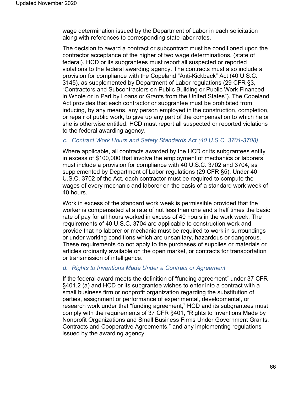wage determination issued by the Department of Labor in each solicitation along with references to corresponding state labor rates.

The decision to award a contract or subcontract must be conditioned upon the contractor acceptance of the higher of two wage determinations, (state of federal). HCD or its subgrantees must report all suspected or reported violations to the federal awarding agency. The contracts must also include a provision for compliance with the Copeland "Anti-Kickback" Act (40 U.S.C. 3145), as supplemented by Department of Labor regulations (29 CFR §3, "Contractors and Subcontractors on Public Building or Public Work Financed in Whole or in Part by Loans or Grants from the United States"). The Copeland Act provides that each contractor or subgrantee must be prohibited from inducing, by any means, any person employed in the construction, completion, or repair of public work, to give up any part of the compensation to which he or she is otherwise entitled. HCD must report all suspected or reported violations to the federal awarding agency.

## *c. Contract Work Hours and Safety Standards Act (40 U.S.C. 3701-3708)*

Where applicable, all contracts awarded by the HCD or its subgrantees entity in excess of \$100,000 that involve the employment of mechanics or laborers must include a provision for compliance with 40 U.S.C. 3702 and 3704, as supplemented by Department of Labor regulations (29 CFR §5). Under 40 U.S.C. 3702 of the Act, each contractor must be required to compute the wages of every mechanic and laborer on the basis of a standard work week of 40 hours.

Work in excess of the standard work week is permissible provided that the worker is compensated at a rate of not less than one and a half times the basic rate of pay for all hours worked in excess of 40 hours in the work week. The requirements of 40 U.S.C. 3704 are applicable to construction work and provide that no laborer or mechanic must be required to work in surroundings or under working conditions which are unsanitary, hazardous or dangerous. These requirements do not apply to the purchases of supplies or materials or articles ordinarily available on the open market, or contracts for transportation or transmission of intelligence.

# *d. Rights to Inventions Made Under a Contract or Agreement*

If the federal award meets the definition of "funding agreement" under 37 CFR §401.2 (a) and HCD or its subgrantee wishes to enter into a contract with a small business firm or nonprofit organization regarding the substitution of parties, assignment or performance of experimental, developmental, or research work under that "funding agreement," HCD and its subgrantees must comply with the requirements of 37 CFR §401, "Rights to Inventions Made by Nonprofit Organizations and Small Business Firms Under Government Grants, Contracts and Cooperative Agreements," and any implementing regulations issued by the awarding agency.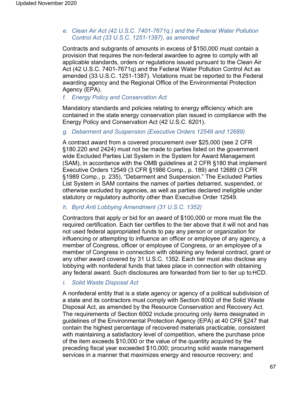# *e. Clean Air Act (42 U.S.C. 7401-7671q.) and the Federal Water Pollution Control Act (33 U.S.C. 1251-1387), as amended*

Contracts and subgrants of amounts in excess of \$150,000 must contain a provision that requires the non-federal awardee to agree to comply with all applicable standards, orders or regulations issued pursuant to the Clean Air Act (42 U.S.C. 7401-7671q) and the Federal Water Pollution Control Act as amended (33 U.S.C. 1251-1387). Violations must be reported to the Federal awarding agency and the Regional Office of the Environmental Protection Agency (EPA).

# *f. Energy Policy and Conservation Act*

Mandatory standards and policies relating to energy efficiency which are contained in the state energy conservation plan issued in compliance with the Energy Policy and Conservation Act (42 U.S.C. 6201).

## *g. Debarment and Suspension (Executive Orders 12549 and 12689)*

A contract award from a covered procurement over \$25,000 (see 2 CFR §180.220 and 2424) must not be made to parties listed on the government wide Excluded Parties List System in the System for Award Management (SAM), in accordance with the OMB guidelines at 2 CFR §180 that implement Executive Orders 12549 (3 CFR §1986 Comp., p. 189) and 12689 (3 CFR §1989 Comp., p. 235), "Debarment and Suspension." The Excluded Parties List System in SAM contains the names of parties debarred, suspended, or otherwise excluded by agencies, as well as parties declared ineligible under statutory or regulatory authority other than Executive Order 12549.

# *h. Byrd Anti Lobbying Amendment (31 U.S.C. 1352)*

Contractors that apply or bid for an award of \$100,000 or more must file the required certification. Each tier certifies to the tier above that it will not and has not used federal appropriated funds to pay any person or organization for influencing or attempting to influence an officer or employee of any agency, a member of Congress, officer or employee of Congress, or an employee of a member of Congress in connection with obtaining any federal contract, grant or any other award covered by 31 U.S.C. 1352. Each tier must also disclose any lobbying with nonfederal funds that takes place in connection with obtaining any federal award. Such disclosures are forwarded from tier to tier up to HCD.

# *i. Solid Waste Disposal Act*

A nonfederal entity that is a state agency or agency of a political subdivision of a state and its contractors must comply with Section 6002 of the Solid Waste Disposal Act, as amended by the Resource Conservation and Recovery Act. The requirements of Section 6002 include procuring only items designated in guidelines of the Environmental Protection Agency (EPA) at 40 CFR §247 that contain the highest percentage of recovered materials practicable, consistent with maintaining a satisfactory level of competition, where the purchase price of the item exceeds \$10,000 or the value of the quantity acquired by the preceding fiscal year exceeded \$10,000; procuring solid waste management services in a manner that maximizes energy and resource recovery; and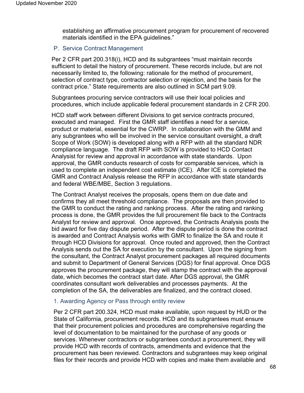establishing an affirmative procurement program for procurement of recovered materials identified in the EPA guidelines."

## P. Service Contract Management

Per 2 CFR part 200.318(i), HCD and its subgrantees "must maintain records sufficient to detail the history of procurement. These records include, but are not necessarily limited to, the following: rationale for the method of procurement, selection of contract type, contractor selection or rejection, and the basis for the contract price." State requirements are also outlined in SCM part 9.09.

Subgrantees procuring service contractors will use their local policies and procedures, which include applicable federal procurement standards in 2 CFR 200.

HCD staff work between different Divisions to get service contracts procured, executed and managed. First the GMR staff identifies a need for a service, product or material, essential for the CWRP. In collaboration with the GMM and any subgrantees who will be involved in the service consultant oversight, a draft Scope of Work (SOW) is developed along with a RFP with all the standard NDR compliance language. The draft RFP with SOW is provided to HCD Contact Analysist for review and approval in accordance with state standards. Upon approval, the GMR conducts research of costs for comparable services, which is used to complete an independent cost estimate (ICE). After ICE is completed the GMR and Contract Analysis release the RFP in accordance with state standards and federal WBE/MBE, Section 3 regulations.

The Contract Analyst receives the proposals, opens them on due date and confirms they all meet threshold compliance. The proposals are then provided to the GMR to conduct the rating and ranking process. After the rating and ranking process is done, the GMR provides the full procurement file back to the Contracts Analyst for review and approval. Once approved, the Contracts Analysis posts the bid award for five day dispute period. After the dispute period is done the contract is awarded and Contract Analysis works with GMR to finalize the SA and route it through HCD Divisions for approval. Once routed and approved, then the Contract Analysis sends out the SA for execution by the consultant. Upon the signing from the consultant, the Contract Analyst procurement packages all required documents and submit to Department of General Services (DGS) for final approval. Once DGS approves the procurement package, they will stamp the contract with the approval date, which becomes the contract start date. After DGS approval, the GMR coordinates consultant work deliverables and processes payments. At the completion of the SA, the deliverables are finalized, and the contract closed.

#### 1. Awarding Agency or Pass through entity review

Per 2 CFR part 200.324, HCD must make available, upon request by HUD or the State of California, procurement records. HCD and its subgrantees must ensure that their procurement policies and procedures are comprehensive regarding the level of documentation to be maintained for the purchase of any goods or services. Whenever contractors or subgrantees conduct a procurement, they will provide HCD with records of contracts, amendments and evidence that the procurement has been reviewed. Contractors and subgrantees may keep original files for their records and provide HCD with copies and make them available and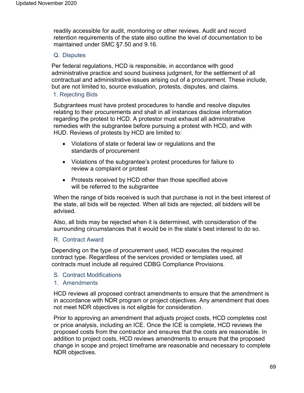readily accessible for audit, monitoring or other reviews. Audit and record retention requirements of the state also outline the level of documentation to be maintained under SMC §7.50 and 9.16.

#### Q. Disputes

Per federal regulations, HCD is responsible, in accordance with good administrative practice and sound business judgment, for the settlement of all contractual and administrative issues arising out of a procurement. These include, but are not limited to, source evaluation, protests, disputes, and claims.

#### 1. Rejecting Bids

Subgrantees must have protest procedures to handle and resolve disputes relating to their procurements and shall in all instances disclose information regarding the protest to HCD. A protestor must exhaust all administrative remedies with the subgrantee before pursuing a protest with HCD, and with HUD. Reviews of protests by HCD are limited to:

- Violations of state or federal law or regulations and the standards of procurement
- Violations of the subgrantee's protest procedures for failure to review a complaint or protest
- Protests received by HCD other than those specified above will be referred to the subgrantee

When the range of bids received is such that purchase is not in the best interest of the state, all bids will be rejected. When all bids are rejected, all bidders will be advised.

Also, all bids may be rejected when it is determined, with consideration of the surrounding circumstances that it would be in the state's best interest to do so.

#### R. Contract Award

Depending on the type of procurement used, HCD executes the required contract type. Regardless of the services provided or templates used, all contracts must include all required CDBG Compliance Provisions.

- S. Contract Modifications
- 1. Amendments

HCD reviews all proposed contract amendments to ensure that the amendment is in accordance with NDR program or project objectives. Any amendment that does not meet NDR objectives is not eligible for consideration.

Prior to approving an amendment that adjusts project costs, HCD completes cost or price analysis, including an ICE. Once the ICE is complete, HCD reviews the proposed costs from the contractor and ensures that the costs are reasonable. In addition to project costs, HCD reviews amendments to ensure that the proposed change in scope and project timeframe are reasonable and necessary to complete NDR objectives.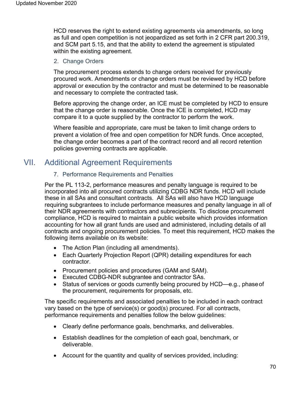HCD reserves the right to extend existing agreements via amendments, so long as full and open competition is not jeopardized as set forth in 2 CFR part 200.319, and SCM part 5.15, and that the ability to extend the agreement is stipulated within the existing agreement.

## 2. Change Orders

The procurement process extends to change orders received for previously procured work. Amendments or change orders must be reviewed by HCD before approval or execution by the contractor and must be determined to be reasonable and necessary to complete the contracted task.

Before approving the change order, an ICE must be completed by HCD to ensure that the change order is reasonable. Once the ICE is completed, HCD may compare it to a quote supplied by the contractor to perform the work.

Where feasible and appropriate, care must be taken to limit change orders to prevent a violation of free and open competition for NDR funds. Once accepted, the change order becomes a part of the contract record and all record retention policies governing contracts are applicable.

# VII. Additional Agreement Requirements

# 7. Performance Requirements and Penalties

Per the PL 113-2, performance measures and penalty language is required to be incorporated into all procured contracts utilizing CDBG NDR funds. HCD will include these in all SAs and consultant contracts. All SAs will also have HCD language requiring subgrantees to include performance measures and penalty language in all of their NDR agreements with contractors and subrecipients. To disclose procurement compliance, HCD is required to maintain a public website which provides information accounting for how all grant funds are used and administered, including details of all contracts and ongoing procurement policies. To meet this requirement, HCD makes the following items available on its website:

- The Action Plan (including all amendments).
- Each Quarterly Projection Report (QPR) detailing expenditures for each contractor.
- Procurement policies and procedures (GAM and SAM).
- Executed CDBG-NDR subgrantee and contractor SAs.
- Status of services or goods currently being procured by HCD—e.g., phase of the procurement, requirements for proposals, etc.

The specific requirements and associated penalties to be included in each contract vary based on the type of service(s) or good(s) procured. For all contracts, performance requirements and penalties follow the below guidelines:

- Clearly define performance goals, benchmarks, and deliverables.
- Establish deadlines for the completion of each goal, benchmark, or deliverable.
- Account for the quantity and quality of services provided, including: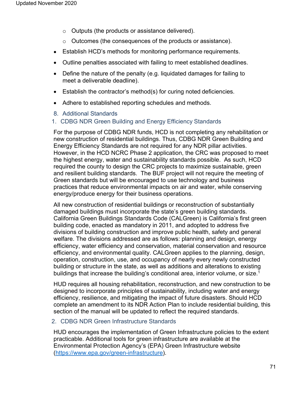- o Outputs (the products or assistance delivered).
- o Outcomes (the consequences of the products or assistance).
- Establish HCD's methods for monitoring performance requirements.
- Outline penalties associated with failing to meet established deadlines.
- Define the nature of the penalty (e.g. liquidated damages for failing to meet a deliverable deadline).
- Establish the contractor's method(s) for curing noted deficiencies.
- Adhere to established reporting schedules and methods.
- 8. Additional Standards
- 1. CDBG NDR Green Building and Energy Efficiency Standards

For the purpose of CDBG NDR funds, HCD is not completing any rehabilitation or new construction of residential buildings. Thus, CDBG NDR Green Building and Energy Efficiency Standards are not required for any NDR pillar activities. However, in the HCD NCRC Phase 2 application, the CRC was proposed to meet the highest energy, water and sustainability standards possible. As such, HCD required the county to design the CRC projects to maximize sustainable, green and resilient building standards. The BUF project will not require the meeting of Green standards but will be encouraged to use technology and business practices that reduce environmental impacts on air and water, while conserving energy/produce energy for their business operations.

All new construction of residential buildings or reconstruction of substantially damaged buildings must incorporate the state's green building standards. California Green Buildings Standards Code (CALGreen) is California's first green building code, enacted as mandatory in 2011, and adopted to address five divisions of building construction and improve public health, safety and general welfare. The divisions addressed are as follows: planning and design, energy efficiency, water efficiency and conservation, material conservation and resource efficiency, and environmental quality. CALGreen applies to the planning, design, operation, construction, use, and occupancy of nearly every newly constructed building or structure in the state, as well as additions and alterations to existing buildings that increase the building's conditional area, interior volume, or size.<sup>1</sup>

HUD requires all housing rehabilitation, reconstruction, and new construction to be designed to incorporate principles of sustainability, including water and energy efficiency, resilience, and mitigating the impact of future disasters. Should HCD complete an amendment to its NDR Action Plan to include residential building, this section of the manual will be updated to reflect the required standards.

# 2. CDBG NDR Green Infrastructure Standards

HUD encourages the implementation of Green Infrastructure policies to the extent practicable. Additional tools for green infrastructure are available at the Environmental Protection Agency's (EPA) Green Infrastructure website (https:/[/www.epa.gov/green-infrastructure\).](http://www.epa.gov/green-infrastructure))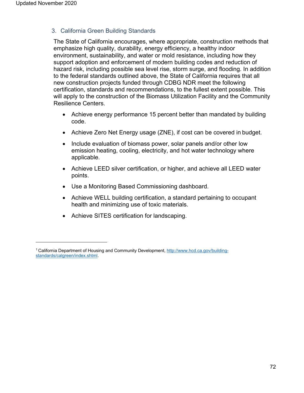# 3. California Green Building Standards

The State of California encourages, where appropriate, construction methods that emphasize high quality, durability, energy efficiency, a healthy indoor environment, sustainability, and water or mold resistance, including how they support adoption and enforcement of modern building codes and reduction of hazard risk, including possible sea level rise, storm surge, and flooding. In addition to the federal standards outlined above, the State of California requires that all new construction projects funded through CDBG NDR meet the following certification, standards and recommendations, to the fullest extent possible. This will apply to the construction of the Biomass Utilization Facility and the Community Resilience Centers.

- Achieve energy performance 15 percent better than mandated by building code.
- Achieve Zero Net Energy usage (ZNE), if cost can be covered in budget.
- Include evaluation of biomass power, solar panels and/or other low emission heating, cooling, electricity, and hot water technology where applicable.
- Achieve LEED silver certification, or higher, and achieve all LEED water points.
- Use a Monitoring Based Commissioning dashboard.
- Achieve WELL building certification, a standard pertaining to occupant health and minimizing use of toxic materials.
- Achieve SITES certification for landscaping.

<sup>&</sup>lt;sup>1</sup> California Department of Housing and Community Development, [http://www.hcd.ca.gov/building](http://www.hcd.ca.gov/building-)standards/calgreen/index.shtml.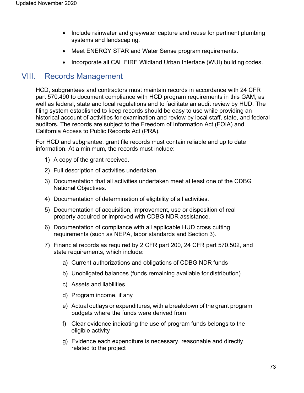- Include rainwater and greywater capture and reuse for pertinent plumbing systems and landscaping.
- Meet ENERGY STAR and Water Sense program requirements.
- Incorporate all CAL FIRE Wildland Urban Interface (WUI) building codes.

# VIII. Records Management

HCD, subgrantees and contractors must maintain records in accordance with 24 CFR part 570.490 to document compliance with HCD program requirements in this GAM, as well as federal, state and local regulations and to facilitate an audit review by HUD. The filing system established to keep records should be easy to use while providing an historical account of activities for examination and review by local staff, state, and federal auditors. The records are subject to the Freedom of Information Act (FOIA) and California Access to Public Records Act (PRA).

For HCD and subgrantee, grant file records must contain reliable and up to date information. At a minimum, the records must include:

- 1) A copy of the grant received.
- 2) Full description of activities undertaken.
- 3) Documentation that all activities undertaken meet at least one of the CDBG National Objectives.
- 4) Documentation of determination of eligibility of all activities.
- 5) Documentation of acquisition, improvement, use or disposition of real property acquired or improved with CDBG NDR assistance.
- 6) Documentation of compliance with all applicable HUD cross cutting requirements (such as NEPA, labor standards and Section 3).
- 7) Financial records as required by 2 CFR part 200, 24 CFR part 570.502, and state requirements, which include:
	- a) Current authorizations and obligations of CDBG NDR funds
	- b) Unobligated balances (funds remaining available for distribution)
	- c) Assets and liabilities
	- d) Program income, if any
	- e) Actual outlays or expenditures, with a breakdown of the grant program budgets where the funds were derived from
	- f) Clear evidence indicating the use of program funds belongs to the eligible activity
	- g) Evidence each expenditure is necessary, reasonable and directly related to the project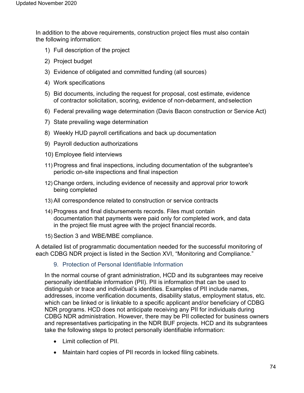In addition to the above requirements, construction project files must also contain the following information:

- 1) Full description of the project
- 2) Project budget
- 3) Evidence of obligated and committed funding (all sources)
- 4) Work specifications
- 5) Bid documents, including the request for proposal, cost estimate, evidence of contractor solicitation, scoring, evidence of non-debarment, andselection
- 6) Federal prevailing wage determination (Davis Bacon construction or Service Act)
- 7) State prevailing wage determination
- 8) Weekly HUD payroll certifications and back up documentation
- 9) Payroll deduction authorizations
- 10) Employee field interviews
- 11) Progress and final inspections, including documentation of the subgrantee's periodic on-site inspections and final inspection
- 12) Change orders, including evidence of necessity and approval prior towork being completed
- 13) All correspondence related to construction or service contracts
- 14) Progress and final disbursements records. Files must contain documentation that payments were paid only for completed work, and data in the project file must agree with the project financial records.
- 15) Section 3 and WBE/MBE compliance.

A detailed list of programmatic documentation needed for the successful monitoring of each CDBG NDR project is listed in the Section XVI, "Monitoring and Compliance."

9. Protection of Personal Identifiable Information

In the normal course of grant administration, HCD and its subgrantees may receive personally identifiable information (PII). PII is information that can be used to distinguish or trace and individual's identities. Examples of PII include names, addresses, income verification documents, disability status, employment status, etc. which can be linked or is linkable to a specific applicant and/or beneficiary of CDBG NDR programs. HCD does not anticipate receiving any PII for individuals during CDBG NDR administration. However, there may be PII collected for business owners and representatives participating in the NDR BUF projects. HCD and its subgrantees take the following steps to protect personally identifiable information:

- Limit collection of PII.
- Maintain hard copies of PII records in locked filing cabinets.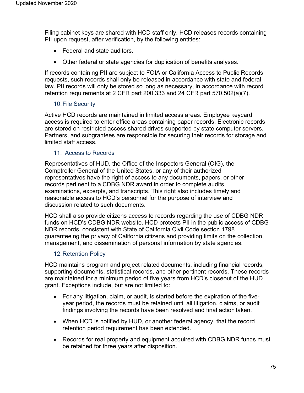Filing cabinet keys are shared with HCD staff only. HCD releases records containing PII upon request, after verification, by the following entities:

- Federal and state auditors.
- Other federal or state agencies for duplication of benefits analyses.

If records containing PII are subject to FOIA or California Access to Public Records requests, such records shall only be released in accordance with state and federal law. PII records will only be stored so long as necessary, in accordance with record retention requirements at 2 CFR part 200.333 and 24 CFR part 570.502(a)(7).

# 10.File Security

Active HCD records are maintained in limited access areas. Employee keycard access is required to enter office areas containing paper records. Electronic records are stored on restricted access shared drives supported by state computer servers. Partners, and subgrantees are responsible for securing their records for storage and limited staff access.

# 11. Access to Records

Representatives of HUD, the Office of the Inspectors General (OIG), the Comptroller General of the United States, or any of their authorized representatives have the right of access to any documents, papers, or other records pertinent to a CDBG NDR award in order to complete audits, examinations, excerpts, and transcripts. This right also includes timely and reasonable access to HCD's personnel for the purpose of interview and discussion related to such documents.

HCD shall also provide citizens access to records regarding the use of CDBG NDR funds on HCD's CDBG NDR website. HCD protects PII in the public access of CDBG NDR records, consistent with State of California Civil Code section 1798 guaranteeing the privacy of California citizens and providing limits on the collection, management, and dissemination of personal information by state agencies.

# 12.Retention Policy

HCD maintains program and project related documents, including financial records, supporting documents, statistical records, and other pertinent records. These records are maintained for a minimum period of five years from HCD's closeout of the HUD grant. Exceptions include, but are not limited to:

- For any litigation, claim, or audit, is started before the expiration of the fiveyear period, the records must be retained until all litigation, claims, or audit findings involving the records have been resolved and final action taken.
- When HCD is notified by HUD, or another federal agency, that the record retention period requirement has been extended.
- Records for real property and equipment acquired with CDBG NDR funds must be retained for three years after disposition.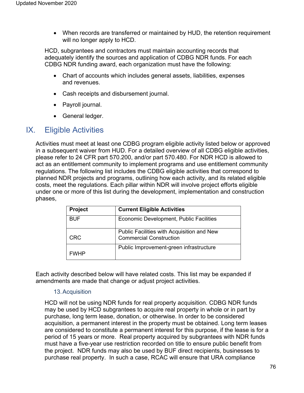• When records are transferred or maintained by HUD, the retention requirement will no longer apply to HCD.

HCD, subgrantees and contractors must maintain accounting records that adequately identify the sources and application of CDBG NDR funds. For each CDBG NDR funding award, each organization must have the following:

- Chart of accounts which includes general assets, liabilities, expenses and revenues.
- Cash receipts and disbursement journal.
- Payroll journal.
- General ledger.

# IX. Eligible Activities

Activities must meet at least one CDBG program eligible activity listed below or approved in a subsequent waiver from HUD. For a detailed overview of all CDBG eligible activities, please refer to 24 CFR part 570.200, and/or part 570.480. For NDR HCD is allowed to act as an entitlement community to implement programs and use entitlement community regulations. The following list includes the CDBG eligible activities that correspond to planned NDR projects and programs, outlining how each activity, and its related eligible costs, meet the regulations. Each pillar within NDR will involve project efforts eligible under one or more of this list during the development, implementation and construction phases,

| <b>Project</b> | <b>Current Eligible Activities</b>                                           |
|----------------|------------------------------------------------------------------------------|
| <b>BUF</b>     | Economic Development, Public Facilities                                      |
| CRC            | Public Facilities with Acquisition and New<br><b>Commercial Construction</b> |
| <b>FWHP</b>    | Public Improvement-green infrastructure                                      |

Each activity described below will have related costs. This list may be expanded if amendments are made that change or adjust project activities.

### 13.Acquisition

HCD will not be using NDR funds for real property acquisition. CDBG NDR funds may be used by HCD subgrantees to acquire real property in whole or in part by purchase, long term lease, donation, or otherwise. In order to be considered acquisition, a permanent interest in the property must be obtained. Long term leases are considered to constitute a permanent interest for this purpose, if the lease is for a period of 15 years or more. Real property acquired by subgrantees with NDR funds must have a five-year use restriction recorded on title to ensure public benefit from the project. NDR funds may also be used by BUF direct recipients, businesses to purchase real property. In such a case, RCAC will ensure that URA compliance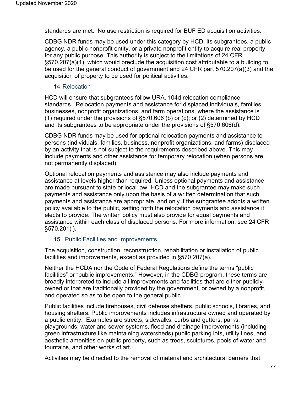standards are met. No use restriction is required for BUF ED acquisition activities.

CDBG NDR funds may be used under this category by HCD, its subgrantees, a public agency, a public nonprofit entity, or a private nonprofit entity to acquire real property for any public purpose. This authority is subject to the limitations of 24 CFR §570.207(a)(1), which would preclude the acquisition cost attributable to a building to be used for the general conduct of government and 24 CFR part 570.207(a)(3) and the acquisition of property to be used for political activities.

### 14.Relocation

HCD will ensure that subgrantees follow URA, 104d relocation compliance standards. Relocation payments and assistance for displaced individuals, families, businesses, nonprofit organizations, and farm operations, where the assistance is (1) required under the provisions of §570.606 (b) or (c); or (2) determined by HCD and its subgrantees to be appropriate under the provisions of §570.606(d).

CDBG NDR funds may be used for optional relocation payments and assistance to persons (individuals, families, business, nonprofit organizations, and farms) displaced by an activity that is not subject to the requirements described above. This may include payments and other assistance for temporary relocation (when persons are not permanently displaced).

Optional relocation payments and assistance may also include payments and assistance at levels higher than required. Unless optional payments and assistance are made pursuant to state or local law, HCD and the subgrantee may make such payments and assistance only upon the basis of a written determination that such payments and assistance are appropriate, and only if the subgrantee adopts a written policy available to the public, setting forth the relocation payments and assistance it elects to provide. The written policy must also provide for equal payments and assistance within each class of displaced persons. For more information, see 24 CFR §570.201(i).

# 15. Public Facilities and Improvements

The acquisition, construction, reconstruction, rehabilitation or installation of public facilities and improvements, except as provided in §570.207(a).

Neither the HCDA nor the Code of Federal Regulations define the terms "public facilities" or "public improvements." However, in the CDBG program, these terms are broadly interpreted to include all improvements and facilities that are either publicly owned or that are traditionally provided by the government, or owned by a nonprofit, and operated so as to be open to the general public.

Public facilities include firehouses, civil defense shelters, public schools, libraries, and housing shelters. Public improvements includes infrastructure owned and operated by a public entity. Examples are streets, sidewalks, curbs and gutters, parks, playgrounds, water and sewer systems, flood and drainage improvements (including green infrastructure like maintaining watersheds) public parking lots, utility lines, and aesthetic amenities on public property, such as trees, sculptures, pools of water and fountains, and other works of art.

Activities may be directed to the removal of material and architectural barriers that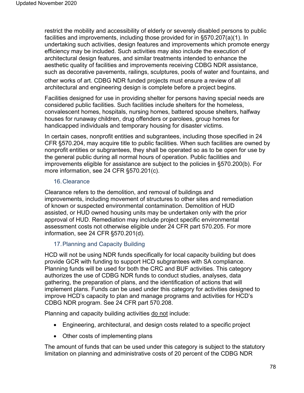restrict the mobility and accessibility of elderly or severely disabled persons to public facilities and improvements, including those provided for in §570.207(a)(1). In undertaking such activities, design features and improvements which promote energy efficiency may be included. Such activities may also include the execution of architectural design features, and similar treatments intended to enhance the aesthetic quality of facilities and improvements receiving CDBG NDR assistance, such as decorative pavements, railings, sculptures, pools of water and fountains, and other works of art. CDBG NDR funded projects must ensure a review of all architectural and engineering design is complete before a project begins.

Facilities designed for use in providing shelter for persons having special needs are considered public facilities. Such facilities include shelters for the homeless, convalescent homes, hospitals, nursing homes, battered spouse shelters, halfway houses for runaway children, drug offenders or parolees, group homes for handicapped individuals and temporary housing for disaster victims.

In certain cases, nonprofit entities and subgrantees, including those specified in 24 CFR §570.204, may acquire title to public facilities. When such facilities are owned by nonprofit entities or subgrantees, they shall be operated so as to be open for use by the general public during all normal hours of operation. Public facilities and improvements eligible for assistance are subject to the policies in §570.200(b). For more information, see 24 CFR §570.201(c).

# 16.Clearance

Clearance refers to the demolition, and removal of buildings and improvements, including movement of structures to other sites and remediation of known or suspected environmental contamination. Demolition of HUD assisted, or HUD owned housing units may be undertaken only with the prior approval of HUD. Remediation may include project specific environmental assessment costs not otherwise eligible under 24 CFR part 570.205. For more information, see 24 CFR §570.201(d).

# 17.Planning and Capacity Building

HCD will not be using NDR funds specifically for local capacity building but does provide GCR with funding to support HCD subgrantees with SA compliance. Planning funds will be used for both the CRC and BUF activities. This category authorizes the use of CDBG NDR funds to conduct studies, analyses, data gathering, the preparation of plans, and the identification of actions that will implement plans. Funds can be used under this category for activities designed to improve HCD's capacity to plan and manage programs and activities for HCD's CDBG NDR program. See 24 CFR part 570.208.

Planning and capacity building activities do not include:

- Engineering, architectural, and design costs related to a specific project
- Other costs of implementing plans

The amount of funds that can be used under this category is subject to the statutory limitation on planning and administrative costs of 20 percent of the CDBG NDR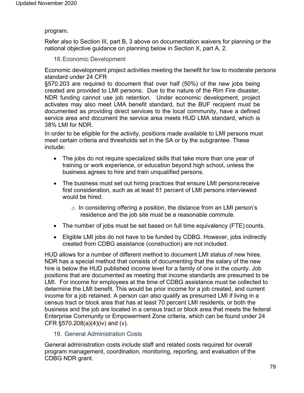### program.

Refer also to Section III, part B, 3 above on documentation waivers for planning or the national objective guidance on planning below in Section X, part A, 2.

# 18.Economic Development

Economic development project activities meeting the benefit for low to moderate persons standard under 24 CFR

§570.203 are required to document that over half (50%) of the new jobs being created are provided to LMI persons. Due to the nature of the Rim Fire disaster, NDR funding cannot use job retention. Under economic development, project activates may also meet LMA benefit standard, but the BUF recipient must be documented as providing direct services to the local community, have a defined service area and document the service area meets HUD LMA standard, which is 38% LMI for NDR.

In order to be eligible for the activity, positions made available to LMI persons must meet certain criteria and thresholds set in the SA or by the subgrantee. These include:

- The jobs do not require specialized skills that take more than one year of training or work experience, or education beyond high school, unless the business agrees to hire and train unqualified persons.
- The business must set out hiring practices that ensure LMI personsreceive first consideration, such as at least 51 percent of LMI persons interviewed would be hired.
	- $\circ$  In considering offering a position, the distance from an LMI person's residence and the job site must be a reasonable commute.
- The number of jobs must be set based on full time equivalency (FTE) counts.
- Eligible LMI jobs do not have to be funded by CDBG. However, jobs indirectly created from CDBG assistance (construction) are not included.

HUD allows for a number of different method to document LMI status of new hires. NDR has a special method that consists of documenting that the salary of the new hire is below the HUD published income level for a family of one in the county. Job positions that are documented as meeting that income standards are presumed to be LMI. For income for employees at the time of CDBG assistance must be collected to determine the LMI benefit. This would be prior income for a job created, and current income for a job retained. A person can also qualify as presumed LMI if living in a census tract or block area that has at least 70 percent LMI residents, or both the business and the job are located in a census tract or block area that meets the federal Enterprise Community or Empowerment Zone criteria, which can be found under 24 CFR §570.208(a)(4)(iv) and (v).

# 19. General Administration Costs

General administration costs include staff and related costs required for overall program management, coordination, monitoring, reporting, and evaluation of the CDBG NDR grant.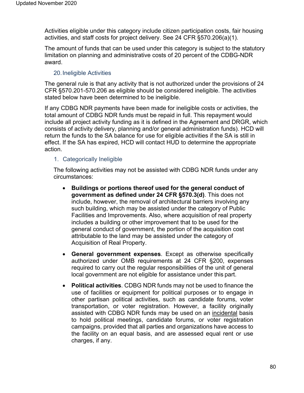Activities eligible under this category include citizen participation costs, fair housing activities, and staff costs for project delivery. See 24 CFR §570.206(a)(1).

The amount of funds that can be used under this category is subject to the statutory limitation on planning and administrative costs of 20 percent of the CDBG-NDR award.

# 20.Ineligible Activities

The general rule is that any activity that is not authorized under the provisions of 24 CFR §570.201-570.206 as eligible should be considered ineligible. The activities stated below have been determined to be ineligible.

If any CDBG NDR payments have been made for ineligible costs or activities, the total amount of CDBG NDR funds must be repaid in full. This repayment would include all project activity funding as it is defined in the Agreement and DRGR, which consists of activity delivery, planning and/or general administration funds). HCD will return the funds to the SA balance for use for eligible activities if the SA is still in effect. If the SA has expired, HCD will contact HUD to determine the appropriate action.

# 1. Categorically Ineligible

The following activities may not be assisted with CDBG NDR funds under any circumstances:

- **Buildings or portions thereof used for the general conduct of government as defined under 24 CFR §570.3(d)**. This does not include, however, the removal of architectural barriers involving any such building, which may be assisted under the category of Public Facilities and Improvements. Also, where acquisition of real property includes a building or other improvement that to be used for the general conduct of government, the portion of the acquisition cost attributable to the land may be assisted under the category of Acquisition of Real Property.
- **General government expenses**. Except as otherwise specifically authorized under OMB requirements at 24 CFR §200, expenses required to carry out the regular responsibilities of the unit of general local government are not eligible for assistance under this part.
- **Political activities**. CDBG NDR funds may not be used to finance the use of facilities or equipment for political purposes or to engage in other partisan political activities, such as candidate forums, voter transportation, or voter registration. However, a facility originally assisted with CDBG NDR funds may be used on an incidental basis to hold political meetings, candidate forums, or voter registration campaigns, provided that all parties and organizations have access to the facility on an equal basis, and are assessed equal rent or use charges, if any.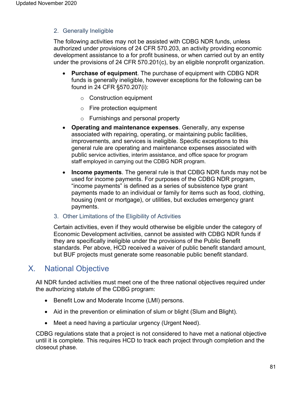# 2. Generally Ineligible

The following activities may not be assisted with CDBG NDR funds, unless authorized under provisions of 24 CFR 570.203, an activity providing economic development assistance to a for profit business, or when carried out by an entity under the provisions of 24 CFR 570.201(c), by an eligible nonprofit organization.

- **Purchase of equipment**. The purchase of equipment with CDBG NDR funds is generally ineligible, however exceptions for the following can be found in 24 CFR §570.207(i):
	- o Construction equipment
	- o Fire protection equipment
	- o Furnishings and personal property
- **Operating and maintenance expenses**. Generally, any expense associated with repairing, operating, or maintaining public facilities, improvements, and services is ineligible. Specific exceptions to this general rule are operating and maintenance expenses associated with public service activities, interim assistance, and office space for program staff employed in carrying out the CDBG NDR program.
- **Income payments**. The general rule is that CDBG NDR funds may not be used for income payments. For purposes of the CDBG NDR program, "income payments" is defined as a series of subsistence type grant payments made to an individual or family for items such as food, clothing, housing (rent or mortgage), or utilities, but excludes emergency grant payments.
- 3. Other Limitations of the Eligibility of Activities

Certain activities, even if they would otherwise be eligible under the category of Economic Development activities, cannot be assisted with CDBG NDR funds if they are specifically ineligible under the provisions of the Public Benefit standards. Per above, HCD received a waiver of public benefit standard amount, but BUF projects must generate some reasonable public benefit standard.

# X. National Objective

All NDR funded activities must meet one of the three national objectives required under the authorizing statute of the CDBG program:

- Benefit Low and Moderate Income (LMI) persons.
- Aid in the prevention or elimination of slum or blight (Slum and Blight).
- Meet a need having a particular urgency (Urgent Need).

CDBG regulations state that a project is not considered to have met a national objective until it is complete. This requires HCD to track each project through completion and the closeout phase.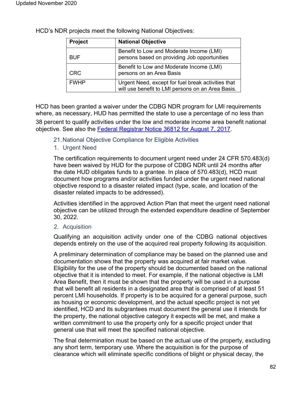| <b>Project</b> | <b>National Objective</b>                                                                               |
|----------------|---------------------------------------------------------------------------------------------------------|
| <b>BUF</b>     | Benefit to Low and Moderate Income (LMI)<br>persons based on providing Job opportunities                |
| <b>CRC</b>     | Benefit to Low and Moderate Income (LMI)<br>persons on an Area Basis                                    |
| <b>FWHP</b>    | Urgent Need, except for fuel break activities that<br>will use benefit to LMI persons on an Area Basis. |

HCD's NDR projects meet the following National Objectives:

HCD has been granted a waiver under the CDBG NDR program for LMI requirements where, as necessary, HUD has permitted the state to use a percentage of no less than

38 percent to qualify activities under the low and moderate income area benefit national objective. See also the [Federal Registrar Notice 36812 for August 7, 2017.](https://www.hcd.ca.gov/community-development/disaster-recovery-programs/docs/federal_register_notice-2017-16411_ndr_waiver_approvals-posted_8-7-17.pdf)

21.National Objective Compliance for Eligible Activities

### 1. Urgent Need

The certification requirements to document urgent need under 24 CFR 570.483(d) have been waived by HUD for the purpose of CDBG NDR until 24 months after the date HUD obligates funds to a grantee. In place of 570.483(d), HCD must document how programs and/or activities funded under the urgent need national objective respond to a disaster related impact (type, scale, and location of the disaster related impacts to be addressed).

Activities identified in the approved Action Plan that meet the urgent need national objective can be utilized through the extended expenditure deadline of September 30, 2022.

### 2. Acquisition

Qualifying an acquisition activity under one of the CDBG national objectives depends entirely on the use of the acquired real property following its acquisition.

A preliminary determination of compliance may be based on the planned use and documentation shows that the property was acquired at fair market value. Eligibility for the use of the property should be documented based on the national objective that it is intended to meet. For example, if the national objective is LMI Area Benefit, then it must be shown that the property will be used in a purpose that will benefit all residents in a designated area that is comprised of at least 51 percent LMI households. If property is to be acquired for a general purpose, such as housing or economic development, and the actual specific project is not yet identified, HCD and its subgrantees must document the general use it intends for the property, the national objective category it expects will be met, and make a written commitment to use the property only for a specific project under that general use that will meet the specified national objective.

The final determination must be based on the actual use of the property, excluding any short term, temporary use. Where the acquisition is for the purpose of clearance which will eliminate specific conditions of blight or physical decay, the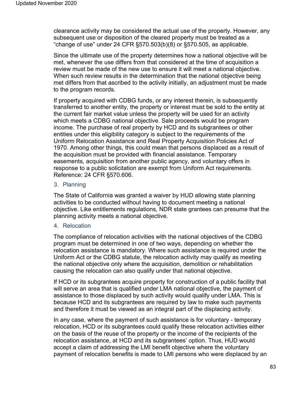clearance activity may be considered the actual use of the property. However, any subsequent use or disposition of the cleared property must be treated as a "change of use" under 24 CFR  $\S 570.503(b)(8)$  or  $\S 570.505$ , as applicable.

Since the ultimate use of the property determines how a national objective will be met, whenever the use differs from that considered at the time of acquisition a review must be made of the new use to ensure it will meet a national objective. When such review results in the determination that the national objective being met differs from that ascribed to the activity initially, an adjustment must be made to the program records.

If property acquired with CDBG funds, or any interest therein, is subsequently transferred to another entity, the property or interest must be sold to the entity at the current fair market value unless the property will be used for an activity which meets a CDBG national objective. Sale proceeds would be program income. The purchase of real property by HCD and its subgrantees or other entities under this eligibility category is subject to the requirements of the Uniform Relocation Assistance and Real Property Acquisition Policies Act of 1970. Among other things, this could mean that persons displaced as a result of the acquisition must be provided with financial assistance. Temporary easements, acquisition from another public agency, and voluntary offers in response to a public solicitation are exempt from Uniform Act requirements. Reference: 24 CFR §570.606.

### 3. Planning

The State of California was granted a waiver by HUD allowing state planning activities to be conducted without having to document meeting a national objective. Like entitlements regulations, NDR state grantees can presume that the planning activity meets a national objective.

# 4. Relocation

The compliance of relocation activities with the national objectives of the CDBG program must be determined in one of two ways, depending on whether the relocation assistance is mandatory. Where such assistance is required under the Uniform Act or the CDBG statute, the relocation activity may qualify as meeting the national objective only where the acquisition, demolition or rehabilitation causing the relocation can also qualify under that national objective.

If HCD or its subgrantees acquire property for construction of a public facility that will serve an area that is qualified under LMA national objective, the payment of assistance to those displaced by such activity would qualify under LMA. This is because HCD and its subgrantees are required by law to make such payments and therefore it must be viewed as an integral part of the displacing activity.

In any case, where the payment of such assistance is for voluntary - temporary relocation, HCD or its subgrantees could qualify these relocation activities either on the basis of the reuse of the property or the income of the recipients of the relocation assistance, at HCD and its subgrantees' option. Thus, HUD would accept a claim of addressing the LMI benefit objective where the voluntary payment of relocation benefits is made to LMI persons who were displaced by an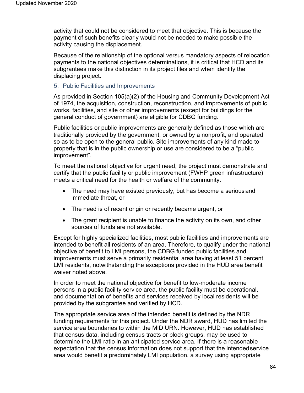activity that could not be considered to meet that objective. This is because the payment of such benefits clearly would not be needed to make possible the activity causing the displacement.

Because of the relationship of the optional versus mandatory aspects of relocation payments to the national objectives determinations, it is critical that HCD and its subgrantees make this distinction in its project files and when identify the displacing project.

### 5. Public Facilities and Improvements

As provided in Section 105(a)(2) of the Housing and Community Development Act of 1974, the acquisition, construction, reconstruction, and improvements of public works, facilities, and site or other improvements (except for buildings for the general conduct of government) are eligible for CDBG funding.

Public facilities or public improvements are generally defined as those which are traditionally provided by the government, or owned by a nonprofit, and operated so as to be open to the general public. Site improvements of any kind made to property that is in the public ownership or use are considered to be a "public improvement".

To meet the national objective for urgent need, the project must demonstrate and certify that the public facility or public improvement (FWHP green infrastructure) meets a critical need for the health or welfare of the community.

- The need may have existed previously, but has become a serious and immediate threat, or
- The need is of recent origin or recently became urgent, or
- The grant recipient is unable to finance the activity on its own, and other sources of funds are not available.

Except for highly specialized facilities, most public facilities and improvements are intended to benefit all residents of an area. Therefore, to qualify under the national objective of benefit to LMI persons, the CDBG funded public facilities and improvements must serve a primarily residential area having at least 51 percent LMI residents, notwithstanding the exceptions provided in the HUD area benefit waiver noted above.

In order to meet the national objective for benefit to low-moderate income persons in a public facility service area, the public facility must be operational, and documentation of benefits and services received by local residents will be provided by the subgrantee and verified by HCD.

The appropriate service area of the intended benefit is defined by the NDR funding requirements for this project. Under the NDR award, HUD has limited the service area boundaries to within the MID URN. However, HUD has established that census data, including census tracts or block groups, may be used to determine the LMI ratio in an anticipated service area. If there is a reasonable expectation that the census information does not support that the intendedservice area would benefit a predominately LMI population, a survey using appropriate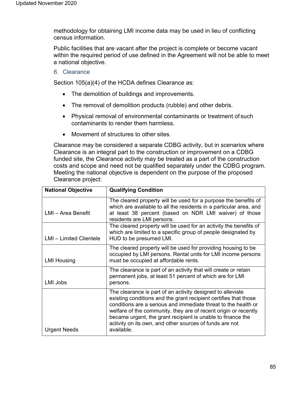methodology for obtaining LMI income data may be used in lieu of conflicting census information.

Public facilities that are vacant after the project is complete or become vacant within the required period of use defined in the Agreement will not be able to meet a national objective.

6. Clearance

Section 105(a)(4) of the HCDA defines Clearance as:

- The demolition of buildings and improvements.
- The removal of demolition products (rubble) and other debris.
- Physical removal of environmental contaminants or treatment of such contaminants to render them harmless.
- Movement of structures to other sites.

Clearance may be considered a separate CDBG activity, but in scenarios where Clearance is an integral part to the construction or improvement on a CDBG funded site, the Clearance activity may be treated as a part of the construction costs and scope and need not be qualified separately under the CDBG program. Meeting the national objective is dependent on the purpose of the proposed Clearance project:

| <b>National Objective</b> | <b>Qualifying Condition</b>                                                                                                                                                                                                                                                                                                                                                                                 |
|---------------------------|-------------------------------------------------------------------------------------------------------------------------------------------------------------------------------------------------------------------------------------------------------------------------------------------------------------------------------------------------------------------------------------------------------------|
| LMI - Area Benefit        | The cleared property will be used for a purpose the benefits of<br>which are available to all the residents in a particular area, and<br>at least 38 percent (based on NDR LMI waiver) of those<br>residents are LMI persons.                                                                                                                                                                               |
| LMI - Limited Clientele   | The cleared property will be used for an activity the benefits of<br>which are limited to a specific group of people designated by<br>HUD to be presumed LMI.                                                                                                                                                                                                                                               |
| <b>LMI Housing</b>        | The cleared property will be used for providing housing to be<br>occupied by LMI persons. Rental units for LMI income persons<br>must be occupied at affordable rents.                                                                                                                                                                                                                                      |
| <b>LMI Jobs</b>           | The clearance is part of an activity that will create or retain<br>permanent jobs, at least 51 percent of which are for LMI<br>persons.                                                                                                                                                                                                                                                                     |
| <b>Urgent Needs</b>       | The clearance is part of an activity designed to alleviate<br>existing conditions and the grant recipient certifies that those<br>conditions are a serious and immediate threat to the health or<br>welfare of the community, they are of recent origin or recently<br>became urgent, the grant recipient is unable to finance the<br>activity on its own, and other sources of funds are not<br>available. |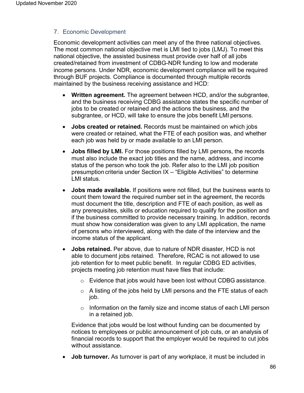# 7. Economic Development

Economic development activities can meet any of the three national objectives. The most common national objective met is LMI tied to jobs (LMJ). To meet this national objective, the assisted business must provide over half of all jobs created/retained from investment of CDBG-NDR funding to low and moderate income persons. Under NDR, economic development compliance will be required through BUF projects. Compliance is documented through multiple records maintained by the business receiving assistance and HCD:

- **Written agreement.** The agreement between HCD, and/or the subgrantee, and the business receiving CDBG assistance states the specific number of jobs to be created or retained and the actions the business, and the subgrantee, or HCD, will take to ensure the jobs benefit LMI persons.
- **Jobs created or retained.** Records must be maintained on which jobs were created or retained, what the FTE of each position was, and whether each job was held by or made available to an LMI person.
- **Jobs filled by LMI.** For those positions filled by LMI persons, the records must also include the exact job titles and the name, address, and income status of the person who took the job. Refer also to the LMI job position presumption criteria under Section IX – "Eligible Activities" to determine LMI status.
- **Jobs made available.** If positions were not filled, but the business wants to count them toward the required number set in the agreement, the records must document the title, description and FTE of each position, as well as any prerequisites, skills or education required to qualify for the position and if the business committed to provide necessary training. In addition, records must show how consideration was given to any LMI application, the name of persons who interviewed, along with the date of the interview and the income status of the applicant.
- **Jobs retained.** Per above, due to nature of NDR disaster, HCD is not able to document jobs retained. Therefore, RCAC is not allowed to use job retention for to meet public benefit. In regular CDBG ED activities, projects meeting job retention must have files that include:
	- $\circ$  Evidence that jobs would have been lost without CDBG assistance.
	- $\circ$  A listing of the jobs held by LMI persons and the FTE status of each job.
	- o Information on the family size and income status of each LMI person in a retained job.

Evidence that jobs would be lost without funding can be documented by notices to employees or public announcement of job cuts, or an analysis of financial records to support that the employer would be required to cut jobs without assistance.

• **Job turnover.** As turnover is part of any workplace, it must be included in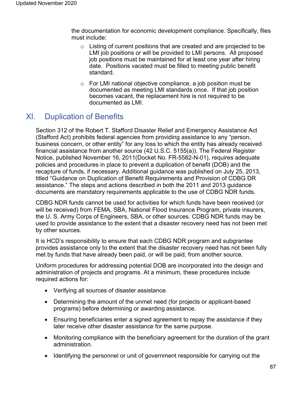the documentation for economic development compliance. Specifically, files must include:

- o Listing of current positions that are created and are projected to be LMI job positions or will be provided to LMI persons. All proposed job positions must be maintained for at least one year after hiring date. Positions vacated must be filled to meeting public benefit standard.
- o For LMI national objective compliance, a job position must be documented as meeting LMI standards once. If that job position becomes vacant, the replacement hire is not required to be documented as LMI.

# XI. Duplication of Benefits

Section 312 of the Robert T. Stafford Disaster Relief and Emergency Assistance Act (Stafford Act) prohibits federal agencies from providing assistance to any "person, business concern, or other entity" for any loss to which the entity has already received financial assistance from another source (42 U.S.C. 5155(a)). The Federal Register Notice, published November 16, 2011(Docket No. FR-5582-N-01), requires adequate policies and procedures in place to prevent a duplication of benefit (DOB) and the recapture of funds, if necessary. Additional guidance was published on July 25, 2013, titled "Guidance on Duplication of Benefit Requirements and Provision of CDBG DR assistance." The steps and actions described in both the 2011 and 2013 guidance documents are mandatory requirements applicable to the use of CDBG NDR funds.

CDBG NDR funds cannot be used for activities for which funds have been received (or will be received) from FEMA, SBA, National Flood Insurance Program, private insurers, the U. S. Army Corps of Engineers, SBA, or other sources. CDBG NDR funds may be used to provide assistance to the extent that a disaster recovery need has not been met by other sources.

It is HCD's responsibility to ensure that each CDBG NDR program and subgrantee provides assistance only to the extent that the disaster recovery need has not been fully met by funds that have already been paid, or will be paid, from another source.

Uniform procedures for addressing potential DOB are incorporated into the design and administration of projects and programs. At a minimum, these procedures include required actions for:

- Verifying all sources of disaster assistance.
- Determining the amount of the unmet need (for projects or applicant-based programs) before determining or awarding assistance.
- Ensuring beneficiaries enter a signed agreement to repay the assistance if they later receive other disaster assistance for the same purpose.
- Monitoring compliance with the beneficiary agreement for the duration of the grant administration.
- Identifying the personnel or unit of government responsible for carrying out the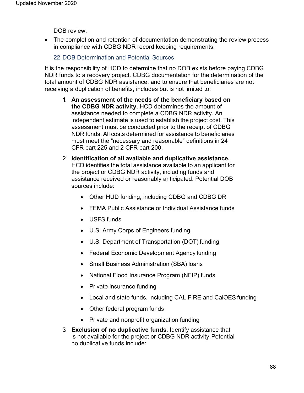DOB review.

• The completion and retention of documentation demonstrating the review process in compliance with CDBG NDR record keeping requirements.

### 22.DOB Determination and Potential Sources

It is the responsibility of HCD to determine that no DOB exists before paying CDBG NDR funds to a recovery project. CDBG documentation for the determination of the total amount of CDBG NDR assistance, and to ensure that beneficiaries are not receiving a duplication of benefits, includes but is not limited to:

- 1. **An assessment of the needs of the beneficiary based on the CDBG NDR activity.** HCD determines the amount of assistance needed to complete a CDBG NDR activity. An independent estimate is used to establish the project cost. This assessment must be conducted prior to the receipt of CDBG NDR funds. All costs determined for assistance to beneficiaries must meet the "necessary and reasonable" definitions in 24 CFR part 225 and 2 CFR part 200.
- 2. **Identification of all available and duplicative assistance.**  HCD identifies the total assistance available to an applicant for the project or CDBG NDR activity, including funds and assistance received or reasonably anticipated. Potential DOB sources include:
	- Other HUD funding, including CDBG and CDBG DR
	- FEMA Public Assistance or Individual Assistance funds
	- USFS funds
	- U.S. Army Corps of Engineers funding
	- U.S. Department of Transportation (DOT) funding
	- Federal Economic Development Agency funding
	- Small Business Administration (SBA) loans
	- National Flood Insurance Program (NFIP) funds
	- Private insurance funding
	- Local and state funds, including CAL FIRE and CalOES funding
	- Other federal program funds
	- Private and nonprofit organization funding
- 3. **Exclusion of no duplicative funds**. Identify assistance that is not available for the project or CDBG NDR activity.Potential no duplicative funds include: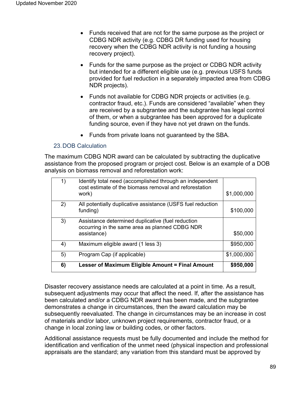- Funds received that are not for the same purpose as the project or CDBG NDR activity (e.g. CDBG DR funding used for housing recovery when the CDBG NDR activity is not funding a housing recovery project).
- Funds for the same purpose as the project or CDBG NDR activity but intended for a different eligible use (e.g. previous USFS funds provided for fuel reduction in a separately impacted area from CDBG NDR projects).
- Funds not available for CDBG NDR projects or activities (e.g. contractor fraud, etc.). Funds are considered "available" when they are received by a subgrantee and the subgrantee has legal control of them, or when a subgrantee has been approved for a duplicate funding source, even if they have not yet drawn on the funds.
- Funds from private loans not guaranteed by the SBA.

### 23.DOB Calculation

The maximum CDBG NDR award can be calculated by subtracting the duplicative assistance from the proposed program or project cost. Below is an example of a DOB analysis on biomass removal and reforestation work:

| 1) | Identify total need (accomplished through an independent<br>cost estimate of the biomass removal and reforestation<br>work) | \$1,000,000 |
|----|-----------------------------------------------------------------------------------------------------------------------------|-------------|
| 2) | All potentially duplicative assistance (USFS fuel reduction<br>funding)                                                     | \$100,000   |
| 3) | Assistance determined duplicative (fuel reduction<br>occurring in the same area as planned CDBG NDR<br>assistance)          | \$50,000    |
| 4) | Maximum eligible award (1 less 3)                                                                                           | \$950,000   |
| 5) | Program Cap (if applicable)                                                                                                 | \$1,000,000 |
| 6) | Lesser of Maximum Eligible Amount = Final Amount                                                                            | \$950,000   |

Disaster recovery assistance needs are calculated at a point in time. As a result, subsequent adjustments may occur that affect the need. If, after the assistance has been calculated and/or a CDBG NDR award has been made, and the subgrantee demonstrates a change in circumstances, then the award calculation may be subsequently reevaluated. The change in circumstances may be an increase in cost of materials and/or labor, unknown project requirements, contractor fraud, or a change in local zoning law or building codes, or other factors.

Additional assistance requests must be fully documented and include the method for identification and verification of the unmet need (physical inspection and professional appraisals are the standard; any variation from this standard must be approved by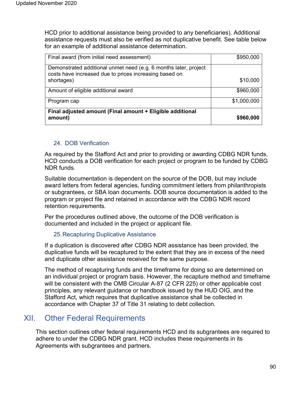HCD prior to additional assistance being provided to any beneficiaries). Additional assistance requests must also be verified as not duplicative benefit. See table below for an example of additional assistance determination.

| Final award (from initial need assessment)                                                                                 | \$950,000   |
|----------------------------------------------------------------------------------------------------------------------------|-------------|
| Demonstrated additional unmet need (e.g. 6 months later, project<br>costs have increased due to prices increasing based on |             |
| shortages)                                                                                                                 | \$10,000    |
| Amount of eligible additional award                                                                                        | \$960,000   |
| Program cap                                                                                                                | \$1,000,000 |
| Final adjusted amount (Final amount + Eligible additional<br>amount)                                                       | \$960,000   |

# 24. DOB Verification

As required by the Stafford Act and prior to providing or awarding CDBG NDR funds, HCD conducts a DOB verification for each project or program to be funded by CDBG NDR funds.

Suitable documentation is dependent on the source of the DOB, but may include award letters from federal agencies, funding commitment letters from philanthropists or subgrantees, or SBA loan documents. DOB source documentation is added to the program or project file and retained in accordance with the CDBG NDR record retention requirements.

Per the procedures outlined above, the outcome of the DOB verification is documented and included in the project or applicant file.

# 25.Recapturing Duplicative Assistance

If a duplication is discovered after CDBG NDR assistance has been provided, the duplicative funds will be recaptured to the extent that they are in excess of the need and duplicate other assistance received for the same purpose.

The method of recapturing funds and the timeframe for doing so are determined on an individual project or program basis. However, the recapture method and timeframe will be consistent with the OMB Circular A-87 (2 CFR 225) or other applicable cost principles, any relevant guidance or handbook issued by the HUD OIG, and the Stafford Act, which requires that duplicative assistance shall be collected in accordance with Chapter 37 of Title 31 relating to debt collection.

# XII. Other Federal Requirements

This section outlines other federal requirements HCD and its subgrantees are required to adhere to under the CDBG NDR grant. HCD includes these requirements in its Agreements with subgrantees and partners.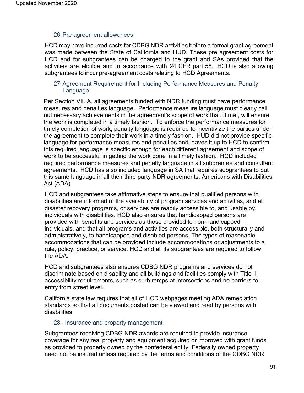### 26.Pre agreement allowances

HCD may have incurred costs for CDBG NDR activities before a formal grant agreement was made between the State of California and HUD. These pre agreement costs for HCD and for subgrantees can be charged to the grant and SAs provided that the activities are eligible and in accordance with 24 CFR part 58. HCD is also allowing subgrantees to incur pre-agreement costs relating to HCD Agreements.

# 27.Agreement Requirement for Including Performance Measures and Penalty Language

Per Section VII. A. all agreements funded with NDR funding must have performance measures and penalties language. Performance measure language must clearly call out necessary achievements in the agreement's scope of work that, if met, will ensure the work is completed in a timely fashion. To enforce the performance measures for timely completion of work, penalty language is required to incentivize the parties under the agreement to complete their work in a timely fashion. HUD did not provide specific language for performance measures and penalties and leaves it up to HCD to confirm this required language is specific enough for each different agreement and scope of work to be successful in getting the work done in a timely fashion. HCD included required performance measures and penalty language in all subgrantee and consultant agreements. HCD has also included language in SA that requires subgrantees to put this same language in all their third party NDR agreements. Americans with Disabilities Act (ADA)

HCD and subgrantees take affirmative steps to ensure that qualified persons with disabilities are informed of the availability of program services and activities, and all disaster recovery programs, or services are readily accessible to, and usable by, individuals with disabilities. HCD also ensures that handicapped persons are provided with benefits and services as those provided to non-handicapped individuals, and that all programs and activities are accessible, both structurally and administratively, to handicapped and disabled persons. The types of reasonable accommodations that can be provided include accommodations or adjustments to a rule, policy, practice, or service. HCD and all its subgrantees are required to follow the ADA.

HCD and subgrantees also ensures CDBG NDR programs and services do not discriminate based on disability and all buildings and facilities comply with Title II accessibility requirements, such as curb ramps at intersections and no barriers to entry from street level.

California state law requires that all of HCD webpages meeting ADA remediation standards so that all documents posted can be viewed and read by persons with disabilities.

# 28. Insurance and property management

Subgrantees receiving CDBG NDR awards are required to provide insurance coverage for any real property and equipment acquired or improved with grant funds as provided to property owned by the nonfederal entity. Federally owned property need not be insured unless required by the terms and conditions of the CDBG NDR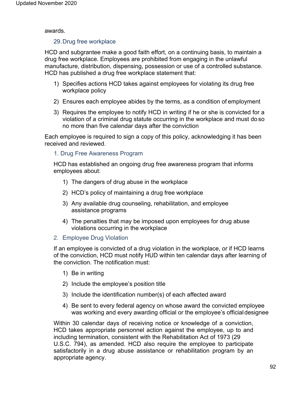awards.

### 29.Drug free workplace

HCD and subgrantee make a good faith effort, on a continuing basis, to maintain a drug free workplace. Employees are prohibited from engaging in the unlawful manufacture, distribution, dispensing, possession or use of a controlled substance. HCD has published a drug free workplace statement that:

- 1) Specifies actions HCD takes against employees for violating its drug free workplace policy
- 2) Ensures each employee abides by the terms, as a condition of employment
- 3) Requires the employee to notify HCD in writing if he or she is convicted for a violation of a criminal drug statute occurring in the workplace and must do so no more than five calendar days after the conviction

Each employee is required to sign a copy of this policy, acknowledging it has been received and reviewed.

# 1. Drug Free Awareness Program

HCD has established an ongoing drug free awareness program that informs employees about:

- 1) The dangers of drug abuse in the workplace
- 2) HCD's policy of maintaining a drug free workplace
- 3) Any available drug counseling, rehabilitation, and employee assistance programs
- 4) The penalties that may be imposed upon employees for drug abuse violations occurring in the workplace
- 2. Employee Drug Violation

If an employee is convicted of a drug violation in the workplace, or if HCD learns of the conviction, HCD must notify HUD within ten calendar days after learning of the conviction. The notification must:

- 1) Be in writing
- 2) Include the employee's position title
- 3) Include the identification number(s) of each affected award
- 4) Be sent to every federal agency on whose award the convicted employee was working and every awarding official or the employee's officialdesignee

Within 30 calendar days of receiving notice or knowledge of a conviction, HCD takes appropriate personnel action against the employee, up to and including termination, consistent with the Rehabilitation Act of 1973 (29 U.S.C. 794), as amended. HCD also require the employee to participate satisfactorily in a drug abuse assistance or rehabilitation program by an appropriate agency.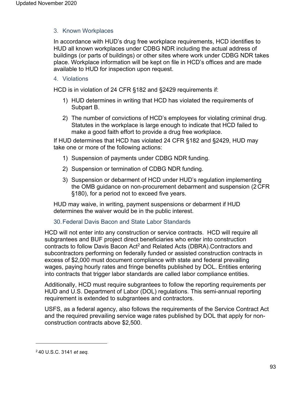# 3. Known Workplaces

In accordance with HUD's drug free workplace requirements, HCD identifies to HUD all known workplaces under CDBG NDR including the actual address of buildings (or parts of buildings) or other sites where work under CDBG NDR takes place. Workplace information will be kept on file in HCD's offices and are made available to HUD for inspection upon request.

### 4. Violations

HCD is in violation of 24 CFR §182 and §2429 requirements if:

- 1) HUD determines in writing that HCD has violated the requirements of Subpart B.
- 2) The number of convictions of HCD's employees for violating criminal drug. Statutes in the workplace is large enough to indicate that HCD failed to make a good faith effort to provide a drug free workplace.

If HUD determines that HCD has violated 24 CFR §182 and §2429, HUD may take one or more of the following actions:

- 1) Suspension of payments under CDBG NDR funding.
- 2) Suspension or termination of CDBG NDR funding.
- 3) Suspension or debarment of HCD under HUD's regulation implementing the OMB guidance on non-procurement debarment and suspension (2CFR §180), for a period not to exceed five years.

HUD may waive, in writing, payment suspensions or debarment if HUD determines the waiver would be in the public interest.

### 30.Federal Davis Bacon and State Labor Standards

HCD will not enter into any construction or service contracts. HCD will require all subgrantees and BUF project direct beneficiaries who enter into construction contracts to follow Davis Bacon Act<sup>2</sup> and Related Acts (DBRA). Contractors and subcontractors performing on federally funded or assisted construction contracts in excess of \$2,000 must document compliance with state and federal prevailing wages, paying hourly rates and fringe benefits published by DOL. Entities entering into contracts that trigger labor standards are called labor compliance entities.

Additionally, HCD must require subgrantees to follow the reporting requirements per HUD and U.S. Department of Labor (DOL) regulations. This semi-annual reporting requirement is extended to subgrantees and contractors.

USFS, as a federal agency, also follows the requirements of the Service Contract Act and the required prevailing service wage rates published by DOL that apply for nonconstruction contracts above \$2,500.

<sup>2 40</sup> U.S.C. 3141 *et seq.*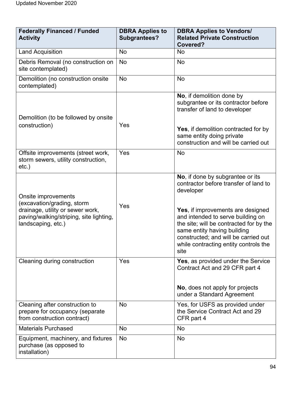| <b>Federally Financed / Funded</b><br><b>Activity</b>                                                                                                  | <b>DBRA Applies to</b><br><b>Subgrantees?</b> | <b>DBRA Applies to Vendors/</b><br><b>Related Private Construction</b><br>Covered?                                                                                                                                                                                                                                                  |
|--------------------------------------------------------------------------------------------------------------------------------------------------------|-----------------------------------------------|-------------------------------------------------------------------------------------------------------------------------------------------------------------------------------------------------------------------------------------------------------------------------------------------------------------------------------------|
| <b>Land Acquisition</b>                                                                                                                                | No                                            | No                                                                                                                                                                                                                                                                                                                                  |
| Debris Removal (no construction on<br>site contemplated)                                                                                               | <b>No</b>                                     | <b>No</b>                                                                                                                                                                                                                                                                                                                           |
| Demolition (no construction onsite<br>contemplated)                                                                                                    | <b>No</b>                                     | <b>No</b>                                                                                                                                                                                                                                                                                                                           |
| Demolition (to be followed by onsite<br>construction)                                                                                                  | Yes                                           | No, if demolition done by<br>subgrantee or its contractor before<br>transfer of land to developer<br><b>Yes, if demolition contracted for by</b><br>same entity doing private<br>construction and will be carried out                                                                                                               |
| Offsite improvements (street work,<br>storm sewers, utility construction,<br>$etc.$ )                                                                  | Yes                                           | <b>No</b>                                                                                                                                                                                                                                                                                                                           |
| Onsite improvements<br>(excavation/grading, storm<br>drainage, utility or sewer work,<br>paving/walking/striping, site lighting,<br>landscaping, etc.) | Yes                                           | No, if done by subgrantee or its<br>contractor before transfer of land to<br>developer<br>Yes, if improvements are designed<br>and intended to serve building on<br>the site; will be contracted for by the<br>same entity having building<br>constructed; and will be carried out<br>while contracting entity controls the<br>site |
| Cleaning during construction                                                                                                                           | Yes                                           | Yes, as provided under the Service<br>Contract Act and 29 CFR part 4<br>No, does not apply for projects<br>under a Standard Agreement                                                                                                                                                                                               |
| Cleaning after construction to<br>prepare for occupancy (separate<br>from construction contract)                                                       | <b>No</b>                                     | Yes, for USFS as provided under<br>the Service Contract Act and 29<br>CFR part 4                                                                                                                                                                                                                                                    |
| <b>Materials Purchased</b>                                                                                                                             | No                                            | No                                                                                                                                                                                                                                                                                                                                  |
| Equipment, machinery, and fixtures<br>purchase (as opposed to<br>installation)                                                                         | No                                            | No                                                                                                                                                                                                                                                                                                                                  |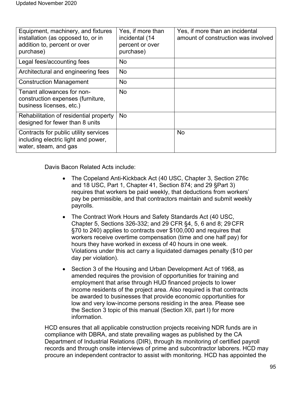| Equipment, machinery, and fixtures<br>installation (as opposed to, or in<br>addition to, percent or over<br>purchase) | Yes, if more than<br>incidental (14<br>percent or over<br>purchase) | Yes, if more than an incidental<br>amount of construction was involved |
|-----------------------------------------------------------------------------------------------------------------------|---------------------------------------------------------------------|------------------------------------------------------------------------|
| Legal fees/accounting fees                                                                                            | No                                                                  |                                                                        |
| Architectural and engineering fees                                                                                    | No                                                                  |                                                                        |
| <b>Construction Management</b>                                                                                        | No                                                                  |                                                                        |
| Tenant allowances for non-<br>construction expenses (furniture,<br>business licenses, etc.)                           | No                                                                  |                                                                        |
| Rehabilitation of residential property<br>designed for fewer than 8 units                                             | No                                                                  |                                                                        |
| Contracts for public utility services<br>including electric light and power,<br>water, steam, and gas                 |                                                                     | <b>No</b>                                                              |

Davis Bacon Related Acts include:

- The Copeland Anti-Kickback Act (40 USC, Chapter 3, Section 276c and 18 USC, Part 1, Chapter 41, Section 874; and 29 §Part 3) requires that workers be paid weekly, that deductions from workers' pay be permissible, and that contractors maintain and submit weekly payrolls.
- The Contract Work Hours and Safety Standards Act (40 USC, Chapter 5, Sections 326-332; and 29 CFR §4, 5, 6 and 8; 29 CFR §70 to 240) applies to contracts over \$100,000 and requires that workers receive overtime compensation (time and one half pay) for hours they have worked in excess of 40 hours in one week. Violations under this act carry a liquidated damages penalty (\$10 per day per violation).
- Section 3 of the Housing and Urban Development Act of 1968, as amended requires the provision of opportunities for training and employment that arise through HUD financed projects to lower income residents of the project area. Also required is that contracts be awarded to businesses that provide economic opportunities for low and very low-income persons residing in the area. Please see the Section 3 topic of this manual (Section XII, part I) for more information.

HCD ensures that all applicable construction projects receiving NDR funds are in compliance with DBRA, and state prevailing wages as published by the CA Department of Industrial Relations (DIR), through its monitoring of certified payroll records and through onsite interviews of prime and subcontractor laborers. HCD may procure an independent contractor to assist with monitoring. HCD has appointed the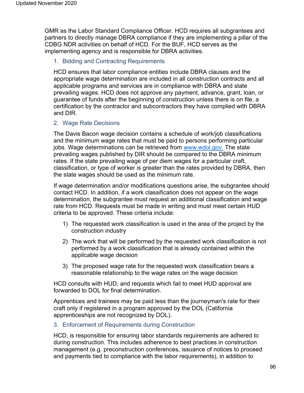GMR as the Labor Standard Compliance Officer. HCD requires all subgrantees and partners to directly manage DBRA compliance if they are implementing a pillar of the CDBG NDR activities on behalf of HCD. For the BUF, HCD serves as the implementing agency and is responsible for DBRA activities.

# 1. Bidding and Contracting Requirements

HCD ensures that labor compliance entities include DBRA clauses and the appropriate wage determination are included in all construction contracts and all applicable programs and services are in compliance with DBRA and state prevailing wages. HCD does not approve any payment, advance, grant, loan, or guarantee of funds after the beginning of construction unless there is on file, a certification by the contractor and subcontractors they have complied with DBRA and DIR.

# 2. Wage Rate Decisions

The Davis Bacon wage decision contains a schedule of work/job classifications and the minimum wage rates that must be paid to persons performing particular jobs. Wage determinations can be retrieved from [www.wdol.gov.](http://www.wdol.gov/) The state prevailing wages published by DIR should be compared to the DBRA minimum rates. If the state prevailing wage of per diem wages for a particular craft, classification, or type of worker is greater than the rates provided by DBRA, then the state wages should be used as the minimum rate.

If wage determination and/or modifications questions arise, the subgrantee should contact HCD. In addition, if a work classification does not appear on the wage determination, the subgrantee must request an additional classification and wage rate from HCD. Requests must be made in writing and must meet certain HUD criteria to be approved. These criteria include:

- 1) The requested work classification is used in the area of the project by the construction industry
- 2) The work that will be performed by the requested work classification is not performed by a work classification that is already contained within the applicable wage decision
- 3) The proposed wage rate for the requested work classification bears a reasonable relationship to the wage rates on the wage decision

HCD consults with HUD, and requests which fail to meet HUD approval are forwarded to DOL for final determination.

Apprentices and trainees may be paid less than the journeyman's rate for their craft only if registered in a program approved by the DOL (California apprenticeships are not recognized by DOL).

# 3. Enforcement of Requirements during Construction

HCD, is responsible for ensuring labor standards requirements are adhered to during construction. This includes adherence to best practices in construction management (e.g. preconstruction conferences, issuance of notices to proceed and payments tied to compliance with the labor requirements), in addition to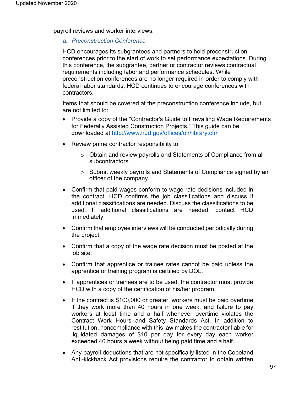payroll reviews and worker interviews.

### *a. Preconstruction Conference*

HCD encourages its subgrantees and partners to hold preconstruction conferences prior to the start of work to set performance expectations. During this conference, the subgrantee, partner or contractor reviews contractual requirements including labor and performance schedules. While preconstruction conferences are no longer required in order to comply with federal labor standards, HCD continues to encourage conferences with contractors.

Items that should be covered at the preconstruction conference include, but are not limited to:

- Provide a copy of the "Contractor's Guide to Prevailing Wage Requirements for Federally Assisted Construction Projects." This guide can be downloaded at <http://www.hud.gov/offices/olr/library.cfm>
- Review prime contractor responsibility to:
	- o Obtain and review payrolls and Statements of Compliance from all subcontractors.
	- o Submit weekly payrolls and Statements of Compliance signed by an officer of the company.
- Confirm that paid wages conform to wage rate decisions included in the contract. HCD confirms the job classifications and discuss if additional classifications are needed. Discuss the classifications to be used. If additional classifications are needed, contact HCD immediately:
- Confirm that employee interviews will be conducted periodically during the project.
- Confirm that a copy of the wage rate decision must be posted at the job site.
- Confirm that apprentice or trainee rates cannot be paid unless the apprentice or training program is certified by DOL.
- If apprentices or trainees are to be used, the contractor must provide HCD with a copy of the certification of his/her program.
- If the contract is \$100,000 or greater, workers must be paid overtime if they work more than 40 hours in one week, and failure to pay workers at least time and a half whenever overtime violates the Contract Work Hours and Safety Standards Act. In addition to restitution, noncompliance with this law makes the contractor liable for liquidated damages of \$10 per day for every day each worker exceeded 40 hours a week without being paid time and a half.
- Any payroll deductions that are not specifically listed in the Copeland Anti-kickback Act provisions require the contractor to obtain written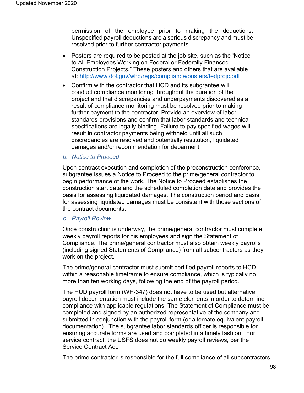permission of the employee prior to making the deductions. Unspecified payroll deductions are a serious discrepancy and must be resolved prior to further contractor payments.

- Posters are required to be posted at the job site, such as the "Notice" to All Employees Working on Federal or Federally Financed Construction Projects." These posters and others that are available at: <http://www.dol.gov/whd/regs/compliance/posters/fedprojc.pdf>
- Confirm with the contractor that HCD and its subgrantee will conduct compliance monitoring throughout the duration of the project and that discrepancies and underpayments discovered as a result of compliance monitoring must be resolved prior to making further payment to the contractor. Provide an overview of labor standards provisions and confirm that labor standards and technical specifications are legally binding. Failure to pay specified wages will result in contractor payments being withheld until all such discrepancies are resolved and potentially restitution, liquidated damages and/or recommendation for debarment.
- *b. Notice to Proceed*

Upon contract execution and completion of the preconstruction conference, subgrantee issues a Notice to Proceed to the prime/general contractor to begin performance of the work. The Notice to Proceed establishes the construction start date and the scheduled completion date and provides the basis for assessing liquidated damages. The construction period and basis for assessing liquidated damages must be consistent with those sections of the contract documents.

#### *c. Payroll Review*

Once construction is underway, the prime/general contractor must complete weekly payroll reports for his employees and sign the Statement of Compliance. The prime/general contractor must also obtain weekly payrolls (including signed Statements of Compliance) from all subcontractors as they work on the project.

The prime/general contractor must submit certified payroll reports to HCD within a reasonable timeframe to ensure compliance, which is typically no more than ten working days, following the end of the payroll period.

The HUD payroll form (WH-347) does not have to be used but alternative payroll documentation must include the same elements in order to determine compliance with applicable regulations. The Statement of Compliance must be completed and signed by an authorized representative of the company and submitted in conjunction with the payroll form (or alternate equivalent payroll documentation). The subgrantee labor standards officer is responsible for ensuring accurate forms are used and completed in a timely fashion. For service contract, the USFS does not do weekly payroll reviews, per the Service Contract Act.

The prime contractor is responsible for the full compliance of all subcontractors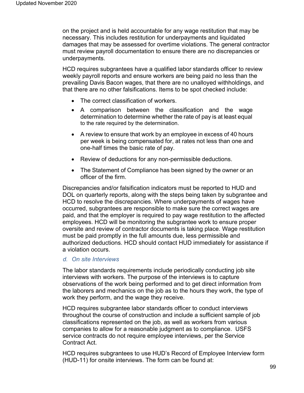on the project and is held accountable for any wage restitution that may be necessary. This includes restitution for underpayments and liquidated damages that may be assessed for overtime violations. The general contractor must review payroll documentation to ensure there are no discrepancies or underpayments.

HCD requires subgrantees have a qualified labor standards officer to review weekly payroll reports and ensure workers are being paid no less than the prevailing Davis Bacon wages, that there are no unalloyed withholdings, and that there are no other falsifications. Items to be spot checked include:

- The correct classification of workers.
- A comparison between the classification and the wage determination to determine whether the rate of pay is at least equal to the rate required by the determination.
- A review to ensure that work by an employee in excess of 40 hours per week is being compensated for, at rates not less than one and one-half times the basic rate of pay.
- Review of deductions for any non-permissible deductions.
- The Statement of Compliance has been signed by the owner or an officer of the firm.

Discrepancies and/or falsification indicators must be reported to HUD and DOL on quarterly reports, along with the steps being taken by subgrantee and HCD to resolve the discrepancies. Where underpayments of wages have occurred, subgrantees are responsible to make sure the correct wages are paid, and that the employer is required to pay wage restitution to the affected employees. HCD will be monitoring the subgrantee work to ensure proper oversite and review of contractor documents is taking place. Wage restitution must be paid promptly in the full amounts due, less permissible and authorized deductions. HCD should contact HUD immediately for assistance if a violation occurs.

# *d. On site Interviews*

The labor standards requirements include periodically conducting job site interviews with workers. The purpose of the interviews is to capture observations of the work being performed and to get direct information from the laborers and mechanics on the job as to the hours they work, the type of work they perform, and the wage they receive.

HCD requires subgrantee labor standards officer to conduct interviews throughout the course of construction and include a sufficient sample of job classifications represented on the job, as well as workers from various companies to allow for a reasonable judgment as to compliance. USFS service contracts do not require employee interviews, per the Service Contract Act.

HCD requires subgrantees to use HUD's Record of Employee Interview form (HUD-11) for onsite interviews. The form can be found at: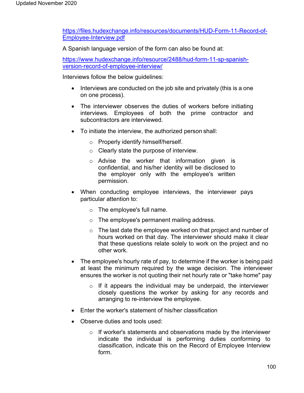[https://files.hudexchange.info/resources/documents/HUD-Form-11-Record-of-](https://files.hudexchange.info/resources/documents/HUD-Form-11-Record-of-Employee-Interview.pdf)[Employee-Interview.pdf](https://files.hudexchange.info/resources/documents/HUD-Form-11-Record-of-Employee-Interview.pdf)

A Spanish language version of the form can also be found at:

[https://www.hudexchange.info/resource/2488/hud-form-11-sp-spanish](https://www.hudexchange.info/resource/2488/hud-form-11-sp-spanish-version-record-of-employee-interview/)[version-record-of-employee-interview/](https://www.hudexchange.info/resource/2488/hud-form-11-sp-spanish-version-record-of-employee-interview/)

Interviews follow the below guidelines:

- Interviews are conducted on the job site and privately (this is a one on one process).
- The interviewer observes the duties of workers before initiating interviews. Employees of both the prime contractor and subcontractors are interviewed.
- To initiate the interview, the authorized person shall:
	- o Properly identify himself/herself.
	- o Clearly state the purpose of interview.
	- o Advise the worker that information given is confidential, and his/her identity will be disclosed to the employer only with the employee's written permission.
- When conducting employee interviews, the interviewer pays particular attention to:
	- o The employee's full name.
	- o The employee's permanent mailing address.
	- o The last date the employee worked on that project and number of hours worked on that day. The interviewer should make it clear that these questions relate solely to work on the project and no other work.
- The employee's hourly rate of pay, to determine if the worker is being paid at least the minimum required by the wage decision. The interviewer ensures the worker is not quoting their net hourly rate or "take home" pay
	- $\circ$  If it appears the individual may be underpaid, the interviewer closely questions the worker by asking for any records and arranging to re-interview the employee.
- Enter the worker's statement of his/her classification
- Observe duties and tools used:
	- o If worker's statements and observations made by the interviewer indicate the individual is performing duties conforming to classification, indicate this on the Record of Employee Interview form.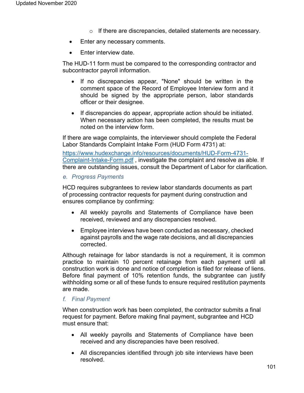- o If there are discrepancies, detailed statements are necessary.
- Enter any necessary comments.
- Enter interview date.

The HUD-11 form must be compared to the corresponding contractor and subcontractor payroll information.

- If no discrepancies appear, "None" should be written in the comment space of the Record of Employee Interview form and it should be signed by the appropriate person, labor standards officer or their designee.
- If discrepancies do appear, appropriate action should be initiated. When necessary action has been completed, the results must be noted on the interview form.

If there are wage complaints, the interviewer should complete the Federal Labor Standards Complaint Intake Form (HUD Form 4731) at:

https:/[/www.hudexchange.info/resources/documents/HUD-Form-4731-](http://www.hudexchange.info/resources/documents/HUD-Form-4731-) Complaint-Intake-Form.pdf , investigate the complaint and resolve as able. If there are outstanding issues, consult the Department of Labor for clarification.

### *e. Progress Payments*

HCD requires subgrantees to review labor standards documents as part of processing contractor requests for payment during construction and ensures compliance by confirming:

- All weekly payrolls and Statements of Compliance have been received, reviewed and any discrepancies resolved.
- Employee interviews have been conducted as necessary, checked against payrolls and the wage rate decisions, and all discrepancies corrected.

Although retainage for labor standards is not a requirement, it is common practice to maintain 10 percent retainage from each payment until all construction work is done and notice of completion is filed for release of liens. Before final payment of 10% retention funds, the subgrantee can justify withholding some or all of these funds to ensure required restitution payments are made.

# *f. Final Payment*

When construction work has been completed, the contractor submits a final request for payment. Before making final payment, subgrantee and HCD must ensure that:

- All weekly payrolls and Statements of Compliance have been received and any discrepancies have been resolved.
- All discrepancies identified through job site interviews have been resolved.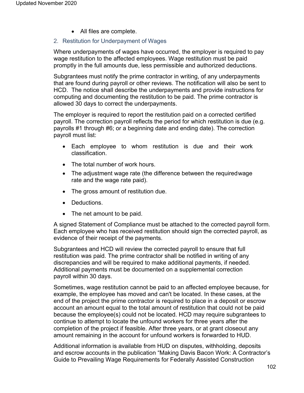• All files are complete.

### 2. Restitution for Underpayment of Wages

Where underpayments of wages have occurred, the employer is required to pay wage restitution to the affected employees. Wage restitution must be paid promptly in the full amounts due, less permissible and authorized deductions.

Subgrantees must notify the prime contractor in writing, of any underpayments that are found during payroll or other reviews. The notification will also be sent to HCD. The notice shall describe the underpayments and provide instructions for computing and documenting the restitution to be paid. The prime contractor is allowed 30 days to correct the underpayments.

The employer is required to report the restitution paid on a corrected certified payroll. The correction payroll reflects the period for which restitution is due (e.g. payrolls #1 through #6; or a beginning date and ending date). The correction payroll must list:

- Each employee to whom restitution is due and their work classification.
- The total number of work hours.
- The adjustment wage rate (the difference between the requiredwage rate and the wage rate paid).
- The gross amount of restitution due.
- Deductions.
- The net amount to be paid.

A signed Statement of Compliance must be attached to the corrected payroll form. Each employee who has received restitution should sign the corrected payroll, as evidence of their receipt of the payments.

Subgrantees and HCD will review the corrected payroll to ensure that full restitution was paid. The prime contractor shall be notified in writing of any discrepancies and will be required to make additional payments, if needed. Additional payments must be documented on a supplemental correction payroll within 30 days.

Sometimes, wage restitution cannot be paid to an affected employee because, for example, the employee has moved and can't be located. In these cases, at the end of the project the prime contractor is required to place in a deposit or escrow account an amount equal to the total amount of restitution that could not be paid because the employee(s) could not be located. HCD may require subgrantees to continue to attempt to locate the unfound workers for three years after the completion of the project if feasible. After three years, or at grant closeout any amount remaining in the account for unfound workers is forwarded to HUD.

Additional information is available from HUD on disputes, withholding, deposits and escrow accounts in the publication "Making Davis Bacon Work: A Contractor's Guide to Prevailing Wage Requirements for Federally Assisted Construction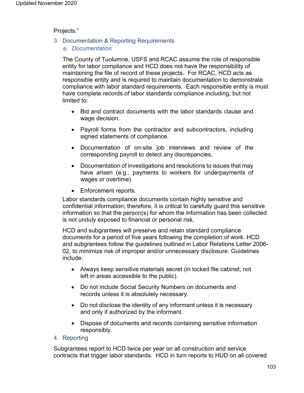### Projects."

- 3. Documentation & Reporting Requirements
	- *a. Documentation*

The County of Tuolumne, USFS and RCAC assume the role of responsible entity for labor compliance and HCD does not have the responsibility of maintaining the file of record of these projects. For RCAC, HCD acts as responsible entity and is required to maintain documentation to demonstrate compliance with labor standard requirements. Each responsible entity is must have complete records of labor standards compliance including, but not limited to:

- Bid and contract documents with the labor standards clause and wage decision.
- Payroll forms from the contractor and subcontractors, including signed statements of compliance.
- Documentation of on-site job interviews and review of the corresponding payroll to detect any discrepancies.
- Documentation of investigations and resolutions to issues that may have arisen (e.g., payments to workers for underpayments of wages or overtime).
- Enforcement reports.

Labor standards compliance documents contain highly sensitive and confidential information; therefore, it is critical to carefully guard this sensitive information so that the person(s) for whom the information has been collected is not unduly exposed to financial or personal risk.

HCD and subgrantees will preserve and retain standard compliance documents for a period of five years following the completion of work. HCD and subgrantees follow the guidelines outlined in Labor Relations Letter 2006- 02, to minimize risk of improper and/or unnecessary disclosure. Guidelines include:

- Always keep sensitive materials secret (in locked file cabinet, not left in areas accessible to the public).
- Do not include Social Security Numbers on documents and records unless it is absolutely necessary.
- Do not disclose the identity of any informant unless it is necessary and only if authorized by the informant.
- Dispose of documents and records containing sensitive information responsibly.
- 4. Reporting

Subgrantees report to HCD twice per year on all construction and service contracts that trigger labor standards. HCD in turn reports to HUD on all covered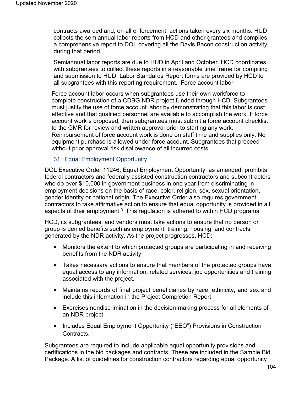contracts awarded and, on all enforcement, actions taken every six months. HUD collects the semiannual labor reports from HCD and other grantees and compiles a comprehensive report to DOL covering all the Davis Bacon construction activity during that period.

Semiannual labor reports are due to HUD in April and October. HCD coordinates with subgrantees to collect these reports in a reasonable time frame for compiling and submission to HUD. Labor Standards Report forms are provided by HCD to all subgrantees with this reporting requirement. Force account labor

Force account labor occurs when subgrantees use their own workforce to complete construction of a CDBG NDR project funded through HCD. Subgrantees must justify the use of force account labor by demonstrating that this labor is cost effective and that qualified personnel are available to accomplish the work. If force account workis proposed, then subgrantees must submit a force account checklist to the GMR for review and written approval prior to starting any work. Reimbursement of force account work is done on staff time and supplies only. No equipment purchase is allowed under force account. Subgrantees that proceed without prior approval risk disallowance of all incurred costs.

# 31. Equal Employment Opportunity

DOL Executive Order 11246, Equal Employment Opportunity, as amended, prohibits federal contractors and federally assisted construction contractors and subcontractors who do over \$10,000 in government business in one year from discriminating in employment decisions on the basis of race, color, religion, sex, sexual orientation, gender identity or national origin. The Executive Order also requires government contractors to take affirmative action to ensure that equal opportunity is provided in all aspects of their employment.<sup>3</sup> This regulation is adhered to within HCD programs.

HCD, its subgrantees, and vendors must take actions to ensure that no person or group is denied benefits such as employment, training, housing, and contracts generated by the NDR activity. As the project progresses, HCD:

- Monitors the extent to which protected groups are participating in and receiving benefits from the NDR activity.
- Takes necessary actions to ensure that members of the protected groups have equal access to any information, related services, job opportunities and training associated with the project.
- Maintains records of final project beneficiaries by race, ethnicity, and sex and include this information in the Project Completion Report.
- Exercises nondiscrimination in the decision-making process for all elements of an NDR project.
- Includes Equal Employment Opportunity ("EEO") Provisions in Construction Contracts.

Subgrantees are required to include applicable equal opportunity provisions and certifications in the bid packages and contracts. These are included in the Sample Bid Package. A list of guidelines for construction contractors regarding equal opportunity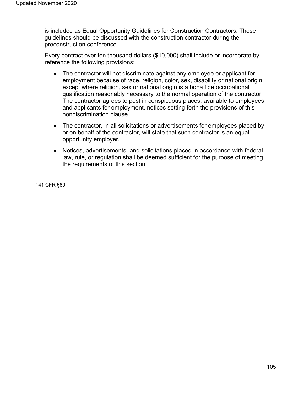is included as Equal Opportunity Guidelines for Construction Contractors. These guidelines should be discussed with the construction contractor during the preconstruction conference.

Every contract over ten thousand dollars (\$10,000) shall include or incorporate by reference the following provisions:

- The contractor will not discriminate against any employee or applicant for employment because of race, religion, color, sex, disability or national origin, except where religion, sex or national origin is a bona fide occupational qualification reasonably necessary to the normal operation of the contractor. The contractor agrees to post in conspicuous places, available to employees and applicants for employment, notices setting forth the provisions of this nondiscrimination clause.
- The contractor, in all solicitations or advertisements for employees placed by or on behalf of the contractor, will state that such contractor is an equal opportunity employer.
- Notices, advertisements, and solicitations placed in accordance with federal law, rule, or regulation shall be deemed sufficient for the purpose of meeting the requirements of this section.

3 41 CFR §60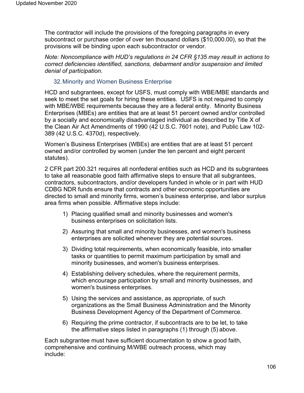The contractor will include the provisions of the foregoing paragraphs in every subcontract or purchase order of over ten thousand dollars (\$10,000.00), so that the provisions will be binding upon each subcontractor or vendor.

*Note: Noncompliance with HUD's regulations in 24 CFR §135 may result in actions to correct deficiencies identified, sanctions, debarment and/or suspension and limited denial of participation.*

# 32.Minority and Women Business Enterprise

HCD and subgrantees, except for USFS, must comply with WBE/MBE standards and seek to meet the set goals for hiring these entities. USFS is not required to comply with MBE/WBE requirements because they are a federal entity. Minority Business Enterprises (MBEs) are entities that are at least 51 percent owned and/or controlled by a socially and economically disadvantaged individual as described by Title X of the Clean Air Act Amendments of 1990 (42 U.S.C. 7601 note), and Public Law 102- 389 (42 U.S.C. 4370d), respectively.

Women's Business Enterprises (WBEs) are entities that are at least 51 percent owned and/or controlled by women (under the ten percent and eight percent statutes).

2 CFR part 200.321 requires all nonfederal entities such as HCD and its subgrantees to take all reasonable good faith affirmative steps to ensure that all subgrantees, contractors, subcontractors, and/or developers funded in whole or in part with HUD CDBG NDR funds ensure that contracts and other economic opportunities are directed to small and minority firms, women's business enterprise, and labor surplus area firms when possible. Affirmative steps include:

- 1) Placing qualified small and minority businesses and women's business enterprises on solicitation lists.
- 2) Assuring that small and minority businesses, and women's business enterprises are solicited whenever they are potential sources.
- 3) Dividing total requirements, when economically feasible, into smaller tasks or quantities to permit maximum participation by small and minority businesses, and women's business enterprises.
- 4) Establishing delivery schedules, where the requirement permits, which encourage participation by small and minority businesses, and women's business enterprises.
- 5) Using the services and assistance, as appropriate, of such organizations as the Small Business Administration and the Minority Business Development Agency of the Department of Commerce.
- 6) Requiring the prime contractor, if subcontracts are to be let, to take the affirmative steps listed in paragraphs (1) through (5) above.

Each subgrantee must have sufficient documentation to show a good faith, comprehensive and continuing M/WBE outreach process, which may include: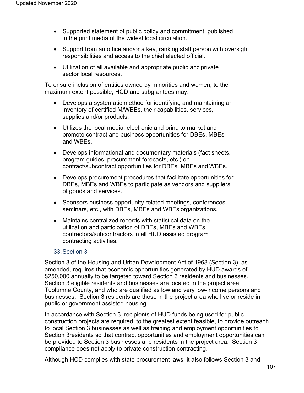- Supported statement of public policy and commitment, published in the print media of the widest local circulation.
- Support from an office and/or a key, ranking staff person with oversight responsibilities and access to the chief elected official.
- Utilization of all available and appropriate public and private sector local resources.

To ensure inclusion of entities owned by minorities and women, to the maximum extent possible, HCD and subgrantees may:

- Develops a systematic method for identifying and maintaining an inventory of certified M/WBEs, their capabilities, services, supplies and/or products.
- Utilizes the local media, electronic and print, to market and promote contract and business opportunities for DBEs, MBEs and WBEs.
- Develops informational and documentary materials (fact sheets, program guides, procurement forecasts, etc.) on contract/subcontract opportunities for DBEs, MBEs and WBEs.
- Develops procurement procedures that facilitate opportunities for DBEs, MBEs and WBEs to participate as vendors and suppliers of goods and services.
- Sponsors business opportunity related meetings, conferences, seminars, etc., with DBEs, MBEs and WBEs organizations.
- Maintains centralized records with statistical data on the utilization and participation of DBEs, MBEs and WBEs contractors/subcontractors in all HUD assisted program contracting activities.

### 33.Section 3

Section 3 of the Housing and Urban Development Act of 1968 (Section 3), as amended, requires that economic opportunities generated by HUD awards of \$250,000 annually to be targeted toward Section 3 residents and businesses. Section 3 eligible residents and businesses are located in the project area, Tuolumne County, and who are qualified as low and very low-income persons and businesses. Section 3 residents are those in the project area who live or reside in public or government assisted housing.

In accordance with Section 3, recipients of HUD funds being used for public construction projects are required, to the greatest extent feasible, to provide outreach to local Section 3 businesses as well as training and employment opportunities to Section 3residents so that contract opportunities and employment opportunities can be provided to Section 3 businesses and residents in the project area. Section 3 compliance does not apply to private construction contracting.

Although HCD complies with state procurement laws, it also follows Section 3 and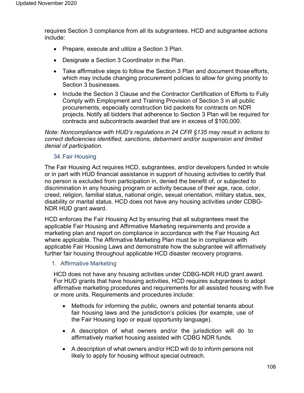requires Section 3 compliance from all its subgrantees. HCD and subgrantee actions include:

- Prepare, execute and utilize a Section 3 Plan.
- Designate a Section 3 Coordinator in the Plan.
- Take affirmative steps to follow the Section 3 Plan and document those efforts, which may include changing procurement policies to allow for giving priority to Section 3 businesses.
- Include the Section 3 Clause and the Contractor Certification of Efforts to Fully Comply with Employment and Training Provision of Section 3 in all public procurements, especially construction bid packets for contracts on NDR projects. Notify all bidders that adherence to Section 3 Plan will be required for contracts and subcontracts awarded that are in excess of \$100,000.

*Note: Noncompliance with HUD's regulations in 24 CFR §135 may result in actions to correct deficiencies identified, sanctions, debarment and/or suspension and limited denial of participation.*

# 34.Fair Housing

The Fair Housing Act requires HCD, subgrantees, and/or developers funded in whole or in part with HUD financial assistance in support of housing activities to certify that no person is excluded from participation in, denied the benefit of, or subjected to discrimination in any housing program or activity because of their age, race, color, creed, religion, familial status, national origin, sexual orientation, military status, sex, disability or marital status. HCD does not have any housing activities under CDBG-NDR HUD grant award.

HCD enforces the Fair Housing Act by ensuring that all subgrantees meet the applicable Fair Housing and Affirmative Marketing requirements and provide a marketing plan and report on compliance in accordance with the Fair Housing Act where applicable. The Affirmative Marketing Plan must be in compliance with applicable Fair Housing Laws and demonstrate how the subgrantee will affirmatively further fair housing throughout applicable HCD disaster recovery programs.

# 1. Affirmative Marketing

HCD does not have any housing activities under CDBG-NDR HUD grant award. For HUD grants that have housing activities, HCD requires subgrantees to adopt affirmative marketing procedures and requirements for all assisted housing with five or more units. Requirements and procedures include:

- Methods for informing the public, owners and potential tenants about fair housing laws and the jurisdiction's policies (for example, use of the Fair Housing logo or equal opportunity language).
- A description of what owners and/or the jurisdiction will do to affirmatively market housing assisted with CDBG NDR funds.
- A description of what owners and/or HCD will do to inform persons not likely to apply for housing without special outreach.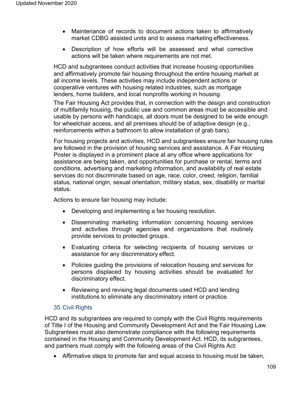- Maintenance of records to document actions taken to affirmatively market CDBG assisted units and to assess marketing effectiveness.
- Description of how efforts will be assessed and what corrective actions will be taken where requirements are not met.

HCD and subgrantees conduct activities that increase housing opportunities and affirmatively promote fair housing throughout the entire housing market at all income levels. These activities may include independent actions or cooperative ventures with housing related industries, such as mortgage lenders, home builders, and local nonprofits working in housing.

The Fair Housing Act provides that, in connection with the design and construction of multifamily housing, the public use and common areas must be accessible and usable by persons with handicaps, all doors must be designed to be wide enough for wheelchair access, and all premises should be of adaptive design (e.g., reinforcements within a bathroom to allow installation of grab bars).

For housing projects and activities, HCD and subgrantees ensure fair housing rules are followed in the provision of housing services and assistance. A Fair Housing Poster is displayed in a prominent place at any office where applications for assistance are being taken, and opportunities for purchase or rental, terms and conditions, advertising and marketing information, and availability of real estate services do not discriminate based on age, race, color, creed, religion, familial status, national origin, sexual orientation, military status, sex, disability or marital status.

Actions to ensure fair housing may include:

- Developing and implementing a fair housing resolution.
- Disseminating marketing information concerning housing services and activities through agencies and organizations that routinely provide services to protected groups.
- Evaluating criteria for selecting recipients of housing services or assistance for any discriminatory effect.
- Policies guiding the provisions of relocation housing and services for persons displaced by housing activities should be evaluated for discriminatory effect.
- Reviewing and revising legal documents used HCD and lending institutions to eliminate any discriminatory intent or practice.

## 35.Civil Rights

HCD and its subgrantees are required to comply with the Civil Rights requirements of Title I of the Housing and Community Development Act and the Fair Housing Law. Subgrantees must also demonstrate compliance with the following requirements contained in the Housing and Community Development Act. HCD, its subgrantees, and partners must comply with the following areas of the Civil Rights Act:

• Affirmative steps to promote fair and equal access to housing must be taken,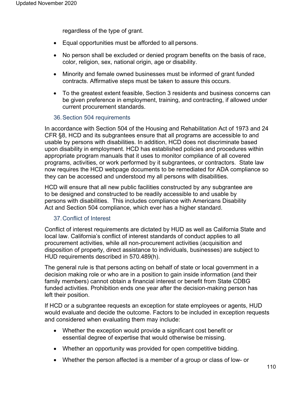regardless of the type of grant.

- Equal opportunities must be afforded to all persons.
- No person shall be excluded or denied program benefits on the basis of race, color, religion, sex, national origin, age or disability.
- Minority and female owned businesses must be informed of grant funded contracts. Affirmative steps must be taken to assure this occurs.
- To the greatest extent feasible, Section 3 residents and business concerns can be given preference in employment, training, and contracting, if allowed under current procurement standards.

## 36.Section 504 requirements

In accordance with Section 504 of the Housing and Rehabilitation Act of 1973 and 24 CFR §8, HCD and its subgrantees ensure that all programs are accessible to and usable by persons with disabilities. In addition, HCD does not discriminate based upon disability in employment. HCD has established policies and procedures within appropriate program manuals that it uses to monitor compliance of all covered programs, activities, or work performed by it subgrantees, or contractors. State law now requires the HCD webpage documents to be remediated for ADA compliance so they can be accessed and understood my all persons with disabilities.

HCD will ensure that all new public facilities constructed by any subgrantee are to be designed and constructed to be readily accessible to and usable by persons with disabilities. This includes compliance with Americans Disability Act and Section 504 compliance, which ever has a higher standard.

## 37.Conflict of Interest

Conflict of interest requirements are dictated by HUD as well as California State and local law. California's conflict of interest standards of conduct applies to all procurement activities, while all non-procurement activities (acquisition and disposition of property, direct assistance to individuals, businesses) are subject to HUD requirements described in 570.489(h).

The general rule is that persons acting on behalf of state or local government in a decision making role or who are in a position to gain inside information (and their family members) cannot obtain a financial interest or benefit from State CDBG funded activities. Prohibition ends one year after the decision-making person has left their position.

If HCD or a subgrantee requests an exception for state employees or agents, HUD would evaluate and decide the outcome. Factors to be included in exception requests and considered when evaluating them may include:

- Whether the exception would provide a significant cost benefit or essential degree of expertise that would otherwise be missing.
- Whether an opportunity was provided for open competitive bidding.
- Whether the person affected is a member of a group or class of low- or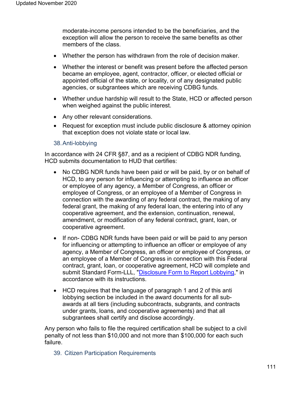moderate-income persons intended to be the beneficiaries, and the exception will allow the person to receive the same benefits as other members of the class.

- Whether the person has withdrawn from the role of decision maker.
- Whether the interest or benefit was present before the affected person became an employee, agent, contractor, officer, or elected official or appointed official of the state, or locality, or of any designated public agencies, or subgrantees which are receiving CDBG funds.
- Whether undue hardship will result to the State, HCD or affected person when weighed against the public interest.
- Any other relevant considerations.
- Request for exception must include public disclosure & attorney opinion that exception does not violate state or local law.

#### 38.Anti-lobbying

In accordance with 24 CFR §87, and as a recipient of CDBG NDR funding, HCD submits documentation to HUD that certifies:

- No CDBG NDR funds have been paid or will be paid, by or on behalf of HCD, to any person for influencing or attempting to influence an officer or employee of any agency, a Member of Congress, an officer or employee of Congress, or an employee of a Member of Congress in connection with the awarding of any federal contract, the making of any federal grant, the making of any federal loan, the entering into of any cooperative agreement, and the extension, continuation, renewal, amendment, or modification of any federal contract, grant, loan, or cooperative agreement.
- If non- CDBG NDR funds have been paid or will be paid to any person for influencing or attempting to influence an officer or employee of any agency, a Member of Congress, an officer or employee of Congress, or an employee of a Member of Congress in connection with this Federal contract, grant, loan, or cooperative agreement, HCD will complete and submit Standard Form-LLL, ["Disclosure Form to Report Lobbying,](https://www.gsa.gov/forms-library/disclosure-lobbying-activities)" in accordance with its instructions.
- HCD requires that the language of paragraph 1 and 2 of this anti lobbying section be included in the award documents for all subawards at all tiers (including subcontracts, subgrants, and contracts under grants, loans, and cooperative agreements) and that all subgrantees shall certify and disclose accordingly.

Any person who fails to file the required certification shall be subject to a civil penalty of not less than \$10,000 and not more than \$100,000 for each such failure.

39. Citizen Participation Requirements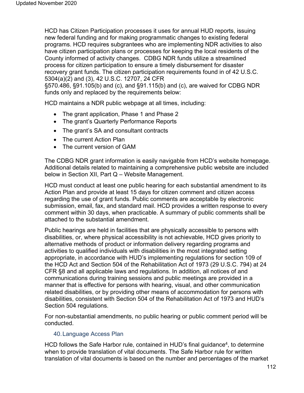HCD has Citizen Participation processes it uses for annual HUD reports, issuing new federal funding and for making programmatic changes to existing federal programs. HCD requires subgrantees who are implementing NDR activities to also have citizen participation plans or processes for keeping the local residents of the County informed of activity changes. CDBG NDR funds utilize a streamlined process for citizen participation to ensure a timely disbursement for disaster recovery grant funds. The citizen participation requirements found in of 42 U.S.C. 5304(a)(2) and (3), 42 U.S.C. 12707, 24 CFR

§570.486, §91.105(b) and (c), and §91.115(b) and (c), are waived for CDBG NDR funds only and replaced by the requirements below:

HCD maintains a NDR public webpage at all times, including:

- The grant application, Phase 1 and Phase 2
- The grant's Quarterly Performance Reports
- The grant's SA and consultant contracts
- The current Action Plan
- The current version of GAM

The CDBG NDR grant information is easily navigable from HCD's website homepage. Additional details related to maintaining a comprehensive public website are included below in Section XII, Part Q – Website Management.

HCD must conduct at least one public hearing for each substantial amendment to its Action Plan and provide at least 15 days for citizen comment and citizen access regarding the use of grant funds. Public comments are acceptable by electronic submission, email, fax, and standard mail. HCD provides a written response to every comment within 30 days, when practicable. A summary of public comments shall be attached to the substantial amendment.

Public hearings are held in facilities that are physically accessible to persons with disabilities, or, where physical accessibility is not achievable, HCD gives priority to alternative methods of product or information delivery regarding programs and activities to qualified individuals with disabilities in the most integrated setting appropriate, in accordance with HUD's implementing regulations for section 109 of the HCD Act and Section 504 of the Rehabilitation Act of 1973 (29 U.S.C. 794) at 24 CFR §8 and all applicable laws and regulations. In addition, all notices of and communications during training sessions and public meetings are provided in a manner that is effective for persons with hearing, visual, and other communication related disabilities, or by providing other means of accommodation for persons with disabilities, consistent with Section 504 of the Rehabilitation Act of 1973 and HUD's Section 504 regulations.

For non-substantial amendments, no public hearing or public comment period will be conducted.

## 40.Language Access Plan

HCD follows the Safe Harbor rule, contained in HUD's final guidance<sup>4</sup>, to determine when to provide translation of vital documents. The Safe Harbor rule for written translation of vital documents is based on the number and percentages of the market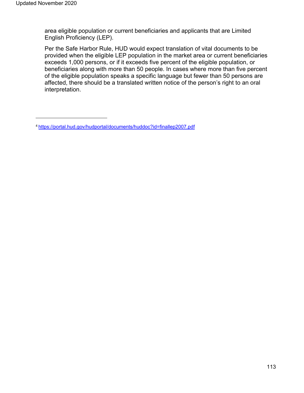area eligible population or current beneficiaries and applicants that are Limited English Proficiency (LEP).

Per the Safe Harbor Rule, HUD would expect translation of vital documents to be provided when the eligible LEP population in the market area or current beneficiaries exceeds 1,000 persons, or if it exceeds five percent of the eligible population, or beneficiaries along with more than 50 people. In cases where more than five percent of the eligible population speaks a specific language but fewer than 50 persons are affected, there should be a translated written notice of the person's right to an oral interpretation.

[<sup>4</sup> https://portal.hud.gov/hudportal/documents/huddoc?id=finallep2007.pdf](https://portal.hud.gov/hudportal/documents/huddoc?id=finallep2007.pdf)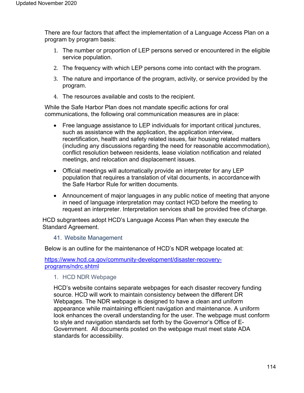There are four factors that affect the implementation of a Language Access Plan on a program by program basis:

- 1. The number or proportion of LEP persons served or encountered in the eligible service population.
- 2. The frequency with which LEP persons come into contact with the program.
- 3. The nature and importance of the program, activity, or service provided by the program.
- 4. The resources available and costs to the recipient.

While the Safe Harbor Plan does not mandate specific actions for oral communications, the following oral communication measures are in place:

- Free language assistance to LEP individuals for important critical junctures, such as assistance with the application, the application interview, recertification, health and safety related issues, fair housing related matters (including any discussions regarding the need for reasonable accommodation), conflict resolution between residents, lease violation notification and related meetings, and relocation and displacement issues.
- Official meetings will automatically provide an interpreter for any LEP population that requires a translation of vital documents, in accordancewith the Safe Harbor Rule for written documents.
- Announcement of major languages in any public notice of meeting that anyone in need of language interpretation may contact HCD before the meeting to request an interpreter. Interpretation services shall be provided free of charge.

HCD subgrantees adopt HCD's Language Access Plan when they execute the Standard Agreement.

## 41. Website Management

Below is an outline for the maintenance of HCD's NDR webpage located at:

[https://www.hcd.ca.gov/community-development/disaster-recovery](https://www.hcd.ca.gov/community-development/disaster-recovery-programs/ndrc.shtml)[programs/ndrc.shtml](https://www.hcd.ca.gov/community-development/disaster-recovery-programs/ndrc.shtml)

## 1. HCD NDR Webpage

HCD's website contains separate webpages for each disaster recovery funding source. HCD will work to maintain consistency between the different DR Webpages. The NDR webpage is designed to have a clean and uniform appearance while maintaining efficient navigation and maintenance. A uniform look enhances the overall understanding for the user. The webpage must conform to style and navigation standards set forth by the Governor's Office of E-Government. All documents posted on the webpage must meet state ADA standards for accessibility.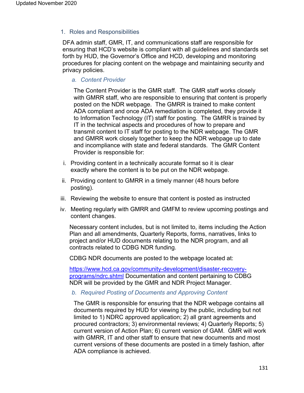1. Roles and Responsibilities

DFA admin staff, GMR, IT, and communications staff are responsible for ensuring that HCD's website is compliant with all guidelines and standards set forth by HUD, the Governor's Office and HCD, developing and monitoring procedures for placing content on the webpage and maintaining security and privacy policies.

*a. Content Provider*

The Content Provider is the GMR staff. The GMR staff works closely with GMRR staff, who are responsible to ensuring that content is properly posted on the NDR webpage. The GMRR is trained to make content ADA compliant and once ADA remediation is completed, they provide it to Information Technology (IT) staff for posting. The GMRR is trained by IT in the technical aspects and procedures of how to prepare and transmit content to IT staff for posting to the NDR webpage. The GMR and GMRR work closely together to keep the NDR webpage up to date and incompliance with state and federal standards. The GMR Content Provider is responsible for:

- i. Providing content in a technically accurate format so it is clear exactly where the content is to be put on the NDR webpage.
- ii. Providing content to GMRR in a timely manner (48 hours before posting).
- iii. Reviewing the website to ensure that content is posted as instructed
- iv. Meeting regularly with GMRR and GMFM to review upcoming postings and content changes.

Necessary content includes, but is not limited to, items including the Action Plan and all amendments, Quarterly Reports, forms, narratives, links to project and/or HUD documents relating to the NDR program, and all contracts related to CDBG NDR funding.

CDBG NDR documents are posted to the webpage located at:

[https://www.hcd.ca.gov/community-development/disaster-recovery](https://www.hcd.ca.gov/community-development/disaster-recovery-programs/ndrc.shtml)[programs/ndrc.shtml](https://www.hcd.ca.gov/community-development/disaster-recovery-programs/ndrc.shtml) Documentation and content pertaining to CDBG NDR will be provided by the GMR and NDR Project Manager.

#### *b. Required Posting of Documents and Approving Content*

The GMR is responsible for ensuring that the NDR webpage contains all documents required by HUD for viewing by the public, including but not limited to 1) NDRC approved application; 2) all grant agreements and procured contractors; 3) environmental reviews; 4) Quarterly Reports; 5) current version of Action Plan; 6) current version of GAM. GMR will work with GMRR, IT and other staff to ensure that new documents and most current versions of these documents are posted in a timely fashion, after ADA compliance is achieved.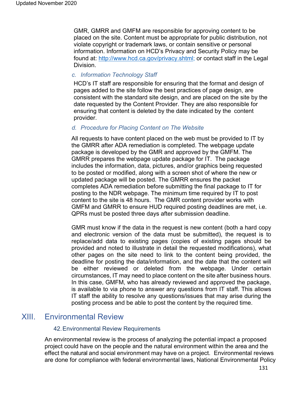GMR, GMRR and GMFM are responsible for approving content to be placed on the site. Content must be appropriate for public distribution, not violate copyright or trademark laws, or contain sensitive or personal information. Information on HCD's Privacy and Security Policy may be found at: [http://www.hcd.ca.gov/privacy.shtml; o](http://www.hcd.ca.gov/privacy.shtml%3B)r contact staff in the Legal Division.

#### *c. Information Technology Staff*

HCD's IT staff are responsible for ensuring that the format and design of pages added to the site follow the best practices of page design, are consistent with the standard site design, and are placed on the site by the date requested by the Content Provider. They are also responsible for ensuring that content is deleted by the date indicated by the content provider.

#### *d. Procedure for Placing Content on The Website*

All requests to have content placed on the web must be provided to IT by the GMRR after ADA remediation is completed. The webpage update package is developed by the GMR and approved by the GMFM. The GMRR prepares the webpage update package for IT. The package includes the information, data, pictures, and/or graphics being requested to be posted or modified, along with a screen shot of where the new or updated package will be posted. The GMRR ensures the packet completes ADA remediation before submitting the final package to IT for posting to the NDR webpage. The minimum time required by IT to post content to the site is 48 hours. The GMR content provider works with GMFM and GMRR to ensure HUD required posting deadlines are met, i.e. QPRs must be posted three days after submission deadline.

GMR must know if the data in the request is new content (both a hard copy and electronic version of the data must be submitted), the request is to replace/add data to existing pages (copies of existing pages should be provided and noted to illustrate in detail the requested modifications), what other pages on the site need to link to the content being provided, the deadline for posting the data/information, and the date that the content will be either reviewed or deleted from the webpage. Under certain circumstances, IT may need to place content on the site after business hours. In this case, GMFM, who has already reviewed and approved the package, is available to via phone to answer any questions from IT staff. This allows IT staff the ability to resolve any questions/issues that may arise during the posting process and be able to post the content by the required time.

## XIII. Environmental Review

#### 42.Environmental Review Requirements

An environmental review is the process of analyzing the potential impact a proposed project could have on the people and the natural environment within the area and the effect the natural and social environment may have on a project. Environmental reviews are done for compliance with federal environmental laws, National Environmental Policy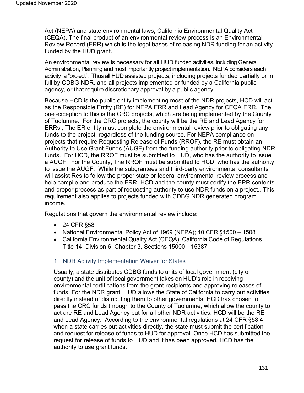Act (NEPA) and state environmental laws, California Environmental Quality Act (CEQA). The final product of an environmental review process is an Environmental Review Record (ERR) which is the legal bases of releasing NDR funding for an activity funded by the HUD grant.

An environmental review is necessary for all HUD funded activities, including General Administration, Planning and most importantly project implementation. NEPA considers each activity a "project". Thus all HUD assisted projects, including projects funded partially or in full by CDBG NDR, and all projects implemented or funded by a California public agency, or that require discretionary approval by a public agency.

Because HCD is the public entity implementing most of the NDR projects, HCD will act as the Responsible Entity (RE) for NEPA ERR and Lead Agency for CEQA ERR. The one exception to this is the CRC projects, which are being implemented by the County of Tuolumne. For the CRC projects, the county will be the RE and Lead Agency for ERRs , The ER entity must complete the environmental review prior to obligating any funds to the project, regardless of the funding source. For NEPA compliance on projects that require Requesting Release of Funds (RROF), the RE must obtain an Authority to Use Grant Funds (AUGF) from the funding authority prior to obligating NDR funds. For HCD, the RROF must be submitted to HUD, who has the authority to issue a AUGF. For the County, The RROF must be submitted to HCD, who has the authority to issue the AUGF. While the subgrantees and third-party environmental consultants will assist Res to follow the proper state or federal environmental review process and help compile and produce the ERR, HCD and the county must certify the ERR contents and proper process as part of requesting authority to use NDR funds on a project.. This requirement also applies to projects funded with CDBG NDR generated program income.

Regulations that govern the environmental review include:

- 24 CFR §58
- National Environmental Policy Act of 1969 (NEPA); 40 CFR §1500 1508
- California Environmental Quality Act (CEQA); California Code of Regulations, Title 14, Division 6, Chapter 3, Sections 15000 – 15387
- 1. NDR Activity Implementation Waiver for States

Usually, a state distributes CDBG funds to units of local government (city or county) and the unit of local government takes on HUD's role in receiving environmental certifications from the grant recipients and approving releases of funds. For the NDR grant, HUD allows the State of California to carry out activities directly instead of distributing them to other governments. HCD has chosen to pass the CRC funds through to the County of Tuolumne, which allow the county to act are RE and Lead Agency but for all other NDR activities, HCD will be the RE and Lead Agency. According to the environmental regulations at 24 CFR §58.4, when a state carries out activities directly, the state must submit the certification and request for release of funds to HUD for approval. Once HCD has submitted the request for release of funds to HUD and it has been approved, HCD has the authority to use grant funds.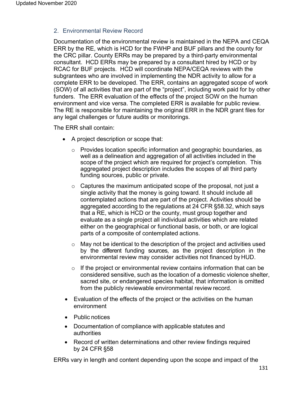## 2. Environmental Review Record

Documentation of the environmental review is maintained in the NEPA and CEQA ERR by the RE, which is HCD for the FWHP and BUF pillars and the county for the CRC pillar. County ERRs may be prepared by a third-party environmental consultant. HCD ERRs may be prepared by a consultant hired by HCD or by RCAC for BUF projects. HCD will coordinate NEPA/CEQA reviews with the subgrantees who are involved in implementing the NDR activity to allow for a complete ERR to be developed. The ERR, contains an aggregated scope of work (SOW) of all activities that are part of the "project", including work paid for by other funders. The ERR evaluation of the effects of the project SOW on the human environment and vice versa. The completed ERR is available for public review. The RE is responsible for maintaining the original ERR in the NDR grant files for any legal challenges or future audits or monitorings.

The ERR shall contain:

- A project description or scope that:
	- $\circ$  Provides location specific information and geographic boundaries, as well as a delineation and aggregation of all activities included in the scope of the project which are required for project's completion. This aggregated project description includes the scopes of all third party funding sources, public or private.
	- $\circ$  Captures the maximum anticipated scope of the proposal, not just a single activity that the money is going toward. It should include all contemplated actions that are part of the project. Activities should be aggregated according to the regulations at 24 CFR §58.32, which says that a RE, which is HCD or the county, must group together and evaluate as a single project all individual activities which are related either on the geographical or functional basis, or both, or are logical parts of a composite of contemplated actions.
	- $\circ$  May not be identical to the description of the project and activities used by the different funding sources, as the project description in the environmental review may consider activities not financed by HUD.
	- $\circ$  If the project or environmental review contains information that can be considered sensitive, such as the location of a domestic violence shelter, sacred site, or endangered species habitat, that information is omitted from the publicly reviewable environmental review record.
- Evaluation of the effects of the project or the activities on the human environment
- Public notices
- Documentation of compliance with applicable statutes and authorities
- Record of written determinations and other review findings required by 24 CFR §58

ERRs vary in length and content depending upon the scope and impact of the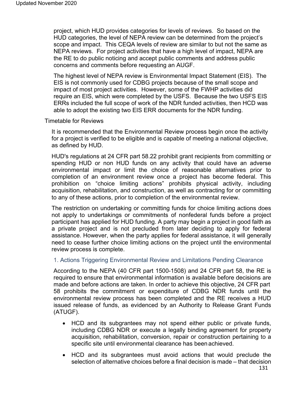project, which HUD provides categories for levels of reviews. So based on the HUD categories, the level of NEPA review can be determined from the project's scope and impact. This CEQA levels of review are similar to but not the same as NEPA reviews. For project activities that have a high level of impact, NEPA are the RE to do public noticing and accept public comments and address public concerns and comments before requesting an AUGF.

The highest level of NEPA review is Environmental Impact Statement (EIS). The EIS is not commonly used for CDBG projects because of the small scope and impact of most project activities. However, some of the FWHP activities did require an EIS, which were completed by the USFS. Because the two USFS EIS ERRs included the full scope of work of the NDR funded activities, then HCD was able to adopt the existing two EIS ERR documents for the NDR funding.

#### Timetable for Reviews

It is recommended that the Environmental Review process begin once the activity for a project is verified to be eligible and is capable of meeting a national objective, as defined by HUD.

HUD's regulations at 24 CFR part 58.22 prohibit grant recipients from committing or spending HUD or non HUD funds on any activity that could have an adverse environmental impact or limit the choice of reasonable alternatives prior to completion of an environment review once a project has become federal. This prohibition on "choice limiting actions" prohibits physical activity, including acquisition, rehabilitation, and construction, as well as contracting for or committing to any of these actions, prior to completion of the environmental review.

The restriction on undertaking or committing funds for choice limiting actions does not apply to undertakings or commitments of nonfederal funds before a project participant has applied for HUD funding. A party may begin a project in good faith as a private project and is not precluded from later deciding to apply for federal assistance. However, when the party applies for federal assistance, it will generally need to cease further choice limiting actions on the project until the environmental review process is complete.

#### 1. Actions Triggering Environmental Review and Limitations Pending Clearance

According to the NEPA (40 CFR part 1500-1508) and 24 CFR part 58, the RE is required to ensure that environmental information is available before decisions are made and before actions are taken. In order to achieve this objective, 24 CFR part 58 prohibits the commitment or expenditure of CDBG NDR funds until the environmental review process has been completed and the RE receives a HUD issued release of funds, as evidenced by an Authority to Release Grant Funds (ATUGF).

- HCD and its subgrantees may not spend either public or private funds, including CDBG NDR or execute a legally binding agreement for property acquisition, rehabilitation, conversion, repair or construction pertaining to a specific site until environmental clearance has been achieved.
- HCD and its subgrantees must avoid actions that would preclude the selection of alternative choices before a final decision is made – that decision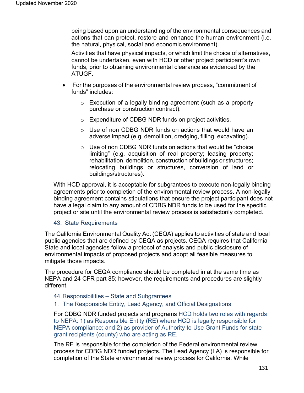being based upon an understanding of the environmental consequences and actions that can protect, restore and enhance the human environment (i.e. the natural, physical, social and economic environment).

Activities that have physical impacts, or which limit the choice of alternatives, cannot be undertaken, even with HCD or other project participant's own funds, prior to obtaining environmental clearance as evidenced by the ATUGF.

- For the purposes of the environmental review process, "commitment of funds" includes:
	- o Execution of a legally binding agreement (such as a property purchase or construction contract).
	- o Expenditure of CDBG NDR funds on project activities.
	- $\circ$  Use of non CDBG NDR funds on actions that would have an adverse impact (e.g. demolition, dredging, filling, excavating).
	- o Use of non CDBG NDR funds on actions that would be "choice limiting" (e.g. acquisition of real property; leasing property; rehabilitation, demolition, construction of buildings or structures; relocating buildings or structures, conversion of land or buildings/structures).

With HCD approval, it is acceptable for subgrantees to execute non-legally binding agreements prior to completion of the environmental review process. A non-legally binding agreement contains stipulations that ensure the project participant does not have a legal claim to any amount of CDBG NDR funds to be used for the specific project or site until the environmental review process is satisfactorily completed.

#### 43. State Requirements

The California Environmental Quality Act (CEQA) applies to activities of state and local public agencies that are defined by CEQA as projects. CEQA requires that California State and local agencies follow a protocol of analysis and public disclosure of environmental impacts of proposed projects and adopt all feasible measures to mitigate those impacts.

The procedure for CEQA compliance should be completed in at the same time as NEPA and 24 CFR part 85; however, the requirements and procedures are slightly different.

- 44.Responsibilities State and Subgrantees
- 1. The Responsible Entity, Lead Agency, and Official Designations

For CDBG NDR funded projects and programs HCD holds two roles with regards to NEPA: 1) as Responsible Entity (RE) where HCD is legally responsible for NEPA compliance; and 2) as provider of Authority to Use Grant Funds for state grant recipients (county) who are acting as RE.

The RE is responsible for the completion of the Federal environmental review process for CDBG NDR funded projects. The Lead Agency (LA) is responsible for completion of the State environmental review process for California. While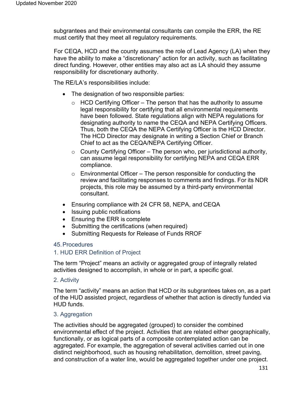subgrantees and their environmental consultants can compile the ERR, the RE must certify that they meet all regulatory requirements.

For CEQA, HCD and the county assumes the role of Lead Agency (LA) when they have the ability to make a "discretionary" action for an activity, such as facilitating direct funding. However, other entities may also act as LA should they assume responsibility for discretionary authority.

The RE/LA's responsibilities include:

- The designation of two responsible parties:
	- $\circ$  HCD Certifying Officer The person that has the authority to assume legal responsibility for certifying that all environmental requirements have been followed. State regulations align with NEPA regulations for designating authority to name the CEQA and NEPA Certifying Officers. Thus, both the CEQA the NEPA Certifying Officer is the HCD Director. The HCD Director may designate in writing a Section Chief or Branch Chief to act as the CEQA/NEPA Certifying Officer.
	- $\circ$  County Certifying Officer The person who, per jurisdictional authority, can assume legal responsibility for certifying NEPA and CEQA ERR compliance.
	- $\circ$  Environmental Officer The person responsible for conducting the review and facilitating responses to comments and findings. For its NDR projects, this role may be assumed by a third-party environmental consultant.
- Ensuring compliance with 24 CFR 58, NEPA, and CEQA
- Issuing public notifications
- Ensuring the ERR is complete
- Submitting the certifications (when required)
- Submitting Requests for Release of Funds RROF

#### 45.Procedures

#### 1. HUD ERR Definition of Project

The term "Project" means an activity or aggregated group of integrally related activities designed to accomplish, in whole or in part, a specific goal.

#### 2. Activity

The term "activity" means an action that HCD or its subgrantees takes on, as a part of the HUD assisted project, regardless of whether that action is directly funded via HUD funds.

#### 3. Aggregation

The activities should be aggregated (grouped) to consider the combined environmental effect of the project. Activities that are related either geographically, functionally, or as logical parts of a composite contemplated action can be aggregated. For example, the aggregation of several activities carried out in one distinct neighborhood, such as housing rehabilitation, demolition, street paving, and construction of a water line, would be aggregated together under one project.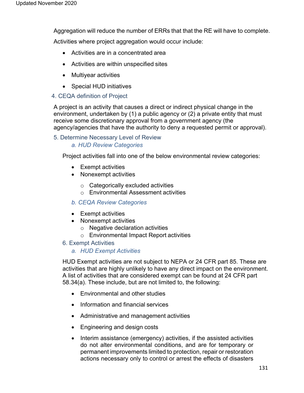Aggregation will reduce the number of ERRs that that the RE will have to complete.

Activities where project aggregation would occur include:

- Activities are in a concentrated area
- Activities are within unspecified sites
- Multiyear activities
- Special HUD initiatives

## 4. CEQA definition of Project

A project is an activity that causes a direct or indirect physical change in the environment, undertaken by (1) a public agency or (2) a private entity that must receive some discretionary approval from a government agency (the agency/agencies that have the authority to deny a requested permit or approval).

## 5. Determine Necessary Level of Review

## *a. HUD Review Categories*

Project activities fall into one of the below environmental review categories:

- Exempt activities
- Nonexempt activities
	- $\circ$  Categorically excluded activities
	- o Environmental Assessment activities

## *b. CEQA Review Categories*

- Exempt activities
- Nonexempt activities
	- o Negative declaration activities
	- o Environmental Impact Report activities

## 6. Exempt Activities

## *a. HUD Exempt Activities*

HUD Exempt activities are not subject to NEPA or 24 CFR part 85. These are activities that are highly unlikely to have any direct impact on the environment. A list of activities that are considered exempt can be found at 24 CFR part 58.34(a). These include, but are not limited to, the following:

- Environmental and other studies
- Information and financial services
- Administrative and management activities
- Engineering and design costs
- Interim assistance (emergency) activities, if the assisted activities do not alter environmental conditions, and are for temporary or permanent improvements limited to protection, repair or restoration actions necessary only to control or arrest the effects of disasters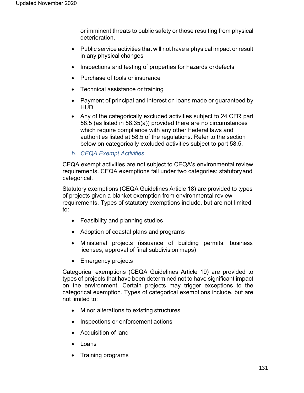or imminent threats to public safety or those resulting from physical deterioration.

- Public service activities that will not have a physical impact or result in any physical changes
- Inspections and testing of properties for hazards ordefects
- Purchase of tools or insurance
- Technical assistance or training
- Payment of principal and interest on loans made or guaranteed by HUD
- Any of the categorically excluded activities subject to 24 CFR part 58.5 (as listed in 58.35(a)) provided there are no circumstances which require compliance with any other Federal laws and authorities listed at 58.5 of the regulations. Refer to the section below on categorically excluded activities subject to part 58.5.
- *b. CEQA Exempt Activities*

CEQA exempt activities are not subject to CEQA's environmental review requirements. CEQA exemptions fall under two categories: statutoryand categorical.

Statutory exemptions (CEQA Guidelines Article 18) are provided to types of projects given a blanket exemption from environmental review requirements. Types of statutory exemptions include, but are not limited to:

- Feasibility and planning studies
- Adoption of coastal plans and programs
- Ministerial projects (issuance of building permits, business licenses, approval of final subdivision maps)
- Emergency projects

Categorical exemptions (CEQA Guidelines Article 19) are provided to types of projects that have been determined not to have significant impact on the environment. Certain projects may trigger exceptions to the categorical exemption. Types of categorical exemptions include, but are not limited to:

- Minor alterations to existing structures
- Inspections or enforcement actions
- Acquisition of land
- Loans
- Training programs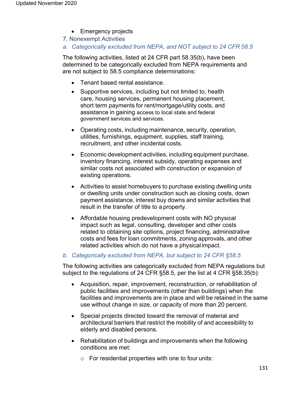- Emergency projects
- 7. Nonexempt Activities
- *a. Categorically excluded from NEPA, and NOT subject to 24 CFR 58.5*

The following activities, listed at 24 CFR part 58.35(b), have been determined to be categorically excluded from NEPA requirements and are not subject to 58.5 compliance determinations:

- Tenant based rental assistance.
- Supportive services, including but not limited to, health care, housing services, permanent housing placement, short term payments for rent/mortgage/utility costs, and assistance in gaining access to local state and federal government services and services.
- Operating costs, including maintenance, security, operation, utilities, furnishings, equipment, supplies, staff training, recruitment, and other incidental costs.
- Economic development activities, including equipment purchase, inventory financing, interest subsidy, operating expenses and similar costs not associated with construction or expansion of existing operations.
- Activities to assist homebuyers to purchase existing dwelling units or dwelling units under construction such as closing costs, down payment assistance, interest buy downs and similar activities that result in the transfer of title to a property.
- Affordable housing predevelopment costs with NO physical impact such as legal, consulting, developer and other costs related to obtaining site options, project financing, administrative costs and fees for loan commitments, zoning approvals, and other related activities which do not have a physical impact.

## *b. Categorically excluded from NEPA, but subject to 24 CFR §58.5*

The following activities are categorically excluded from NEPA regulations but subject to the regulations of 24 CFR §58.5, per the list at 4 CFR §58.35(b):

- Acquisition, repair, improvement, reconstruction, or rehabilitation of public facilities and improvements (other than buildings) when the facilities and improvements are in place and will be retained in the same use without change in size, or capacity of more than 20 percent.
- Special projects directed toward the removal of material and architectural barriers that restrict the mobility of and accessibility to elderly and disabled persons.
- Rehabilitation of buildings and improvements when the following conditions are met:
	- $\circ$  For residential properties with one to four units: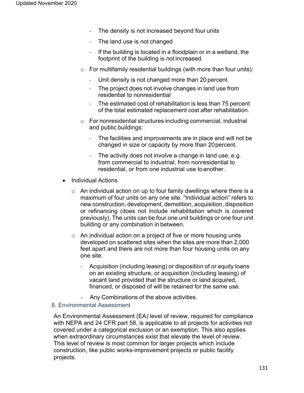- The density is not increased beyond four units
- The land use is not changed
- If the building is located in a floodplain or in a wetland, the footprint of the building is not increased.
- $\circ$  For multifamily residential buildings (with more than four units):
	- Unit density is not changed more than 20 percent
	- The project does not involve changes in land use from residential to nonresidential
	- The estimated cost of rehabilitation is less than 75 percent of the total estimated replacement cost after rehabilitation.
- o For nonresidential structures including commercial, industrial and public buildings:
	- The facilities and improvements are in place and will not be changed in size or capacity by more than 20percent.
	- The activity does not involve a change in land use, e.g. from commercial to industrial, from nonresidential to residential, or from one industrial use toanother.
- Individual Actions
	- $\circ$  An individual action on up to four family dwellings where there is a maximum of four units on any one site. "Individual action" refers to new construction, development, demolition, acquisition, disposition or refinancing (does not include rehabilitation which is covered previously). The units can be four one unit buildings or one four unit building or any combination in between.
	- $\circ$  An individual action on a project of five or more housing units developed on scattered sites when the sites are more than 2,000 feet apart and there are not more than four housing units on any one site.
		- Acquisition (including leasing) or disposition of or equity loans on an existing structure, or acquisition (including leasing) of vacant land provided that the structure or land acquired, financed, or disposed of will be retained for the same use.
		- Any Combinations of the above activities.

## 8. Environmental Assessment

An Environmental Assessment (EA) level of review, required for compliance with NEPA and 24 CFR part 58, is applicable to all projects for activities not covered under a categorical exclusion or an exemption. This also applies when extraordinary circumstances exist that elevate the level of review. This level of review is most common for larger projects which include construction, like public works-improvement projects or public facility projects.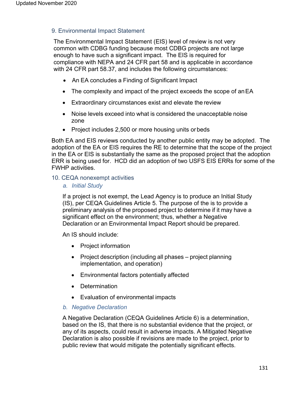## 9. Environmental Impact Statement

The Environmental Impact Statement (EIS) level of review is not very common with CDBG funding because most CDBG projects are not large enough to have such a significant impact. The EIS is required for compliance with NEPA and 24 CFR part 58 and is applicable in accordance with 24 CFR part 58.37, and includes the following circumstances:

- An EA concludes a Finding of Significant Impact
- The complexity and impact of the project exceeds the scope of an EA
- Extraordinary circumstances exist and elevate the review
- Noise levels exceed into what is considered the unacceptable noise zone
- Project includes 2,500 or more housing units or beds

Both EA and EIS reviews conducted by another public entity may be adopted. The adoption of the EA or EIS requires the RE to determine that the scope of the project in the EA or EIS is substantially the same as the proposed project that the adoption ERR is being used for. HCD did an adoption of two USFS EIS ERRs for some of the FWHP activities.

## 10. CEQA nonexempt activities

## *a. Initial Study*

If a project is not exempt, the Lead Agency is to produce an Initial Study (IS), per CEQA Guidelines Article 5. The purpose of the is to provide a preliminary analysis of the proposed project to determine if it may have a significant effect on the environment; thus, whether a Negative Declaration or an Environmental Impact Report should be prepared.

An IS should include:

- Project information
- Project description (including all phases project planning implementation, and operation)
- Environmental factors potentially affected
- Determination
- Evaluation of environmental impacts
- *b. Negative Declaration*

A Negative Declaration (CEQA Guidelines Article 6) is a determination, based on the IS, that there is no substantial evidence that the project, or any of its aspects, could result in adverse impacts. A Mitigated Negative Declaration is also possible if revisions are made to the project, prior to public review that would mitigate the potentially significant effects.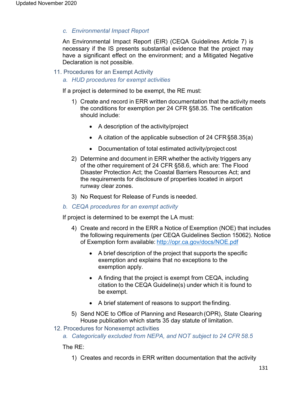*c. Environmental Impact Report*

An Environmental Impact Report (EIR) (CEQA Guidelines Article 7) is necessary if the IS presents substantial evidence that the project may have a significant effect on the environment; and a Mitigated Negative Declaration is not possible.

- 11. Procedures for an Exempt Activity
	- *a. HUD procedures for exempt activities*

If a project is determined to be exempt, the RE must:

- 1) Create and record in ERR written documentation that the activity meets the conditions for exemption per 24 CFR §58.35. The certification should include:
	- A description of the activity/project
	- A citation of the applicable subsection of 24 CFR§58.35(a)
	- Documentation of total estimated activity/project cost
- 2) Determine and document in ERR whether the activity triggers any of the other requirement of 24 CFR §58.6, which are: The Flood Disaster Protection Act; the Coastal Barriers Resources Act; and the requirements for disclosure of properties located in airport runway clear zones.
- 3) No Request for Release of Funds is needed.
- *b. CEQA procedures for an exempt activity*

If project is determined to be exempt the LA must:

- 4) Create and record in the ERR a Notice of Exemption (NOE) that includes the following requirements (per CEQA Guidelines Section 15062). Notice of Exemption form available: <http://opr.ca.gov/docs/NOE.pdf>
	- A brief description of the project that supports the specific exemption and explains that no exceptions to the exemption apply.
	- A finding that the project is exempt from CEQA, including citation to the CEQA Guideline(s) under which it is found to be exempt.
	- A brief statement of reasons to support the finding.
- 5) Send NOE to Office of Planning and Research (OPR), State Clearing House publication which starts 35 day statute of limitation.
- 12. Procedures for Nonexempt activities
	- *a. Categorically excluded from NEPA, and NOT subject to 24 CFR 58.5*

The RE:

1) Creates and records in ERR written documentation that the activity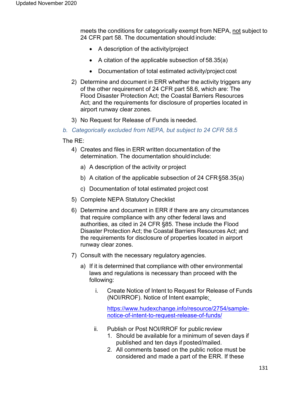meets the conditions for categorically exempt from NEPA, not subject to 24 CFR part 58. The documentation should include:

- A description of the activity/project
- A citation of the applicable subsection of 58.35(a)
- Documentation of total estimated activity/project cost
- 2) Determine and document in ERR whether the activity triggers any of the other requirement of 24 CFR part 58.6, which are: The Flood Disaster Protection Act; the Coastal Barriers Resources Act; and the requirements for disclosure of properties located in airport runway clear zones.
- 3) No Request for Release of Funds is needed.
- *b. Categorically excluded from NEPA, but subject to 24 CFR 58.5*

The RE:

- 4) Creates and files in ERR written documentation of the determination. The documentation shouldinclude:
	- a) A description of the activity or project
	- b) A citation of the applicable subsection of 24 CFR§58.35(a)
	- c) Documentation of total estimated project cost
- 5) Complete NEPA Statutory Checklist
- 6) Determine and document in ERR if there are any circumstances that require compliance with any other federal laws and authorities, as cited in 24 CFR §85. These include the Flood Disaster Protection Act; the Coastal Barriers Resources Act; and the requirements for disclosure of properties located in airport runway clear zones.
- 7) Consult with the necessary regulatory agencies.
	- a) If it is determined that compliance with other environmental laws and regulations is necessary than proceed with the following:
		- i. Create Notice of Intent to Request for Release of Funds (NOI/RROF). Notice of Intent example;

[https://www.hudexchange.info/resource/2754/sample](https://www.hudexchange.info/resource/2754/sample-notice-of-intent-to-request-release-of-funds/)[notice-of-intent-to-request-release-of-funds/](https://www.hudexchange.info/resource/2754/sample-notice-of-intent-to-request-release-of-funds/)

- ii. Publish or Post NOI/RROF for public review
	- 1. Should be available for a minimum of seven days if published and ten days if posted/mailed.
	- 2. All comments based on the public notice must be considered and made a part of the ERR. If these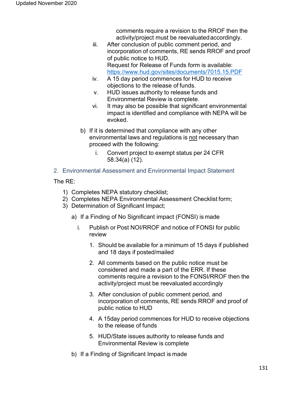comments require a revision to the RROF then the activity/project must be reevaluatedaccordingly.

- iii. After conclusion of public comment period, and incorporation of comments, RE sends RROF and proof of public notice to HUD. Request for Release of Funds form is available: https[://www.hud.gov/sites/documents/7015.15.PDF](http://www.hud.gov/sites/documents/7015.15.PDF)
- iv. A 15 day period commences for HUD to receive objections to the release of funds.
- v. HUD issues authority to release funds and Environmental Review is complete.
- vi. It may also be possible that significant environmental impact is identified and compliance with NEPA will be evoked.
- b) If it is determined that compliance with any other environmental laws and regulations is not necessary than proceed with the following:
	- i. Convert project to exempt status per 24 CFR 58.34(a) (12).
- 2. Environmental Assessment and Environmental Impact Statement

The RE:

- 1) Completes NEPA statutory checklist;
- 2) Completes NEPA Environmental Assessment Checklist form;
- 3) Determination of Significant Impact;
	- a) If a Finding of No Significant impact (FONSI) is made
		- i. Publish or Post NOI/RROF and notice of FONSI for public review
			- 1. Should be available for a minimum of 15 days if published and 18 days if posted/mailed
			- 2. All comments based on the public notice must be considered and made a part of the ERR. If these comments require a revision to the FONSI/RROF then the activity/project must be reevaluated accordingly
			- 3. After conclusion of public comment period, and incorporation of comments, RE sends RROF and proof of public notice to HUD
			- 4. A 15day period commences for HUD to receive objections to the release of funds
			- 5. HUD/State issues authority to release funds and Environmental Review is complete
	- b) If a Finding of Significant Impact is made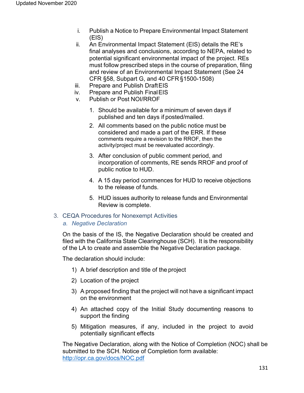- i. Publish a Notice to Prepare Environmental Impact Statement (EIS)
- ii. An Environmental Impact Statement (EIS) details the RE's final analyses and conclusions, according to NEPA, related to potential significant environmental impact of the project. REs must follow prescribed steps in the course of preparation, filing and review of an Environmental Impact Statement (See 24 CFR §58, Subpart G, and 40 CFR §1500-1508)
- iii. Prepare and Publish DraftEIS
- iv. Prepare and Publish FinalEIS
- v. Publish or Post NOI/RROF
	- 1. Should be available for a minimum of seven days if published and ten days if posted/mailed.
	- 2. All comments based on the public notice must be considered and made a part of the ERR. If these comments require a revision to the RROF, then the activity/project must be reevaluated accordingly.
	- 3. After conclusion of public comment period, and incorporation of comments, RE sends RROF and proof of public notice to HUD.
	- 4. A 15 day period commences for HUD to receive objections to the release of funds.
	- 5. HUD issues authority to release funds and Environmental Review is complete.
- 3. CEQA Procedures for Nonexempt Activities
	- *a. Negative Declaration*

On the basis of the IS, the Negative Declaration should be created and filed with the California State Clearinghouse (SCH). It is the responsibility of the LA to create and assemble the Negative Declaration package.

The declaration should include:

- 1) A brief description and title of the project
- 2) Location of the project
- 3) A proposed finding that the project will not have a significant impact on the environment
- 4) An attached copy of the Initial Study documenting reasons to support the finding
- 5) Mitigation measures, if any, included in the project to avoid potentially significant effects

The Negative Declaration, along with the Notice of Completion (NOC) shall be submitted to the SCH. Notice of Completion form available: <http://opr.ca.gov/docs/NOC.pdf>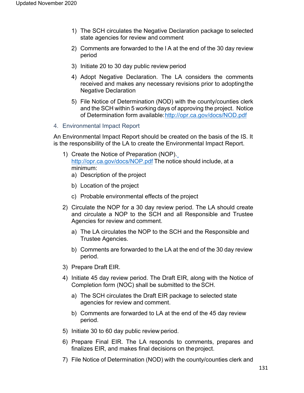- 1) The SCH circulates the Negative Declaration package to selected state agencies for review and comment
- 2) Comments are forwarded to the l A at the end of the 30 day review period
- 3) Initiate 20 to 30 day public review period
- 4) Adopt Negative Declaration. The LA considers the comments received and makes any necessary revisions prior to adoptingthe Negative Declaration
- 5) File Notice of Determination (NOD) with the county/counties clerk and the SCH within 5 working days of approving the project. Notice of Determination form available[:http://opr.ca.gov/docs/NOD.pdf](http://opr.ca.gov/docs/NOD.pdf)
- 4. Environmental Impact Report

An Environmental Impact Report should be created on the basis of the IS. It is the responsibility of the LA to create the Environmental Impact Report.

- 1) Create the Notice of Preparation (NOP)[.](http://opr.ca.gov/docs/NOP.pdf) <u><http://opr.ca.gov/docs/NOP.pdf></u> The notice should include, at a minimum:
	- a) Description of the project
	- b) Location of the project
	- c) Probable environmental effects of the project
- 2) Circulate the NOP for a 30 day review period. The LA should create and circulate a NOP to the SCH and all Responsible and Trustee Agencies for review and comment.
	- a) The LA circulates the NOP to the SCH and the Responsible and Trustee Agencies.
	- b) Comments are forwarded to the LA at the end of the 30 day review period.
- 3) Prepare Draft EIR.
- 4) Initiate 45 day review period. The Draft EIR, along with the Notice of Completion form (NOC) shall be submitted to theSCH.
	- a) The SCH circulates the Draft EIR package to selected state agencies for review and comment.
	- b) Comments are forwarded to LA at the end of the 45 day review period.
- 5) Initiate 30 to 60 day public review period.
- 6) Prepare Final EIR. The LA responds to comments, prepares and finalizes EIR, and makes final decisions on theproject.
- 7) File Notice of Determination (NOD) with the county/counties clerk and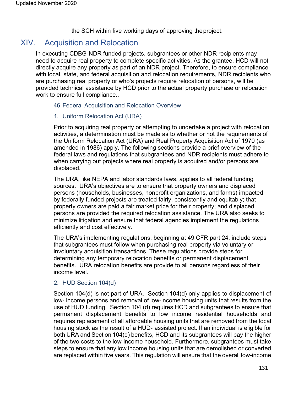the SCH within five working days of approving theproject.

## XIV. Acquisition and Relocation

In executing CDBG-NDR funded projects, subgrantees or other NDR recipients may need to acquire real property to complete specific activities. As the grantee, HCD will not directly acquire any property as part of an NDR project. Therefore, to ensure compliance with local, state, and federal acquisition and relocation requirements, NDR recipients who are purchasing real property or who's projects require relocation of persons, will be provided technical assistance by HCD prior to the actual property purchase or relocation work to ensure full compliance..

## 46.Federal Acquisition and Relocation Overview

## 1. Uniform Relocation Act (URA)

Prior to acquiring real property or attempting to undertake a project with relocation activities, a determination must be made as to whether or not the requirements of the Uniform Relocation Act (URA) and Real Property Acquisition Act of 1970 (as amended in 1986) apply. The following sections provide a brief overview of the federal laws and regulations that subgrantees and NDR recipients must adhere to when carrying out projects where real property is acquired and/or persons are displaced.

The URA, like NEPA and labor standards laws, applies to all federal funding sources. URA's objectives are to ensure that property owners and displaced persons (households, businesses, nonprofit organizations, and farms) impacted by federally funded projects are treated fairly, consistently and equitably; that property owners are paid a fair market price for their property; and displaced persons are provided the required relocation assistance. The URA also seeks to minimize litigation and ensure that federal agencies implement the regulations efficiently and cost effectively.

The URA's implementing regulations, beginning at 49 CFR part 24, include steps that subgrantees must follow when purchasing real property via voluntary or involuntary acquisition transactions. These regulations provide steps for determining any temporary relocation benefits or permanent displacement benefits. URA relocation benefits are provide to all persons regardless of their income level.

## 2. HUD Section 104(d)

Section 104(d) is not part of URA. Section 104(d) only applies to displacement of low- income persons and removal of low-income housing units that results from the use of HUD funding. Section 104 (d) requires HCD and subgrantees to ensure that permanent displacement benefits to low income residential households and requires replacement of all affordable housing units that are removed from the local housing stock as the result of a HUD- assisted project. If an individual is eligible for both URA and Section 104(d) benefits, HCD and its subgrantees will pay the higher of the two costs to the low-income household. Furthermore, subgrantees must take steps to ensure that any low income housing units that are demolished or converted are replaced within five years. This regulation will ensure that the overall low-income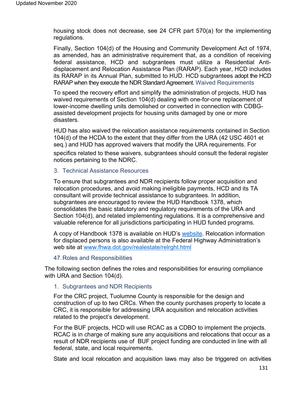housing stock does not decrease, see 24 CFR part 570(a) for the implementing regulations.

Finally, Section 104(d) of the Housing and Community Development Act of 1974, as amended, has an administrative requirement that, as a condition of receiving federal assistance, HCD and subgrantees must utilize a Residential Antidisplacement and Relocation Assistance Plan (RARAP). Each year, HCD includes its RARAP in its Annual Plan, submitted to HUD. HCD subgrantees adopt the HCD RARAP when they execute the NDR Standard Agreement. Waived Requirements

To speed the recovery effort and simplify the administration of projects, HUD has waived requirements of Section 104(d) dealing with one-for-one replacement of lower-income dwelling units demolished or converted in connection with CDBGassisted development projects for housing units damaged by one or more disasters.

HUD has also waived the relocation assistance requirements contained in Section 104(d) of the HCDA to the extent that they differ from the URA (42 USC 4601 et seq.) and HUD has approved waivers that modify the URA requirements. For specifics related to these waivers, subgrantees should consult the federal register notices pertaining to the NDRC.

## 3. Technical Assistance Resources

To ensure that subgrantees and NDR recipients follow proper acquisition and relocation procedures, and avoid making ineligible payments, HCD and its TA consultant will provide technical assistance to subgrantees. In addition, subgrantees are encouraged to review the HUD Handbook 1378, which consolidates the basic statutory and regulatory requirements of the URA and Section 104(d), and related implementing regulations. It is a comprehensive and valuable reference for all jurisdictions participating in HUD funded programs.

A copy of Handbook 1378 is available on HUD's website. Relocation information for displaced persons is also available at the Federal Highway Administration's web site at [www.fhwa.dot.gov/realestate/relrght.html](http://www.fhwa.dot.gov/realestate/relrght.html)

#### 47.Roles and Responsibilities

The following section defines the roles and responsibilities for ensuring compliance with URA and Section 104(d).

#### 1. Subgrantees and NDR Recipients

For the CRC project, Tuolumne County is responsible for the design and construction of up to two CRCs. When the county purchases property to locate a CRC, it is responsible for addressing URA acquisition and relocation activities related to the project's development.

For the BUF projects, HCD will use RCAC as a CDBO to implement the projects. RCAC is in charge of making sure any acquisitions and relocations that occur as a result of NDR recipients use of BUF project funding are conducted in line with all federal, state, and local requirements.

State and local relocation and acquisition laws may also be triggered on activities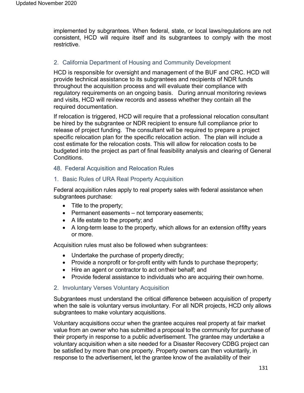implemented by subgrantees. When federal, state, or local laws/regulations are not consistent, HCD will require itself and its subgrantees to comply with the most restrictive.

## 2. California Department of Housing and Community Development

HCD is responsible for oversight and management of the BUF and CRC. HCD will provide technical assistance to its subgrantees and recipients of NDR funds throughout the acquisition process and will evaluate their compliance with regulatory requirements on an ongoing basis. During annual monitoring reviews and visits, HCD will review records and assess whether they contain all the required documentation.

If relocation is triggered, HCD will require that a professional relocation consultant be hired by the subgrantee or NDR recipient to ensure full compliance prior to release of project funding. The consultant will be required to prepare a project specific relocation plan for the specific relocation action. The plan will include a cost estimate for the relocation costs. This will allow for relocation costs to be budgeted into the project as part of final feasibility analysis and clearing of General Conditions.

## 48. Federal Acquisition and Relocation Rules

## 1. Basic Rules of URA Real Property Acquisition

Federal acquisition rules apply to real property sales with federal assistance when subgrantees purchase:

- Title to the property;
- Permanent easements not temporary easements;
- A life estate to the property; and
- A long-term lease to the property, which allows for an extension offifty years or more.

Acquisition rules must also be followed when subgrantees:

- Undertake the purchase of property directly;
- Provide a nonprofit or for-profit entity with funds to purchase theproperty;
- Hire an agent or contractor to act ontheir behalf; and
- Provide federal assistance to individuals who are acquiring their own home.

#### 2. Involuntary Verses Voluntary Acquisition

Subgrantees must understand the critical difference between acquisition of property when the sale is voluntary versus involuntary. For all NDR projects, HCD only allows subgrantees to make voluntary acquisitions.

Voluntary acquisitions occur when the grantee acquires real property at fair market value from an owner who has submitted a proposal to the community for purchase of their property in response to a public advertisement. The grantee may undertake a voluntary acquisition when a site needed for a Disaster Recovery CDBG project can be satisfied by more than one property. Property owners can then voluntarily, in response to the advertisement, let the grantee know of the availability of their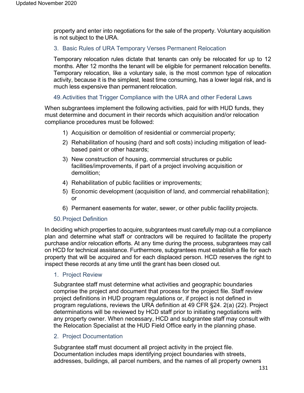property and enter into negotiations for the sale of the property. Voluntary acquisition is not subject to the URA.

## 3. Basic Rules of URA Temporary Verses Permanent Relocation

Temporary relocation rules dictate that tenants can only be relocated for up to 12 months. After 12 months the tenant will be eligible for permanent relocation benefits. Temporary relocation, like a voluntary sale, is the most common type of relocation activity, because it is the simplest, least time consuming, has a lower legal risk, and is much less expensive than permanent relocation.

## 49.Activities that Trigger Compliance with the URA and other Federal Laws

When subgrantees implement the following activities, paid for with HUD funds, they must determine and document in their records which acquisition and/or relocation compliance procedures must be followed:

- 1) Acquisition or demolition of residential or commercial property;
- 2) Rehabilitation of housing (hard and soft costs) including mitigation of leadbased paint or other hazards;
- 3) New construction of housing, commercial structures or public facilities/improvements, if part of a project involving acquisition or demolition;
- 4) Rehabilitation of public facilities or improvements;
- 5) Economic development (acquisition of land, and commercial rehabilitation); or
- 6) Permanent easements for water, sewer, or other public facility projects.

## 50.Project Definition

In deciding which properties to acquire, subgrantees must carefully map out a compliance plan and determine what staff or contractors will be required to facilitate the property purchase and/or relocation efforts. At any time during the process, subgrantees may call on HCD for technical assistance. Furthermore, subgrantees must establish a file for each property that will be acquired and for each displaced person. HCD reserves the right to inspect these records at any time until the grant has been closed out.

#### 1. Project Review

Subgrantee staff must determine what activities and geographic boundaries comprise the project and document that process for the project file. Staff review project definitions in HUD program regulations or, if project is not defined in program regulations, reviews the URA definition at 49 CFR §24. 2(a) (22). Project determinations will be reviewed by HCD staff prior to initiating negotiations with any property owner. When necessary, HCD and subgrantee staff may consult with the Relocation Specialist at the HUD Field Office early in the planning phase.

#### 2. Project Documentation

Subgrantee staff must document all project activity in the project file. Documentation includes maps identifying project boundaries with streets, addresses, buildings, all parcel numbers, and the names of all property owners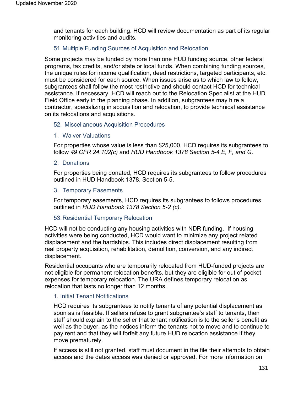and tenants for each building. HCD will review documentation as part of its regular monitoring activities and audits.

## 51.Multiple Funding Sources of Acquisition and Relocation

Some projects may be funded by more than one HUD funding source, other federal programs, tax credits, and/or state or local funds. When combining funding sources, the unique rules for income qualification, deed restrictions, targeted participants, etc. must be considered for each source. When issues arise as to which law to follow, subgrantees shall follow the most restrictive and should contact HCD for technical assistance. If necessary, HCD will reach out to the Relocation Specialist at the HUD Field Office early in the planning phase. In addition, subgrantees may hire a contractor, specializing in acquisition and relocation, to provide technical assistance on its relocations and acquisitions.

## 52. Miscellaneous Acquisition Procedures

#### 1. Waiver Valuations

For properties whose value is less than \$25,000, HCD requires its subgrantees to follow *49 CFR 24.102(c)* and *HUD Handbook 1378 Section 5-4 E, F, and G*.

## 2. Donations

For properties being donated, HCD requires its subgrantees to follow procedures outlined in HUD Handbook 1378, Section 5-5.

## 3. Temporary Easements

For temporary easements, HCD requires its subgrantees to follows procedures outlined in *HUD Handbook 1378 Section 5-2 (c).*

#### 53.Residential Temporary Relocation

HCD will not be conducting any housing activities with NDR funding. If housing activities were being conducted, HCD would want to minimize any project related displacement and the hardships. This includes direct displacement resulting from real property acquisition, rehabilitation, demolition, conversion, and any indirect displacement.

Residential occupants who are temporarily relocated from HUD-funded projects are not eligible for permanent relocation benefits, but they are eligible for out of pocket expenses for temporary relocation. The URA defines temporary relocation as relocation that lasts no longer than 12 months.

#### 1. Initial Tenant Notifications

HCD requires its subgrantees to notify tenants of any potential displacement as soon as is feasible. If sellers refuse to grant subgrantee's staff to tenants, then staff should explain to the seller that tenant notification is to the seller's benefit as well as the buyer, as the notices inform the tenants not to move and to continue to pay rent and that they will forfeit any future HUD relocation assistance if they move prematurely.

If access is still not granted, staff must document in the file their attempts to obtain access and the dates access was denied or approved. For more information on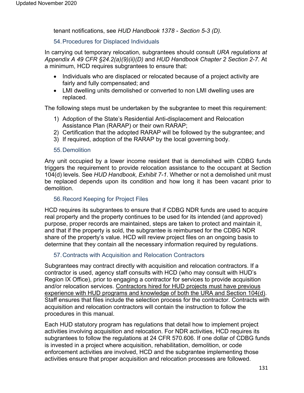tenant notifications, see *HUD Handbook 1378 - Section 5-3 (D).*

## 54.Procedures for Displaced Individuals

In carrying out temporary relocation, subgrantees should consult *URA regulations at Appendix A 49 CFR §24.2(a)(9)(ii)(D)* and *HUD Handbook Chapter 2 Section 2-7.* At a minimum, HCD requires subgrantees to ensure that:

- Individuals who are displaced or relocated because of a project activity are fairly and fully compensated; and
- LMI dwelling units demolished or converted to non LMI dwelling uses are replaced.

The following steps must be undertaken by the subgrantee to meet this requirement:

- 1) Adoption of the State's Residential Anti-displacement and Relocation Assistance Plan (RARAP) or their own RARAP;
- 2) Certification that the adopted RARAP will be followed by the subgrantee; and
- 3) If required, adoption of the RARAP by the local governing body.

#### 55.Demolition

Any unit occupied by a lower income resident that is demolished with CDBG funds triggers the requirement to provide relocation assistance to the occupant at Section 104(d) levels. See *HUD Handbook, Exhibit 7-1*. Whether or not a demolished unit must be replaced depends upon its condition and how long it has been vacant prior to demolition.

## 56.Record Keeping for Project Files

HCD requires its subgrantees to ensure that if CDBG NDR funds are used to acquire real property and the property continues to be used for its intended (and approved) purpose, proper records are maintained, steps are taken to protect and maintain it, and that if the property is sold, the subgrantee is reimbursed for the CDBG NDR share of the property's value. HCD will review project files on an ongoing basis to determine that they contain all the necessary information required by regulations.

## 57.Contracts with Acquisition and Relocation Contractors

Subgrantees may contract directly with acquisition and relocation contractors. If a contractor is used, agency staff consults with HCD (who may consult with HUD's Region IX Office), prior to engaging a contractor for services to provide acquisition and/or relocation services. Contractors hired for HUD projects must have previous experience with HUD programs and knowledge of both the URA and Section 104(d). Staff ensures that files include the selection process for the contractor. Contracts with acquisition and relocation contractors will contain the instruction to follow the procedures in this manual.

Each HUD statutory program has regulations that detail how to implement project activities involving acquisition and relocation. For NDR activities, HCD requires its subgrantees to follow the regulations at 24 CFR 570.606. If one dollar of CDBG funds is invested in a project where acquisition, rehabilitation, demolition, or code enforcement activities are involved, HCD and the subgrantee implementing those activities ensure that proper acquisition and relocation processes are followed.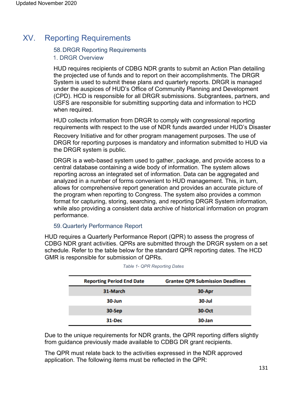# XV. Reporting Requirements

## 58.DRGR Reporting Requirements

## 1. DRGR Overview

HUD requires recipients of CDBG NDR grants to submit an Action Plan detailing the projected use of funds and to report on their accomplishments. The DRGR System is used to submit these plans and quarterly reports. DRGR is managed under the auspices of HUD's Office of Community Planning and Development (CPD). HCD is responsible for all DRGR submissions. Subgrantees, partners, and USFS are responsible for submitting supporting data and information to HCD when required.

HUD collects information from DRGR to comply with congressional reporting requirements with respect to the use of NDR funds awarded under HUD's Disaster

Recovery Initiative and for other program management purposes. The use of DRGR for reporting purposes is mandatory and information submitted to HUD via the DRGR system is public.

DRGR is a web-based system used to gather, package, and provide access to a central database containing a wide body of information. The system allows reporting across an integrated set of information. Data can be aggregated and analyzed in a number of forms convenient to HUD management. This, in turn, allows for comprehensive report generation and provides an accurate picture of the program when reporting to Congress. The system also provides a common format for capturing, storing, searching, and reporting DRGR System information, while also providing a consistent data archive of historical information on program performance.

## 59.Quarterly Performance Report

HUD requires a Quarterly Performance Report (QPR) to assess the progress of CDBG NDR grant activities. QPRs are submitted through the DRGR system on a set schedule. Refer to the table below for the standard QPR reporting dates. The HCD GMR is responsible for submission of QPRs.

| <b>Reporting Period End Date</b> | <b>Grantee QPR Submission Deadlines</b> |
|----------------------------------|-----------------------------------------|
| 31-March                         | 30-Apr                                  |
| 30-Jun                           | 30-Jul                                  |
| 30-Sep                           | 30-Oct                                  |
| 31-Dec                           | 30-Jan                                  |

Due to the unique requirements for NDR grants, the QPR reporting differs slightly from guidance previously made available to CDBG DR grant recipients.

The QPR must relate back to the activities expressed in the NDR approved application. The following items must be reflected in the QPR: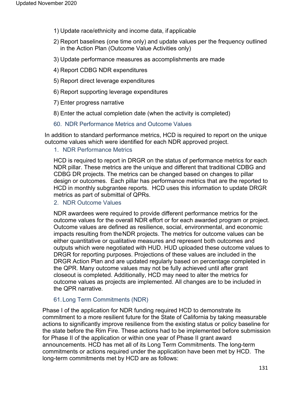- 1) Update race/ethnicity and income data, if applicable
- 2) Report baselines (one time only) and update values per the frequency outlined in the Action Plan (Outcome Value Activities only)
- 3) Update performance measures as accomplishments are made
- 4) Report CDBG NDR expenditures
- 5) Report direct leverage expenditures
- 6) Report supporting leverage expenditures
- 7) Enter progress narrative
- 8) Enter the actual completion date (when the activity is completed)
- 60. NDR Performance Metrics and Outcome Values

In addition to standard performance metrics, HCD is required to report on the unique outcome values which were identified for each NDR approved project.

#### 1. NDR Performance Metrics

HCD is required to report in DRGR on the status of performance metrics for each NDR pillar. These metrics are the unique and different that traditional CDBG and CDBG DR projects. The metrics can be changed based on changes to pillar design or outcomes. Each pillar has performance metrics that are the reported to HCD in monthly subgrantee reports. HCD uses this information to update DRGR metrics as part of submittal of QPRs.

2. NDR Outcome Values

NDR awardees were required to provide different performance metrics for the outcome values for the overall NDR effort or for each awarded program or project. Outcome values are defined as resilience, social, environmental, and economic impacts resulting from theNDR projects. The metrics for outcome values can be either quantitative or qualitative measures and represent both outcomes and outputs which were negotiated with HUD. HUD uploaded these outcome values to DRGR for reporting purposes. Projections of these values are included in the DRGR Action Plan and are updated regularly based on percentage completed in the QPR. Many outcome values may not be fully achieved until after grant closeout is completed. Additionally, HCD may need to alter the metrics for outcome values as projects are implemented. All changes are to be included in the QPR narrative.

## 61.Long Term Commitments (NDR)

Phase I of the application for NDR funding required HCD to demonstrate its commitment to a more resilient future for the State of California by taking measurable actions to significantly improve resilience from the existing status or policy baseline for the state before the Rim Fire. These actions had to be implemented before submission for Phase II of the application or within one year of Phase II grant award announcements. HCD has met all of its Long Term Commitments. The long-term commitments or actions required under the application have been met by HCD. The long-term commitments met by HCD are as follows: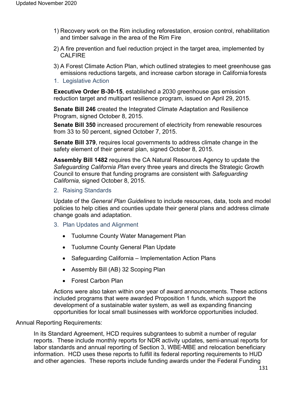- 1) Recovery work on the Rim including reforestation, erosion control, rehabilitation and timber salvage in the area of the Rim Fire
- 2) A fire prevention and fuel reduction project in the target area, implemented by CALFIRE
- 3) A Forest Climate Action Plan, which outlined strategies to meet greenhouse gas emissions reductions targets, and increase carbon storage in California forests
- 1. Legislative Action

**Executive Order B-30-15**, established a 2030 greenhouse gas emission reduction target and multipart resilience program, issued on April 29, 2015.

**Senate Bill 246** created the Integrated Climate Adaptation and Resilience Program, signed October 8, 2015.

**Senate Bill 350** increased procurement of electricity from renewable resources from 33 to 50 percent, signed October 7, 2015.

**Senate Bill 379**, requires local governments to address climate change in the safety element of their general plan, signed October 8, 2015.

**Assembly Bill 1482** requires the CA Natural Resources Agency to update the *Safeguarding California Plan* every three years and directs the Strategic Growth Council to ensure that funding programs are consistent with *Safeguarding California,* signed October 8, 2015.

2. Raising Standards

Update of the *General Plan Guidelines* to include resources, data, tools and model policies to help cities and counties update their general plans and address climate change goals and adaptation.

- 3. Plan Updates and Alignment
	- Tuolumne County Water Management Plan
	- Tuolumne County General Plan Update
	- Safeguarding California Implementation Action Plans
	- Assembly Bill (AB) 32 Scoping Plan
	- Forest Carbon Plan

Actions were also taken within one year of award announcements. These actions included programs that were awarded Proposition 1 funds, which support the development of a sustainable water system, as well as expanding financing opportunities for local small businesses with workforce opportunities included.

#### Annual Reporting Requirements:

In its Standard Agreement, HCD requires subgrantees to submit a number of regular reports. These include monthly reports for NDR activity updates, semi-annual reports for labor standards and annual reporting of Section 3, WBE-MBE and relocation beneficiary information. HCD uses these reports to fulfill its federal reporting requirements to HUD and other agencies. These reports include funding awards under the Federal Funding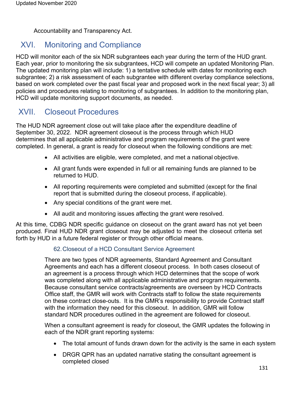Accountability and Transparency Act.

## XVI. Monitoring and Compliance

HCD will monitor each of the six NDR subgrantees each year during the term of the HUD grant. Each year, prior to monitoring the six subgrantees, HCD will compete an updated Monitoring Plan. The updated monitoring plan will include: 1) a tentative schedule with dates for monitoring each subgrantee; 2) a risk assessment of each subgrantee with different overlay compliance selections, based on work completed over the past fiscal year and proposed work in the next fiscal year; 3) all policies and procedures relating to monitoring of subgrantees. In addition to the monitoring plan, HCD will update monitoring support documents, as needed.

## XVII. Closeout Procedures

The HUD NDR agreement close out will take place after the expenditure deadline of September 30, 2022. NDR agreement closeout is the process through which HUD determines that all applicable administrative and program requirements of the grant were completed. In general, a grant is ready for closeout when the following conditions are met:

- All activities are eligible, were completed, and met a national objective.
- All grant funds were expended in full or all remaining funds are planned to be returned to HUD.
- All reporting requirements were completed and submitted (except for the final report that is submitted during the closeout process, if applicable).
- Any special conditions of the grant were met.
- All audit and monitoring issues affecting the grant were resolved.

At this time, CDBG NDR specific guidance on closeout on the grant award has not yet been produced. Final HUD NDR grant closeout may be adjusted to meet the closeout criteria set forth by HUD in a future federal register or through other official means.

## 62.Closeout of a HCD Consultant Service Agreement

There are two types of NDR agreements, Standard Agreement and Consultant Agreements and each has a different closeout process. In both cases closeout of an agreement is a process through which HCD determines that the scope of work was completed along with all applicable administrative and program requirements. Because consultant service contracts/agreements are overseen by HCD Contracts Office staff, the GMR will work with Contracts staff to follow the state requirements on these contract close-outs. It is the GMR's responsibility to provide Contract staff with the information they need for this closeout. In addition, GMR will follow standard NDR procedures outlined in the agreement are followed for closeout.

When a consultant agreement is ready for closeout, the GMR updates the following in each of the NDR grant reporting systems:

- The total amount of funds drawn down for the activity is the same in each system
- DRGR QPR has an updated narrative stating the consultant agreement is completed closed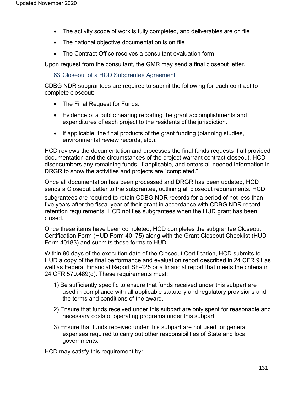- The activity scope of work is fully completed, and deliverables are on file
- The national objective documentation is on file
- The Contract Office receives a consultant evaluation form

Upon request from the consultant, the GMR may send a final closeout letter.

63.Closeout of a HCD Subgrantee Agreement

CDBG NDR subgrantees are required to submit the following for each contract to complete closeout:

- The Final Request for Funds.
- Evidence of a public hearing reporting the grant accomplishments and expenditures of each project to the residents of the jurisdiction.
- If applicable, the final products of the grant funding (planning studies, environmental review records, etc.).

HCD reviews the documentation and processes the final funds requests if all provided documentation and the circumstances of the project warrant contract closeout. HCD disencumbers any remaining funds, if applicable, and enters all needed information in DRGR to show the activities and projects are "completed."

Once all documentation has been processed and DRGR has been updated, HCD sends a Closeout Letter to the subgrantee, outlining all closeout requirements. HCD

subgrantees are required to retain CDBG NDR records for a period of not less than five years after the fiscal year of their grant in accordance with CDBG NDR record retention requirements. HCD notifies subgrantees when the HUD grant has been closed.

Once these items have been completed, HCD completes the subgrantee Closeout Certification Form (HUD Form 40175) along with the Grant Closeout Checklist (HUD Form 40183) and submits these forms to HUD.

Within 90 days of the execution date of the Closeout Certification, HCD submits to HUD a copy of the final performance and evaluation report described in 24 CFR 91 as well as Federal Financial Report SF-425 or a financial report that meets the criteria in 24 CFR 570.489(d). These requirements must:

- 1) Be sufficiently specific to ensure that funds received under this subpart are used in compliance with all applicable statutory and regulatory provisions and the terms and conditions of the award.
- 2) Ensure that funds received under this subpart are only spent for reasonable and necessary costs of operating programs under this subpart.
- 3) Ensure that funds received under this subpart are not used for general expenses required to carry out other responsibilities of State and local governments.

HCD may satisfy this requirement by: